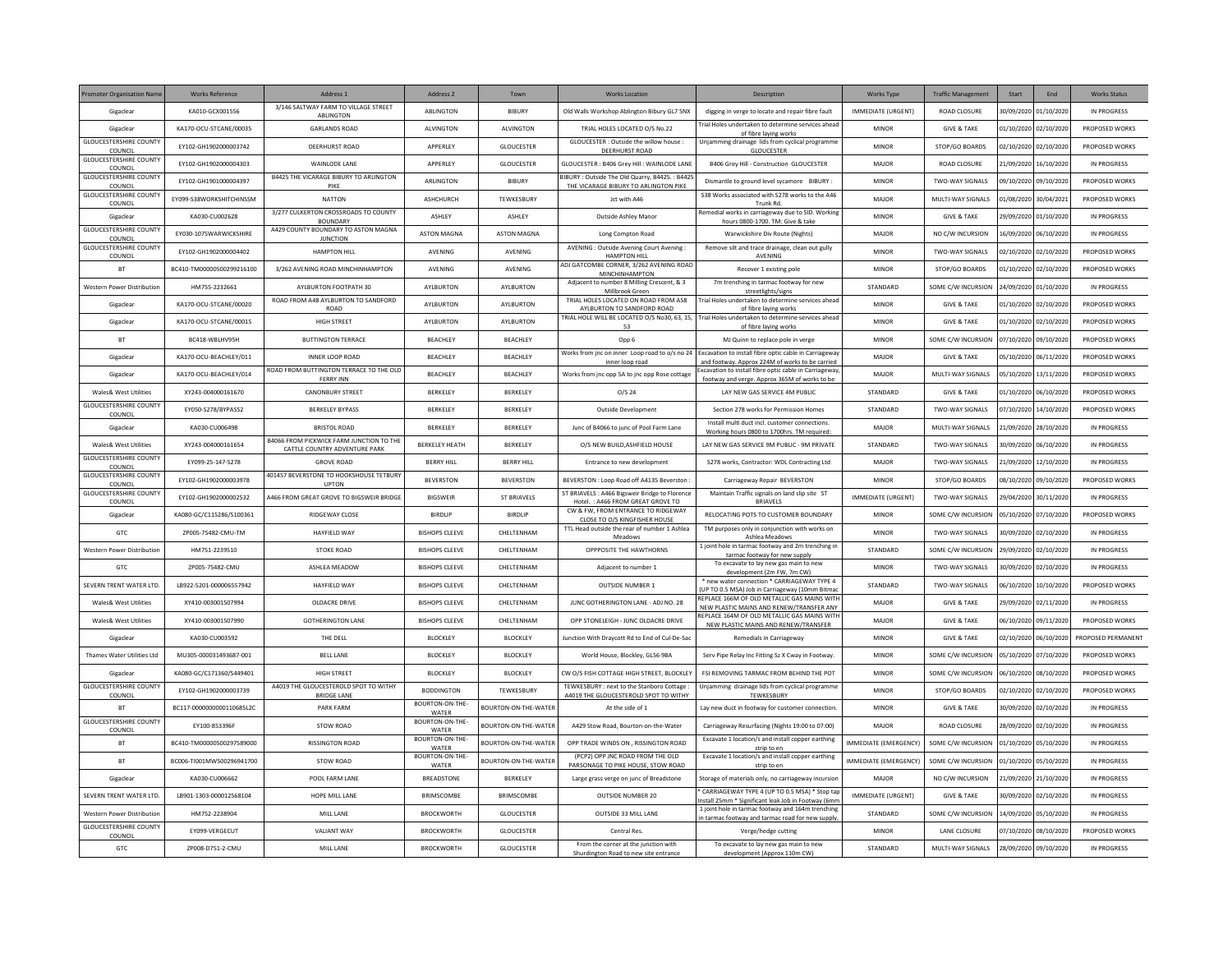| <b>Promoter Organisation Name</b>                      | <b>Works Reference</b>    | Address 1                                                    | Address 2                | Town                 | <b>Works Location</b>                                                                       | Description                                                                                                              | <b>Works Type</b>         | <b>Traffic Management</b> | Start                 | End                   | <b>Works Status</b> |
|--------------------------------------------------------|---------------------------|--------------------------------------------------------------|--------------------------|----------------------|---------------------------------------------------------------------------------------------|--------------------------------------------------------------------------------------------------------------------------|---------------------------|---------------------------|-----------------------|-----------------------|---------------------|
| Gigaclea                                               | KA010-GCX001556           | 3/146 SALTWAY FARM TO VILLAGE STREET<br>ABLINGTON            | ABLINGTON                | <b>BIBURY</b>        | Old Walls Workshop Ablington Bibury GL7 5NX                                                 | digging in verge to locate and repair fibre fault                                                                        | IMMEDIATE (URGENT)        | ROAD CLOSURE              |                       | 30/09/2020 01/10/2020 | IN PROGRESS         |
| Gigaclear                                              | KA170-OCU-STCANE/00035    | <b>GARLANDS ROAD</b>                                         | <b>ALVINGTON</b>         | <b>ALVINGTON</b>     | TRIAL HOLES LOCATED O/S No.22                                                               | Frial Holes undertaken to determine services aheac<br>of fibre laying works                                              | <b>MINOR</b>              | <b>GIVE &amp; TAKE</b>    | 01/10/2020 02/10/2020 |                       | PROPOSED WORKS      |
| <b>GLOUCESTERSHIRE COUNTY</b><br>COUNCIL               | EY102-GH1902000003742     | <b>DEERHURST ROAD</b>                                        | APPERLEY                 | GLOUCESTER           | GLOUCESTER : Outside the willow house<br>DEERHURST ROAD                                     | Unjamming drainage lids from cyclical programme<br>GLOUCESTER                                                            | MINOR                     | STOP/GO BOARDS            | 02/10/2020 02/10/2020 |                       | PROPOSED WORKS      |
| <b>GLOUCESTERSHIRE COUNTY</b><br>COUNCIL               | EY102-GH1902000004303     | WAINLODE LANE                                                | APPERLEY                 | GLOUCESTER           | GLOUCESTER: B406 Grey Hill: WAINLODE LANE                                                   | B406 Grey Hill - Construction GLOUCESTER                                                                                 | MAJOR                     | ROAD CLOSURE              |                       | 21/09/2020 16/10/2020 | IN PROGRESS         |
| <b>GLOUCESTERSHIRE COUNTY</b><br>COUNCIL               | EY102-GH1901000004397     | <b>B4425 THE VICARAGE BIBURY TO ARLINGTON</b><br>PIKE        | ARLINGTON                | BIBURY               | BIBURY: Outside The Old Quarry, B4425.: B4425<br>THE VICARAGE BIBURY TO ARLINGTON PIKE      | Dismantle to ground level sycamore BIBURY                                                                                | MINOR                     | TWO-WAY SIGNALS           | 09/10/2020            | 09/10/2020            | PROPOSED WORKS      |
| <b>GLOUCESTERSHIRE COUNTY</b><br>COUNCIL               | EY099-S38WORKSHITCHINSSM  | <b>NATTON</b>                                                | <b>ASHCHURCH</b>         | TEWKESBURY           | Jct with A46                                                                                | S38 Works associated with S278 works to the A46<br>Trunk Rd                                                              | MAJOR                     | MULTI-WAY SIGNALS         |                       | 01/08/2020 30/04/2021 | PROPOSED WORKS      |
| Gigaclear                                              | KA030-CU002628            | 3/277 CULKERTON CROSSROADS TO COUNTY<br><b>BOUNDARY</b>      | <b>ASHIFY</b>            | <b>ASHIFY</b>        | Outside Ashley Manor                                                                        | Remedial works in carriageway due to SID. Working<br>hours 0800-1700. TM: Give & take                                    | MINOR                     | <b>GIVE &amp; TAKE</b>    | 29/09/2020 01/10/2020 |                       | IN PROGRESS         |
| <b>GLOUCESTERSHIRE COUNTY</b><br>COUNCIL               | EY030-1075WARWICKSHIRE    | A429 COUNTY BOUNDARY TO ASTON MAGNA<br><b>JUNCTION</b>       | <b>ASTON MAGNA</b>       | <b>ASTON MAGNA</b>   | Long Compton Road                                                                           | Warwickshire Div Route (Nights)                                                                                          | MAJOR                     | NO C/W INCURSION          |                       | (6/09/2020 06/10/2020 | IN PROGRESS         |
| <b>GLOUCESTERSHIRE COUNTY</b><br>COUNCIL               | EY102-GH1902000004402     | <b>HAMPTON HILL</b>                                          | AVENING                  | AVENING              | AVENING : Outside Avening Court Avening :<br><b>HAMPTON HILL</b>                            | Remove silt and trace drainage, clean out gully<br>AVENING                                                               | <b>MINOR</b>              | TWO-WAY SIGNALS           | 02/10/2020 02/10/2020 |                       | PROPOSED WORKS      |
| <b>BT</b>                                              | BC410-TM00000500299216100 | 3/262 AVENING ROAD MINCHINHAMPTON                            | AVENING                  | AVENING              | ADJ GATCOMBE CORNER, 3/262 AVENING ROAD<br>MINCHINHAMPTON                                   | Recover 1 existing pole                                                                                                  | <b>MINOR</b>              | STOP/GO BOARDS            | 01/10/2020            | 02/10/2020            | PROPOSED WORKS      |
| Western Power Distribution                             | HM755-2232661             | AYLBURTON FOOTPATH 30                                        | AYLBURTON                | AYLBURTON            | Adjacent to number 8 Milling Crescent, & 3<br>Millbrook Green                               | 7m trenching in tarmac footway for new                                                                                   | STANDARD                  | SOME C/W INCURSION        |                       | 24/09/2020 01/10/2020 | IN PROGRESS         |
| Gigaclear                                              | KA170-OCU-STCANE/00020    | ROAD FROM A48 AYLBURTON TO SANDFORD<br><b>ROAD</b>           | AYI BURTON               | AYLBURTON            | TRIAL HOLES LOCATED ON ROAD FROM A58                                                        | streetlights/signs<br>Trial Holes undertaken to determine services ahead                                                 | MINOR                     | <b>GIVE &amp; TAKE</b>    | 01/10/2020 02/10/2020 |                       | PROPOSED WORKS      |
| Gigaclear                                              | KA170-OCU-STCANE/00015    | HIGH STREET                                                  | AYLBURTON                | AYLBURTON            | AYLBURTON TO SANDFORD ROAD                                                                  | of fibre laying works<br>TRIAL HOLE WILL BE LOCATED O/S No30, 63, 15, Trial Holes undertaken to determine services ahead | <b>MINOR</b>              | <b>GIVE &amp; TAKE</b>    | 01/10/2020 02/10/2020 |                       | PROPOSED WORKS      |
| <b>BT</b>                                              | BC418-WBLHV95H            | <b>BUTTINGTON TERRACE</b>                                    | BEACHLEY                 | <b>BEACHLEY</b>      | 53<br>Opp 6                                                                                 | of fibre laying works<br>MJ Quinn to replace pole in verge                                                               | <b>MINOR</b>              | SOME C/W INCURSION        |                       | 07/10/2020 09/10/2020 | PROPOSED WORKS      |
| Gigaclea                                               | KA170-OCU-BEACHLEY/011    | <b>INNER LOOP ROAD</b>                                       | BEACHLEY                 | <b>BEACHLEY</b>      | Works from inc on inner Loop road to o/s no 24                                              | Excavation to install fibre optic cable in Carriageway                                                                   | MAJOR                     | <b>GIVE &amp; TAKE</b>    | 05/10/2020            | 06/11/2020            | PROPOSED WORKS      |
| Gigaclear                                              | KA170-OCU-BEACHLEY/014    | ROAD FROM BUTTINGTON TERRACE TO THE OLD                      | BEACHLEY                 | <b>BEACHLEY</b>      | inner loop road<br>Works from jnc opp 5A to jnc opp Rose cottage                            | and footway. Approx 224M of works to be carried<br>Excavation to install fibre optic cable in Carriageway                | MAIOR                     | MULTI-WAY SIGNALS         | 05/10/2020 13/11/2020 |                       | PROPOSED WORKS      |
| Wales& West Utilities                                  | XY243-004000161670        | <b>FERRY INN</b><br><b>CANONBURY STREET</b>                  | BERKELEY                 | BERKELEY             | O/S <sub>24</sub>                                                                           | footway and verge. Approx 365M of works to be<br>LAY NEW GAS SERVICE 4M PUBLIC                                           | STANDARD                  | <b>GIVE &amp; TAKE</b>    | 01/10/2020 06/10/2020 |                       | PROPOSED WORKS      |
| <b>GLOUCESTERSHIRE COUNTY</b>                          | EY050-S278/BYPASS2        | <b>BERKELEY BYPASS</b>                                       | BERKELEY                 | BERKELEY             | Outside Development                                                                         | Section 278 works for Permission Homes                                                                                   | STANDARD                  | TWO-WAY SIGNALS           |                       | 07/10/2020 14/10/2020 | PROPOSED WORKS      |
| COUNCIL<br>Gigaclea                                    | KA030-CU006498            | <b>BRISTOL ROAD</b>                                          | BERKELEY                 | BERKELEY             | Junc of B4066 to junc of Pool Farm Lane                                                     | Install multi duct incl. customer connections                                                                            | MAJOR                     | MULTI-WAY SIGNALS         |                       | 21/09/2020 28/10/2020 | IN PROGRESS         |
|                                                        |                           | <b>B4066 FROM PICKWICK FARM JUNCTION TO THE</b>              |                          |                      |                                                                                             | Working hours 0800 to 1700hrs. TM required:                                                                              |                           |                           |                       |                       |                     |
| Wales& West Utilities<br><b>GLOUCESTERSHIRE COUNTY</b> | XY243-004000161654        | CATTLE COUNTRY ADVENTURE PARK                                | <b>BERKELEY HEATH</b>    | BERKELEY             | O/S NEW BUILD, ASHFIELD HOUSE                                                               | LAY NEW GAS SERVICE 9M PUBLIC - 9M PRIVATE                                                                               | STANDARD                  | TWO-WAY SIGNALS           | 30/09/2020            | 06/10/2020            | IN PROGRESS         |
| COUNCIL<br><b>GLOUCESTERSHIRE COUNTY</b>               | EY099-25-147-S278         | <b>GROVE ROAD</b><br>401457 BEVERSTONE TO HOOKSHOUSE TETBURY | <b>BERRY HILL</b>        | <b>BERRY HILL</b>    | Entrance to new development                                                                 | S278 works, Contractor: WDL Contracting Ltd                                                                              | MAIOR                     | <b>TWO-WAY SIGNALS</b>    |                       | 21/09/2020 12/10/2020 | IN PROGRESS         |
| COUNCIL<br><b>GLOUCESTERSHIRE COUNTY</b>               | EY102-GH1902000003978     | <b>UPTON</b>                                                 | <b>BEVERSTON</b>         | <b>BEVERSTON</b>     | BEVERSTON : Loop Road off A4135 Beverston<br>ST BRIAVELS : A466 Bigsweir Bridge to Florence | Carriageway Repair BEVERSTON<br>Maintain Traffic signals on land slip site ST                                            | MINOR                     | STOP/GO BOARDS            | 08/10/2020 09/10/2020 |                       | PROPOSED WORKS      |
| COUNCIL                                                | EY102-GH1902000002532     | 4466 FROM GREAT GROVE TO BIGSWEIR BRIDGE                     | <b>BIGSWEIR</b>          | <b>ST BRIAVELS</b>   | Hotel.: A466 FROM GREAT GROVE TO<br>CW & FW. FROM ENTRANCE TO RIDGEWAY                      | <b>BRIAVELS</b>                                                                                                          | <b>IMMEDIATE (URGENT)</b> | TWO-WAY SIGNALS           |                       | 29/04/2020 30/11/2020 | IN PROGRESS         |
| Gigaclea                                               | KA080-GC/C115286/S100361  | RIDGEWAY CLOSE                                               | <b>BIRDLIP</b>           | <b>BIRDLIP</b>       | CLOSE TO O/S KINGFISHER HOUSE                                                               | RELOCATING POTS TO CUSTOMER BOUNDARY                                                                                     | <b>MINOR</b>              | SOME C/W INCURSION        | 05/10/2020 07/10/2020 |                       | PROPOSED WORKS      |
| GTC                                                    | ZP005-75482-CMU-TM        | <b>HAYFIELD WAY</b>                                          | <b>BISHOPS CLEEVE</b>    | CHELTENHAM           | TTL Head outside the rear of number 1 Ashlea<br>Meadows                                     | TM purposes only in conjunction with works on<br>Ashlea Meadows                                                          | MINOR                     | <b>TWO-WAY SIGNALS</b>    |                       | 30/09/2020 02/10/2020 | IN PROGRESS         |
| Western Power Distribution                             | HM751-2239510             | <b>STOKE ROAD</b>                                            | <b>BISHOPS CLEEVE</b>    | CHELTENHAM           | OPPPOSITE THE HAWTHORNS                                                                     | 1 joint hole in tarmac footway and 2m trenching in<br>tarmac footway for new supply                                      | STANDARD                  | SOME C/W INCURSION        |                       | 29/09/2020 02/10/2020 | IN PROGRESS         |
| GTC                                                    | ZP005-75482-CMU           | ASHLEA MEADOW                                                | <b>BISHOPS CLEEVE</b>    | CHELTENHAM           | Adjacent to number 1                                                                        | To excavate to lay new gas main to new<br>development (2m FW, 7m CW)                                                     | <b>MINOR</b>              | TWO-WAY SIGNALS           |                       | 02/10/2020 02/10      | IN PROGRESS         |
| SEVERN TRENT WATER LTD.                                | LB922-5201-000006557942   | <b>HAYFIELD WAY</b>                                          | <b>BISHOPS CLEEVE</b>    | CHELTENHAM           | <b>OUTSIDE NUMBER 1</b>                                                                     | new water connection * CARRIAGEWAY TYPE 4<br>UP TO 0.5 MSA) Job in Carriageway (10mm Bitma                               | STANDARD                  | TWO-WAY SIGNALS           | 06/10/2020            | 10/10/2020            | PROPOSED WORKS      |
| <b>Wales&amp; West Utilities</b>                       | XY410-003001507994        | OLDACRE DRIVE                                                | <b>BISHOPS CLEEVE</b>    | CHELTENHAM           | JUNC GOTHERINGTON LANE - ADJ NO. 28                                                         | REPLACE 166M OF OLD METALLIC GAS MAINS WITH<br>NEW PLASTIC MAINS AND RENEW/TRANSFER ANY                                  | MAJOR                     | <b>GIVE &amp; TAKE</b>    |                       | 29/09/2020 02/11/2020 | IN PROGRESS         |
| <b>Wales&amp; West Utilities</b>                       | XY410-003001507990        | <b>GOTHERINGTON LANE</b>                                     | <b>BISHOPS CLEEVE</b>    | CHEITENHAM           | OPP STONELFIGH - IUNC OLDACRE DRIVE                                                         | REPLACE 164M OF OLD METALLIC GAS MAINS WITI<br>NEW PLASTIC MAINS AND RENEW/TRANSFER                                      | MAIOR                     | <b>GIVE &amp; TAKE</b>    | 06/10/2020 09/11/2020 |                       | PROPOSED WORKS      |
| Gigaclear                                              | KA030-CU003592            | THE DELL                                                     | BLOCKLEY                 | BLOCKLEY             | Junction With Dravcott Rd to End of Cul-De-Sac                                              | Remedials in Carriageway                                                                                                 | MINOR                     | <b>GIVE &amp; TAKE</b>    |                       | 02/10/2020 06/10/2020 | PROPOSED PERMANENT  |
| Thames Water Utilities Ltd                             | MU305-000031493687-001    | <b>BELL LANE</b>                                             | BLOCKLEY                 | <b>BLOCKLEY</b>      | World House, Blockley, GL56 9BA                                                             | Serv Pipe Relay Inc Fitting Sz X Cway in Footway.                                                                        | MINOR                     | SOME C/W INCURSION        |                       | 05/10/2020 07/10/2020 | PROPOSED WORKS      |
| Gigaclear                                              | KA080-GC/C171360/S449401  | <b>HIGH STREET</b>                                           | BLOCKLEY                 | <b>BLOCKLEY</b>      | CW O/S FISH COTTAGE HIGH STREET, BLOCKLEY                                                   | FSI REMOVING TARMAC FROM BEHIND THE POT                                                                                  | <b>MINOR</b>              | SOME C/W INCURSION        | 06/10/2020            | 08/10/2020            | PROPOSED WORKS      |
| <b>GLOUCESTERSHIRE COUNTY</b><br>COUNCIL               | EY102-GH1902000003739     | A4019 THE GLOUCESTEROLD SPOT TO WITHY<br><b>BRIDGE LANE</b>  | <b>BODDINGTON</b>        | TEWKESBURY           | TEWKESBURY: next to the Stanboro Cottage<br>A4019 THE GLOUCESTEROLD SPOT TO WITHY           | Unjamming drainage lids from cyclical programme<br>TEWKESBURY                                                            | <b>MINOR</b>              | STOP/GO BOARDS            |                       | 02/10/2020 02/10/2020 | PROPOSED WORKS      |
| <b>BT</b>                                              | BC117-0000000000110685L2C | <b>PARK FARM</b>                                             | BOURTON-ON-THE-<br>WATER | BOURTON-ON-THE-WATER | At the side of 1                                                                            | Lay new duct in footway for customer connectior                                                                          | MINOR                     | <b>GIVE &amp; TAKE</b>    | 30/09/2020 02/10/2020 |                       | IN PROGRESS         |
| <b>GLOUCESTERSHIRE COUNTY</b><br>COUNCIL               | EY100-853396F             | STOW ROAD                                                    | BOURTON-ON-THE-<br>WATER | BOURTON-ON-THE-WATER | A429 Stow Road, Bourton-on-the-Water                                                        | Carriageway Resurfacing (Nights 19:00 to 07:00)                                                                          | MAJOR                     | ROAD CLOSURE              | 28/09/2020 02/10/2020 |                       | IN PROGRESS         |
| <b>BT</b>                                              | BC410-TM00000500297589000 | <b>RISSINGTON ROAD</b>                                       | BOURTON-ON-THE-<br>WATER | BOURTON-ON-THE-WATER | OPP TRADE WINDS ON . RISSINGTON ROAD                                                        | Excavate 1 location/s and install copper earthing<br>strip to en                                                         | IMMEDIATE (EMERGENCY)     | SOME C/W INCURSION        | 01/10/2020 05/10/2020 |                       | IN PROGRESS         |
| <b>BT</b>                                              | BC006-TI001MW500296941700 | STOW ROAD                                                    | BOURTON-ON-THE-<br>WATER | BOURTON-ON-THE-WATE  | (PCP2) OPP INC ROAD FROM THE OLD<br>PARSONAGE TO PIKE HOUSE, STOW ROAD                      | Excavate 1 location/s and install copper earthing<br>strip to er                                                         | IMMEDIATE (EMERGENCY)     | SOME C/W INCURSION        | 01/10/2020 05/10/2020 |                       | IN PROGRESS         |
| Gigaclear                                              | KA030-CU006662            | POOL FARM LANE                                               | <b>BREADSTONE</b>        | BERKELEY             | Large grass verge on junc of Breadstone                                                     | Storage of materials only, no carriageway incursior                                                                      | MAIOR                     | NO C/W INCURSION          |                       | 21/09/2020 21/10/2020 | IN PROGRESS         |
| SEVERN TRENT WATER LTD.                                | LB901-1303-000012568104   | HOPE MILL LANE                                               | BRIMSCOMBE               | <b>BRIMSCOMBE</b>    | <b>OUTSIDE NUMBER 20</b>                                                                    | CARRIAGEWAY TYPE 4 (UP TO 0.5 MSA) * Stop tap<br>Install 25mm * Significant leak Job in Footway (6mm                     | <b>IMMEDIATE (URGENT)</b> | <b>GIVE &amp; TAKE</b>    | 30/09/2020 02/10/2020 |                       | IN PROGRESS         |
| Western Power Distribution                             | HM752-2238904             | MILL LANE                                                    | <b>BROCKWORTH</b>        | <b>GLOUCESTER</b>    | OUTSIDE 33 MILL LANE                                                                        | 1 joint hole in tarmac footway and 164m trenching                                                                        | STANDARD                  | SOME C/W INCURSION        |                       | 14/09/2020 05/10/2020 | IN PROGRESS         |
| <b>GLOUCESTERSHIRE COUNTY</b>                          | EY099-VERGECUT            | <b>VALIANT WAY</b>                                           | <b>BROCKWORTH</b>        | GLOUCESTER           | <b>Central Res</b>                                                                          | n tarmac footway and tarmac road for new supply<br>Verge/hedge cutting                                                   | <b>MINOR</b>              | LANE CLOSURE              |                       | 07/10/2020 08/10/2020 | PROPOSED WORKS      |
| COUNCIL<br>GTC                                         | ZP008-D751-2-CMU          | MILL LANE                                                    | <b>BROCKWORTH</b>        | <b>GLOUCESTER</b>    | From the corner at the junction with                                                        | To excavate to lay new gas main to new                                                                                   | STANDARD                  | MULTI-WAY SIGNALS         | 28/09/2020 09/10/2020 |                       | IN PROGRESS         |
|                                                        |                           |                                                              |                          |                      | Shurdington Road to new site entrance                                                       | development (Approx 110m CW)                                                                                             |                           |                           |                       |                       |                     |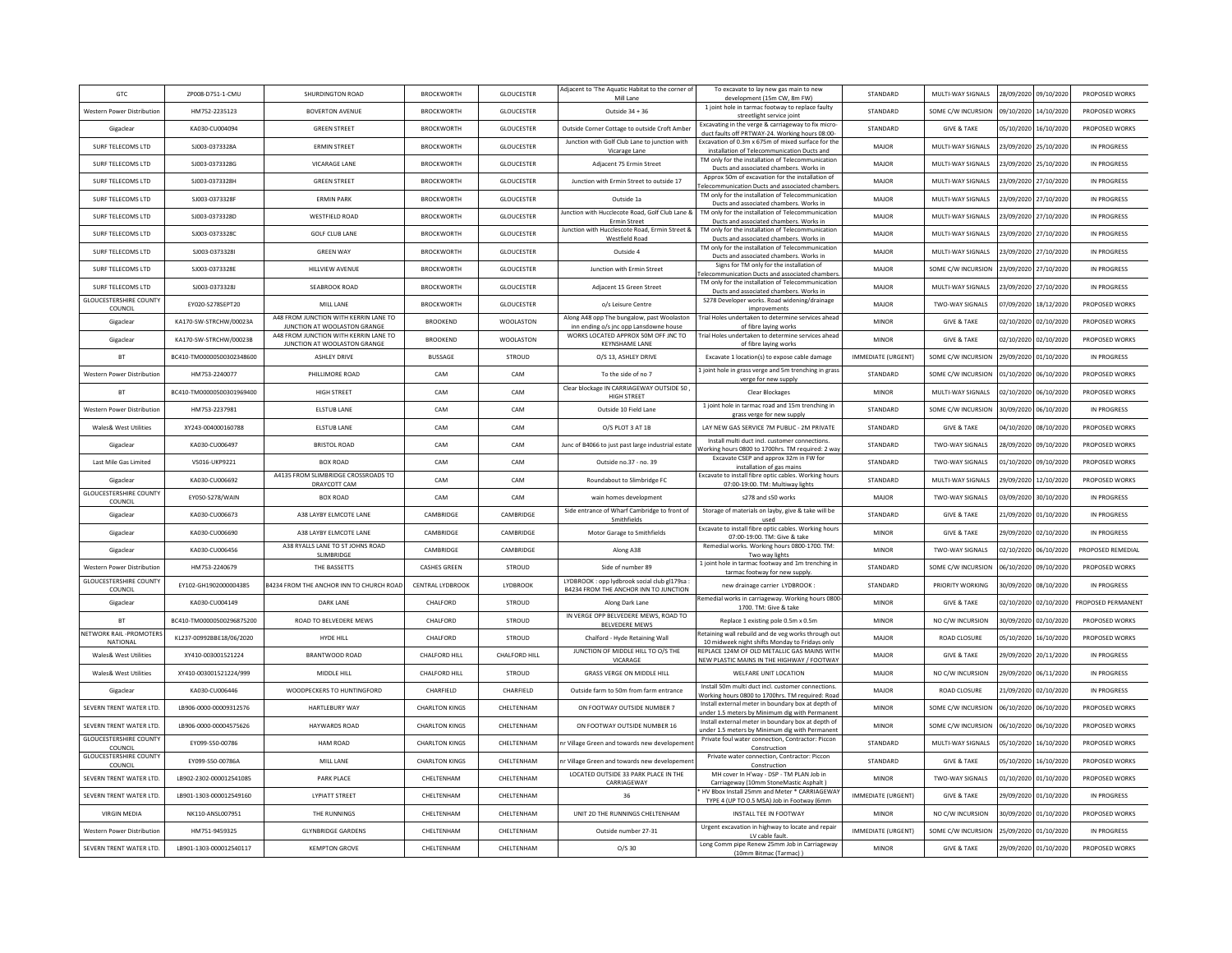| <b>GTC</b>                                         | ZP008-D751-1-CMU          | SHURDINGTON ROAD                                                      | <b>BROCKWORTH</b>     | <b>GLOUCESTER</b> | Adjacent to 'The Aquatic Habitat to the corner of<br>Mill Lane                       | To excavate to lay new gas main to new<br>development (15m CW, 8m FW)                                  | STANDARD                  | MULTI-WAY SIGNALS      |            | 28/09/2020 09/10/2020 | PROPOSED WORKS     |
|----------------------------------------------------|---------------------------|-----------------------------------------------------------------------|-----------------------|-------------------|--------------------------------------------------------------------------------------|--------------------------------------------------------------------------------------------------------|---------------------------|------------------------|------------|-----------------------|--------------------|
| Western Power Distribution                         | HM752-2235123             | <b>BOVERTON AVENUE</b>                                                | <b>BROCKWORTH</b>     | <b>GLOUCESTER</b> | Outside 34 + 36                                                                      | 1 joint hole in tarmac footway to replace faulty<br>streetlight service joint                          | STANDARD                  | SOME C/W INCURSION     |            | 09/10/2020 14/10/2020 | PROPOSED WORKS     |
| Gigaclear                                          | KA030-CU004094            | <b>GREEN STREET</b>                                                   | <b>BROCKWORTH</b>     | <b>GLOUCESTER</b> | Outside Corner Cottage to outside Croft Amber                                        | Excavating in the verge & carriageway to fix micro-<br>duct faults off PRTWAY-24. Working hours 08:00- | STANDARD                  | <b>GIVE &amp; TAKE</b> | 05/10/2020 | 16/10/2020            | PROPOSED WORKS     |
| SURE TELECOMS LTD                                  | SI003-0373328A            | <b>FRMIN STREET</b>                                                   | <b>BROCKWORTH</b>     | <b>GLOUCESTER</b> | Junction with Golf Club Lane to junction with                                        | Excavation of 0.3m x 675m of mixed surface for the<br>installation of Telecommunication Ducts and      | MAIOR                     | MULTI-WAY SIGNALS      |            | 23/09/2020 25/10/2020 | IN PROGRESS        |
| SURF TELECOMS LTD                                  | SJ003-0373328G            | VICARAGE LANE                                                         | <b>BROCKWORTH</b>     | GLOUCESTER        | Vicarage Lane<br>Adiacent 75 Ermin Street                                            | TM only for the installation of Telecommunication                                                      | MAJOR                     | MULTI-WAY SIGNALS      |            | 23/09/2020 25/10/2020 | IN PROGRESS        |
| SURF TELECOMS LTD                                  | SJ003-0373328H            | <b>GREEN STREET</b>                                                   | <b>BROCKWORTH</b>     | <b>GLOUCESTER</b> | Junction with Ermin Street to outside 17                                             | Ducts and associated chambers. Works in<br>Approx 50m of excavation for the installation of            | MAJOR                     | MULTI-WAY SIGNALS      | 23/09/2020 | 27/10/2020            | IN PROGRESS        |
| SURF TELECOMS LTD                                  | SI003-0373328E            | <b>FRMIN PARK</b>                                                     | <b>BROCKWORTH</b>     | <b>GLOUCESTER</b> | Outside 1a                                                                           | elecommunication Ducts and associated chamber<br>TM only for the installation of Telecommunication     | MAJOR                     | MULTI-WAY SIGNALS      | 23/09/2020 | 27/10/2020            | IN PROGRESS        |
| SURE TELECOMS LTD                                  | SI003-0373328D            | WESTEIFLD ROAD                                                        | <b>BROCKWORTH</b>     | <b>GLOUCESTER</b> | lunction with Hucclecote Road, Golf Club Lane &                                      | Ducts and associated chambers. Works in<br>TM only for the installation of Telecommunication           | MAIOR                     | MULTI-WAY SIGNALS      |            | 23/09/2020 27/10/2020 | IN PROGRESS        |
| SURF TELECOMS LTD                                  | SJ003-0373328C            | <b>GOLF CLUB LANE</b>                                                 | <b>BROCKWORTH</b>     | <b>GLOUCESTER</b> | <b>Ermin Street</b><br>Junction with Hucclescote Road, Ermin Street &                | Ducts and associated chambers. Works in<br>TM only for the installation of Telecommunication           | MAJOR                     | MULTI-WAY SIGNALS      |            | 23/09/2020 27/10/2020 | IN PROGRESS        |
| SURF TELECOMS LTD                                  | SJ003-0373328I            | <b>GREEN WAY</b>                                                      | <b>BROCKWORTH</b>     | <b>GLOUCESTER</b> | <b>Westfield Road</b><br>Outside 4                                                   | Ducts and associated chambers. Works in<br>TM only for the installation of Telecommunication           | MAJOR                     | MULTI-WAY SIGNALS      |            | 23/09/2020 27/10/2020 | IN PROGRESS        |
| <b>SURF TELECOMS LTD</b>                           | SJ003-0373328E            | HILLVIEW AVENUE                                                       | <b>BROCKWORTH</b>     | <b>GLOUCESTER</b> | Junction with Ermin Street                                                           | Ducts and associated chambers. Works in<br>Signs for TM only for the installation of                   | MAJOR                     | SOME C/W INCURSION     | 23/09/2020 | 27/10/2020            | IN PROGRESS        |
|                                                    |                           | SEARROOK ROAD                                                         |                       |                   |                                                                                      | elecommunication Ducts and associated chambe<br>TM only for the installation of Telecommunication      |                           |                        |            |                       |                    |
| SURF TELECOMS LTD<br><b>GLOUCESTERSHIRE COUNTY</b> | SJ003-0373328J            |                                                                       | <b>BROCKWORTH</b>     | GLOUCESTER        | Adiacent 15 Green Street                                                             | Ducts and associated chambers. Works in<br>S278 Developer works. Road widening/drainage                | MAJOR                     | MULTI-WAY SIGNALS      |            | 23/09/2020 27/10/2020 | IN PROGRESS        |
| COUNCIL                                            | EY020-S278SEPT20          | MILL LANE<br>A48 FROM JUNCTION WITH KERRIN LANE TO                    | <b>BROCKWORTH</b>     | GLOUCESTER        | o/s Leisure Centre<br>Along A48 opp The bungalow, past Woolaston                     | improvements<br>Frial Holes undertaken to determine services ahead                                     | MAIOR                     | TWO-WAY SIGNALS        | 07/09/2020 | 18/12/2020            | PROPOSED WORKS     |
| Gigaclear                                          | KA170-SW-STRCHW/00023A    | JUNCTION AT WOOLASTON GRANGE<br>A48 FROM JUNCTION WITH KERRIN LANE TO | <b>BROOKEND</b>       | <b>WOOLASTON</b>  | inn ending o/s jnc opp Lansdowne house<br>WORKS LOCATED APPROX 50M OFF JNC TO        | of fibre laying works<br>Trial Holes undertaken to determine services ahead                            | <b>MINOR</b>              | <b>GIVE &amp; TAKE</b> |            | 02/10/2020 02/10/2020 | PROPOSED WORKS     |
| Gigaclear                                          | KA170-SW-STRCHW/00023B    | JUNCTION AT WOOLASTON GRANGE                                          | <b>BROOKEND</b>       | <b>WOOLASTON</b>  | <b>KEYNSHAME LANE</b>                                                                | of fibre laying works                                                                                  | <b>MINOF</b>              | <b>GIVE &amp; TAKE</b> | 02/10/2020 | 02/10/2020            | PROPOSED WORKS     |
| <b>BT</b>                                          | BC410-TM00000500302348600 | <b>ASHLEY DRIVE</b>                                                   | <b>BUSSAGE</b>        | STROUD            | O/S 13, ASHLEY DRIVE                                                                 | Excavate 1 location(s) to expose cable damage                                                          | <b>IMMEDIATE (URGENT)</b> | SOME C/W INCURSION     | 29/09/2020 | 01/10/2020            | IN PROGRESS        |
| Western Power Distribution                         | HM753-2240077             | PHILLIMORE ROAD                                                       | CAM                   | CAM               | To the side of no 7                                                                  | Ljoint hole in grass verge and 5m trenching in grass<br>verge for new supply                           | STANDARD                  | SOME C/W INCURSION     | 01/10/2020 | 06/10/2020            | PROPOSED WORKS     |
| <b>BT</b>                                          | BC410-TM00000500301969400 | <b>HIGH STREET</b>                                                    | CAM                   | CAM               | Clear blockage IN CARRIAGEWAY OUTSIDE 50<br><b>HIGH STREET</b>                       | Clear Blockages                                                                                        | <b>MINOR</b>              | MULTI-WAY SIGNALS      | 02/10/2020 | 06/10/2020            | PROPOSED WORKS     |
| Western Power Distribution                         | HM753-2237981             | <b>ELSTUB LANE</b>                                                    | CAM                   | CAM               | Outside 10 Field Lane                                                                | 1 joint hole in tarmac road and 15m trenching in<br>grass verge for new supply                         | STANDARD                  | SOME C/W INCURSION     | 30/09/2020 | 06/10/2020            | IN PROGRESS        |
| Wales& West Utilities                              | XY243-004000160788        | <b>ELSTUB LANE</b>                                                    | CAM                   | CAM               | O/S PLOT 3 AT 1B                                                                     | LAY NEW GAS SERVICE 7M PUBLIC - 2M PRIVATE                                                             | STANDARD                  | <b>GIVE &amp; TAKE</b> | 04/10/2020 | 08/10/2020            | PROPOSED WORKS     |
| Gigaclea                                           | KA030-CU006497            | <b>BRISTOL ROAD</b>                                                   | CAM                   | CAM               | Junc of B4066 to just past large industrial estate                                   | Install multi duct incl. customer connections.<br>Vorking hours 0800 to 1700hrs. TM required: 2 wa     | STANDARD                  | TWO-WAY SIGNALS        | 28/09/2020 | 09/10/2020            | PROPOSED WORKS     |
| Last Mile Gas Limited                              | VS016-UKP9221             | BOX ROAD                                                              | CAM                   | CAM               | Outside no.37 - no. 39                                                               | Excavate CSEP and approx 32m in FW for<br>installation of gas mains                                    | STANDARD                  | TWO-WAY SIGNALS        | 01/10/2020 | 09/10/2020            | PROPOSED WORKS     |
| Gigaclear                                          | KA030-CU006692            | A4135 FROM SLIMBRIDGE CROSSROADS TO<br>DRAYCOTT CAM                   | CAM                   | CAM               | Roundabout to Slimbridge FC                                                          | Excavate to install fibre optic cables. Working hours<br>07:00-19:00. TM: Multiway lights              | STANDARD                  | MULTI-WAY SIGNALS      | 29/09/2020 | 12/10/2020            | PROPOSED WORKS     |
| <b>GLOUCESTERSHIRE COUNTY</b><br>COUNCIL           | EY050-S278/WAIN           | BOX ROAD                                                              | CAM                   | CAM               | wain homes development                                                               | s278 and s50 works                                                                                     | MAJOR                     | TWO-WAY SIGNALS        |            | 03/09/2020 30/10/2020 | IN PROGRESS        |
| Gigaclea                                           | KA030-CU006673            | A38 LAYBY ELMCOTE LANE                                                | CAMBRIDGE             | CAMBRIDGE         | Side entrance of Wharf Cambridge to front of<br>Smithfields                          | Storage of materials on layby, give & take will be<br>used                                             | STANDARD                  | <b>GIVE &amp; TAKE</b> | 21/09/2020 | 01/10/2020            | IN PROGRESS        |
| Gigaclear                                          | KA030-CU006690            | A38 LAYBY ELMCOTE LANE                                                | CAMBRIDGE             | CAMBRIDGE         | Motor Garage to Smithfields                                                          | Excavate to install fibre optic cables. Working hours<br>07:00-19:00. TM: Give & take                  | <b>MINOR</b>              | <b>GIVE &amp; TAKE</b> | 29/09/2020 | 02/10/2020            | IN PROGRESS        |
| Gigaclear                                          | KA030-CU006456            | A38 RYALLS LANE TO ST JOHNS ROAD<br>SLIMBRIDGE                        | CAMBRIDGE             | CAMBRIDGE         | Along A38                                                                            | Remedial works. Working hours 0800-1700. TM:<br>Two way lights                                         | <b>MINOR</b>              | TWO-WAY SIGNALS        | 02/10/2020 | 06/10/2020            | PROPOSED REMEDIAL  |
| Western Power Distribution                         | HM753-2240679             | THE BASSETTS                                                          | <b>CASHES GREEN</b>   | STROUD            | Side of number 89                                                                    | 1 joint hole in tarmac footway and 1m trenching in<br>tarmac footway for new supply                    | STANDARD                  | SOME C/W INCURSION     | 06/10/2020 | 09/10/2020            | PROPOSED WORKS     |
| <b>GLOUCESTERSHIRE COUNTY</b><br>COUNCI            | EY102-GH1902000004385     | 34234 FROM THE ANCHOR INN TO CHURCH ROAD                              | CENTRAL LYDBROOK      | LYDBROOK          | LYDBROOK: opp lydbrook social club gl179sa:<br>B4234 FROM THE ANCHOR INN TO JUNCTION | new drainage carrier LYDBROOK                                                                          | STANDARD                  | PRIORITY WORKING       | 30/09/2020 | 08/10/2020            | IN PROGRESS        |
| Gigaclea                                           | KA030-CU004149            | DARK LANE                                                             | CHALFORD              | STROUD            | Along Dark Lane                                                                      | emedial works in carriageway. Working hours 0800                                                       | <b>MINOR</b>              | <b>GIVE &amp; TAKE</b> | 02/10/2020 | 02/10/2020            | PROPOSED PERMANENT |
| <b>BT</b>                                          | BC410-TM00000500296875200 | ROAD TO BELVEDERE MEWS                                                | CHALFORD              | STROUD            | IN VERGE OPP BELVEDERE MEWS, ROAD TO                                                 | 1700. TM: Give & take<br>Replace 1 existing pole 0.5m x 0.5m                                           | <b>MINOR</b>              | NO C/W INCURSION       | 30/09/2020 | 02/10/2020            | PROPOSED WORKS     |
| NETWORK RAIL -PROMOTERS                            | KL237-00992BBE18/06/2020  | HYDE HILL                                                             | CHALFORD              | STROUD            | <b>BELVEDERE MEWS</b><br>Chalford - Hyde Retaining Wall                              | Retaining wall rebuild and de veg works through out                                                    | MAJOR                     | <b>ROAD CLOSURE</b>    |            | 05/10/2020 16/10/2020 | PROPOSED WORKS     |
| NATIONAL<br>Wales& West Utilities                  | XY410-003001521224        | <b>BRANTWOOD ROAD</b>                                                 | CHALFORD HILL         | CHALFORD HILL     | JUNCTION OF MIDDLE HILL TO O/S THE                                                   | 10 midweek night shifts Monday to Fridays only<br>REPLACE 124M OF OLD METALLIC GAS MAINS WITH          | MAJOR                     | <b>GIVE &amp; TAKE</b> | 29/09/2020 | 20/11/2020            | IN PROGRESS        |
| <b>Wales&amp; West Utilities</b>                   | XY410-003001521224/999    | MIDDLE HILL                                                           | CHALFORD HILL         | STROUD            | VICARAGE<br><b>GRASS VERGE ON MIDDLE HILL</b>                                        | NEW PLASTIC MAINS IN THE HIGHWAY / FOOTWAY<br>WELFARE UNIT LOCATION                                    | MAJOR                     | NO C/W INCURSION       | 29/09/2020 | 06/11/2020            | IN PROGRESS        |
| Gigaclea                                           | KA030-CU006446            | WOODPECKERS TO HUNTINGFORD                                            | CHARFIELD             | CHARFIELD         | Outside farm to 50m from farm entrance                                               | Install 50m multi duct incl. customer connections.                                                     | MAJOR                     | ROAD CLOSURE           | 21/09/2020 | 02/10/2020            | IN PROGRESS        |
| SEVERN TRENT WATER LTD.                            | LB906-0000-00009312576    | <b>HARTLEBURY WAY</b>                                                 | <b>CHARLTON KINGS</b> | CHELTENHAM        | ON FOOTWAY OUTSIDE NUMBER 7                                                          | Working hours 0800 to 1700hrs. TM required: Road<br>Install external meter in boundary box at depth of | <b>MINOR</b>              | SOME C/W INCURSION     | 06/10/2020 | 06/10/2020            | PROPOSED WORKS     |
| SEVERN TRENT WATER LTD.                            | LB906-0000-00004575626    | <b>HAYWARDS ROAD</b>                                                  | <b>CHARLTON KINGS</b> | CHELTENHAM        | ON FOOTWAY OUTSIDE NUMBER 16                                                         | under 1.5 meters by Minimum dig with Permanent<br>Install external meter in boundary box at depth of   | <b>MINOR</b>              | SOME C/W INCURSION     |            | 06/10/2020 06/10/2020 | PROPOSED WORKS     |
| <b>GLOUCESTERSHIRE COUNTY</b>                      | FY099-S50-00786           | HAM ROAD                                                              |                       |                   |                                                                                      | under 1.5 meters by Minimum dig with Permanent<br>Private foul water connection, Contractor: Piccon    |                           |                        |            |                       |                    |
| COUNCIL<br><b>GLOUCESTERSHIRE COUNTY</b>           |                           |                                                                       | <b>CHARLTON KINGS</b> | CHELTENHAM        | nr Village Green and towards new developemen                                         | Construction<br>Private water connection, Contractor: Piccon                                           | STANDARD                  | MULTI-WAY SIGNALS      | 05/10/2020 | 16/10/2020            | PROPOSED WORKS     |
| COUNCI                                             | EY099-S50-00786A          | MILL LANE                                                             | <b>CHARLTON KINGS</b> | CHELTENHAM        | In Village Green and towards new developemer<br>LOCATED OUTSIDE 33 PARK PLACE IN THE | Construction<br>MH cover In H'way - DSP - TM PLAN Job in                                               | STANDARD                  | <b>GIVE &amp; TAKE</b> | 05/10/2020 | 16/10/2020            | PROPOSED WORKS     |
| SEVERN TRENT WATER LTD.                            | 18902-2302-000012541085   | <b>PARK PLACE</b>                                                     | CHFITENHAM            | <b>CHEITENHAM</b> | CARRIAGEWAY                                                                          | Carriageway (10mm StoneMastic Asphalt)<br>HV Bbox Install 25mm and Meter * CARRIAGEWA                  | <b>MINOR</b>              | <b>TWO-WAY SIGNALS</b> |            | 01/10/2020 01/10/2020 | PROPOSED WORKS     |
| SEVERN TRENT WATER ITD.                            | 18901-1303-000012549160   | <b>IYPIATT STREET</b>                                                 | CHFITENHAM            | <b>CHEITENHAM</b> | 36                                                                                   | TYPE 4 (UP TO 0.5 MSA) Job in Footway (6mm                                                             | <b>IMMEDIATE (URGENT</b>  | <b>GIVE &amp; TAKE</b> | 29/09/2020 | 01/10/2020            | IN PROGRESS        |
| <b>VIRGIN MEDIA</b>                                | NK110-ANSL007951          | THE RUNNINGS                                                          | CHELTENHAM            | CHELTENHAM        | UNIT 2D THE RUNNINGS CHELTENHAM                                                      | INSTALL TEE IN FOOTWAY                                                                                 | <b>MINOR</b>              | NO C/W INCURSION       |            | 30/09/2020 01/10/2020 | PROPOSED WORKS     |
| <b>Western Power Distribution</b>                  | HM751-9459325             | <b>GLYNBRIDGE GARDENS</b>                                             | CHELTENHAM            | CHELTENHAM        | Outside number 27-31                                                                 | Urgent excavation in highway to locate and repair<br>LV cable fault                                    | IMMEDIATE (URGENT)        | SOME C/W INCURSION     |            | 25/09/2020 01/10/2020 | IN PROGRESS        |
| SEVERN TRENT WATER LTD.                            | LB901-1303-000012540117   | <b>KEMPTON GROVE</b>                                                  | CHELTENHAM            | CHELTENHAM        | $O/S$ 30                                                                             | Long Comm pipe Renew 25mm Job in Carriageway<br>(10mm Bitmac (Tarmac))                                 | <b>MINOF</b>              | <b>GIVE &amp; TAKE</b> | 29/09/2020 | 01/10/2020            | PROPOSED WORKS     |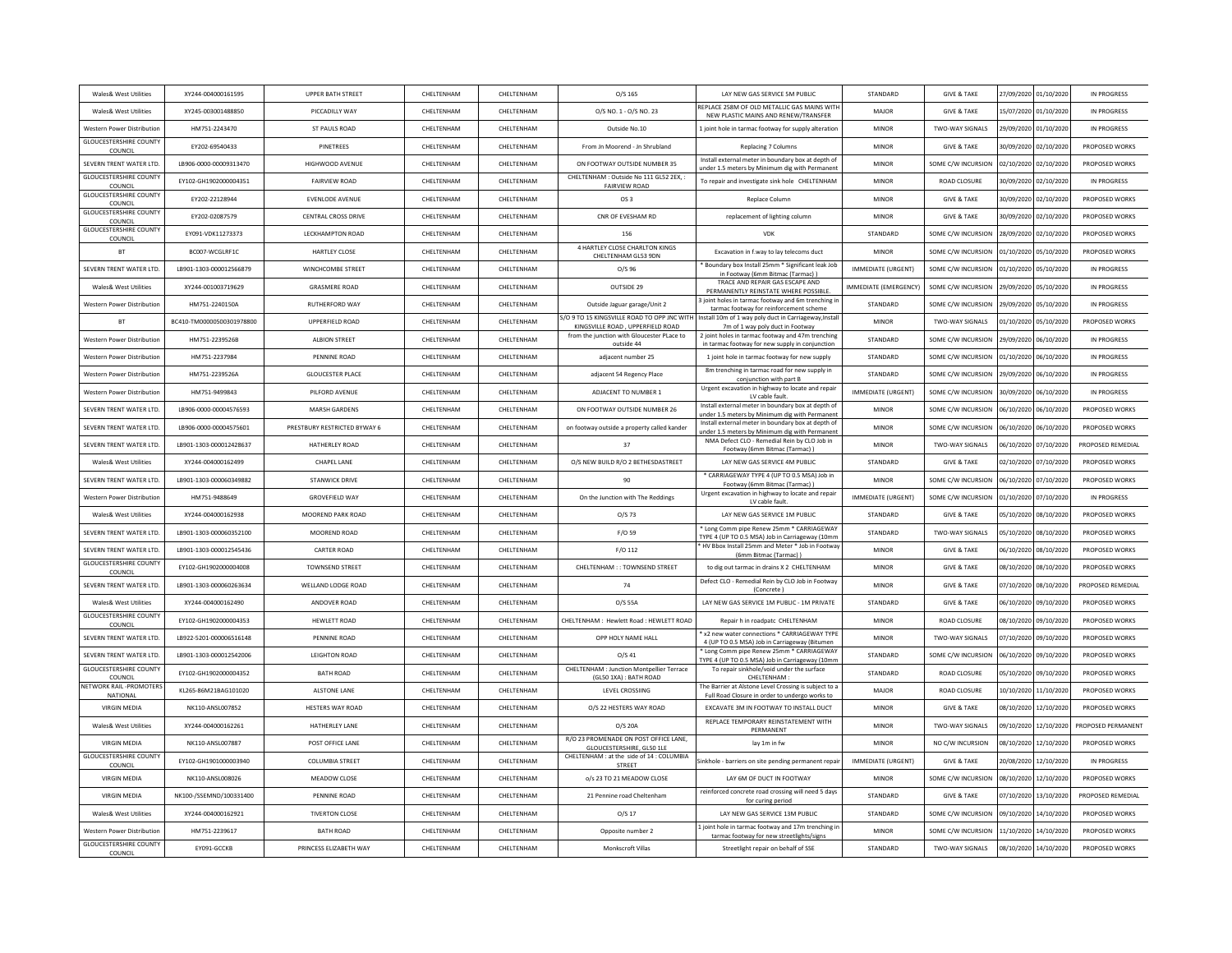| Wales& West Utilities                                             | XY244-004000161595        | UPPER BATH STREET            | CHELTENHAM | CHELTENHAM        | O/S 165                                                                        | LAY NEW GAS SERVICE 5M PUBLIC                                                                        | STANDARD                 | <b>GIVE &amp; TAKE</b> |                       | 27/09/2020 01/10/2020 | IN PROGRESS        |
|-------------------------------------------------------------------|---------------------------|------------------------------|------------|-------------------|--------------------------------------------------------------------------------|------------------------------------------------------------------------------------------------------|--------------------------|------------------------|-----------------------|-----------------------|--------------------|
| <b>Wales&amp; West Utilities</b>                                  | XY245-003001488850        | PICCADILLY WAY               | CHELTENHAM | CHELTENHAM        | 0/S NO. 1 - 0/S NO. 23                                                         | REPLACE 258M OF OLD METALLIC GAS MAINS WITH<br>NEW PLASTIC MAINS AND RENEW/TRANSFER                  | MAJOR                    | <b>GIVE &amp; TAKE</b> |                       | 15/07/2020 01/10/2020 | IN PROGRESS        |
| Western Power Distribution                                        | HM751-2243470             | ST PAULS ROAD                | CHELTENHAM | CHELTENHAM        | Outside No.10                                                                  | Ljoint hole in tarmac footway for supply alteratior                                                  | MINOR                    | TWO-WAY SIGNALS        | 29/09/2020 01/10/2020 |                       | IN PROGRESS        |
| <b>GLOUCESTERSHIRE COUNTY</b><br>COUNCIL                          | EY202-69540433            | PINETREES                    | CHELTENHAM | CHELTENHAM        | From Jn Moorend - Jn Shrubland                                                 | <b>Replacing 7 Columns</b>                                                                           | MINOR                    | <b>GIVE &amp; TAKE</b> |                       | 30/09/2020 02/10/2020 | PROPOSED WORKS     |
| SEVERN TRENT WATER LTD.                                           | LB906-0000-00009313470    | HIGHWOOD AVENUE              | CHELTENHAM | CHELTENHAM        | ON FOOTWAY OUTSIDE NUMBER 35                                                   | Install external meter in boundary box at depth of<br>under 1.5 meters by Minimum dig with Permaner  | MINOR                    | SOME C/W INCURSION     |                       | 02/10/2020 02/10/2020 | PROPOSED WORKS     |
| <b>GLOUCESTERSHIRE COUNT</b><br>COUNCIL                           | EY102-GH1902000004351     | <b>FAIRVIEW ROAD</b>         | CHELTENHAM | CHELTENHAM        | CHELTENHAM : Outside No 111 GL52 2EX.<br><b>FAIRVIEW ROAD</b>                  | To repair and investigate sink hole CHELTENHAM                                                       | MINOR                    | <b>ROAD CLOSURE</b>    | 30/09/2020            | 02/10/2020            | IN PROGRESS        |
| <b>GLOUCESTERSHIRE COUNTY</b><br>COUNCIL                          | EY202-22128944            | EVENLODE AVENUE              | CHELTENHAM | CHELTENHAM        | OS <sub>3</sub>                                                                | Replace Column                                                                                       | MINOR                    | <b>GIVE &amp; TAKE</b> | 30/09/2020            | 02/10/2020            | PROPOSED WORKS     |
| <b>GLOUCESTERSHIRE COUNT</b><br>COUNCIL                           | EY202-02087579            | <b>CENTRAL CROSS DRIVE</b>   | CHEITENHAM | CHELTENHAM        | CNR OF EVESHAM RD                                                              | replacement of lighting column                                                                       | <b>MINOR</b>             | <b>GIVE &amp; TAKE</b> |                       | 30/09/2020 02/10/2020 | PROPOSED WORKS     |
| <b>GLOUCESTERSHIRE COUNTY</b><br>COUNCIL                          | EY091-VDK11273373         | LECKHAMPTON ROAD             | CHELTENHAM | CHELTENHAM        | 156                                                                            | <b>VDK</b>                                                                                           | STANDARD                 | SOME C/W INCURSION     |                       | 28/09/2020 02/10/2020 | PROPOSED WORKS     |
| <b>BT</b>                                                         | BC007-WCGLRF1C            | <b>HARTLEY CLOSE</b>         | CHELTENHAM | CHELTENHAM        | 4 HARTLEY CLOSE CHARLTON KINGS<br>CHELTENHAM GL53 9DN                          | Excavation in f.way to lay telecoms duct                                                             | <b>MINOR</b>             | SOME C/W INCURSION     | 01/10/2020            | 05/10/2020            | PROPOSED WORKS     |
| SEVERN TRENT WATER LTD                                            | LB901-1303-000012566879   | <b>WINCHCOMBE STREET</b>     | CHELTENHAM | CHELTENHAM        | $O/S$ 96                                                                       | Boundary box Install 25mm * Significant leak Job<br>in Footway (6mm Bitmac (Tarmac))                 | <b>IMMEDIATE (URGENT</b> | SOME C/W INCURSION     | 01/10/2020            | 05/10/2020            | IN PROGRESS        |
| Wales& West Utilities                                             | XY244-001003719629        | <b>GRASMERE ROAD</b>         | CHELTENHAM | CHELTENHAM        | OUTSIDE 29                                                                     | TRACE AND REPAIR GAS ESCAPE AND<br>PERMANENTLY REINSTATE WHERE POSSIBLE                              | IMMEDIATE (EMERGENCY)    | SOME C/W INCURSION     |                       | 29/09/2020 05/10/2020 | IN PROGRESS        |
| Western Power Distribution                                        | HM751-2240150A            | <b>RUTHERFORD WAY</b>        | CHEITENHAM | CHEITENHAM        | Outside Jaguar garage/Unit 2                                                   | 3 joint holes in tarmac footway and 6m trenching i<br>tarmac footway for reinforcement scheme        | STANDARD                 | SOME C/W INCURSION     | 29/09/2020            | 05/10/2020            | IN PROGRESS        |
| <b>BT</b>                                                         | BC410-TM00000500301978800 | UPPERFIELD ROAD              | CHELTENHAM | CHELTENHAM        | 5/O 9 TO 15 KINGSVILLE ROAD TO OPP JNC WITH                                    | Install 10m of 1 way poly duct in Carriageway, Instal                                                | <b>MINOR</b>             | <b>TWO-WAY SIGNALS</b> |                       | 01/10/2020 05/10/2020 | PROPOSED WORKS     |
| Western Power Distribution                                        | HM751-2239526B            | ALBION STREET                | CHELTENHAM | CHELTENHAM        | KINGSVILLE ROAD, UPPERFIELD ROAD<br>from the junction with Gloucester PLace to | 7m of 1 way poly duct in Footway<br>2 joint holes in tarmac footway and 47m trenching                | STANDARD                 | SOME C/W INCURSION     | 29/09/2020            | 06/10/2020            | IN PROGRESS        |
| Western Power Distribution                                        | HM751-2237984             | PENNINE ROAD                 | CHELTENHAM | CHELTENHAM        | outside 44<br>adjacent number 25                                               | in tarmac footway for new supply in conjunction<br>1 joint hole in tarmac footway for new supply     | STANDARD                 | SOME C/W INCURSION     | 01/10/2020            | 06/10/2020            | IN PROGRESS        |
| <b>Western Power Distribution</b>                                 | HM751-2239526A            | <b>GLOUCESTER PLACE</b>      | CHFITENHAM | CHEITENHAM        | adjacent 54 Regency Place                                                      | 8m trenching in tarmac road for new supply in                                                        | STANDARD                 | SOME C/W INCURSION     | 29/09/2020            | 06/10/2020            | IN PROGRESS        |
| Western Power Distribution                                        | HM751-9499843             | PILFORD AVENUE               | CHELTENHAM | CHELTENHAM        | ADJACENT TO NUMBER 1                                                           | conjunction with part B<br>Urgent excavation in highway to locate and repai                          | <b>IMMEDIATE (URGENT</b> | SOME C/W INCURSION     | 30/09/2020            | 06/10/2020            | IN PROGRESS        |
| SEVERN TRENT WATER LTD.                                           | LB906-0000-00004576593    | <b>MARSH GARDENS</b>         | CHELTENHAM | CHELTENHAM        | ON FOOTWAY OUTSIDE NUMBER 26                                                   | LV cable fault.<br>Install external meter in boundary box at depth of                                | <b>MINOR</b>             | SOME C/W INCURSION     | 06/10/2020            | 06/10/2020            | PROPOSED WORKS     |
| SEVERN TRENT WATER LTD.                                           | LB906-0000-00004575601    | PRESTBURY RESTRICTED BYWAY 6 | CHELTENHAM | CHELTENHAM        | on footway outside a property called kander                                    | nder 1.5 meters by Minimum dig with Permaner<br>Install external meter in boundary box at depth of   | MINOR                    | SOME C/W INCURSION     | 06/10/2020            | 06/10/2020            | PROPOSED WORKS     |
| SEVERN TRENT WATER LTD.                                           | LB901-1303-000012428637   | HATHERLEY ROAD               | CHELTENHAM | CHELTENHAM        | 37                                                                             | under 1.5 meters by Minimum dig with Permanent<br>NMA Defect CLO - Remedial Rein by CLO Job in       | <b>MINOR</b>             | <b>TWO-WAY SIGNALS</b> | 06/10/2020            | 07/10/2020            | PROPOSED REMEDIAL  |
| Wales& West Utilities                                             | XY244-004000162499        | CHAPEL LANE                  | CHELTENHAM | CHELTENHAM        | O/S NEW BUILD R/O 2 BETHESDASTREET                                             | Footway (6mm Bitmac (Tarmac) )<br>LAY NEW GAS SERVICE 4M PUBLIC                                      | STANDARD                 | <b>GIVE &amp; TAKE</b> |                       | 02/10/2020 07/10/2020 | PROPOSED WORKS     |
| SEVERN TRENT WATER LTD                                            | LB901-1303-000060349882   | <b>STANWICK DRIVE</b>        | CHELTENHAM | CHELTENHAM        | 90                                                                             | * CARRIAGEWAY TYPE 4 (UP TO 0.5 MSA) Job in                                                          | <b>MINOR</b>             | SOME C/W INCURSION     |                       | 06/10/2020 07/10/2020 | PROPOSED WORKS     |
| Western Power Distribution                                        | HM751-9488649             | <b>GROVEFIELD WAY</b>        | CHELTENHAM | CHELTENHAM        | On the Junction with The Reddings                                              | Footway (6mm Bitmac (Tarmac) )<br>Urgent excavation in highway to locate and repai                   | IMMEDIATE (URGENT)       | SOME C/W INCURSION     | 01/10/2020            | 07/10/2020            | IN PROGRESS        |
| Wales& West Utilities                                             | XY244-004000162938        | MOOREND PARK ROAD            | CHELTENHAM | CHELTENHAM        | $O/S$ 73                                                                       | LV cable faul<br>LAY NEW GAS SERVICE 1M PUBLIC                                                       | STANDARD                 | <b>GIVE &amp; TAKE</b> | 05/10/2020            | 08/10/2020            | PROPOSED WORKS     |
|                                                                   | LB901-1303-000060352100   | MOOREND ROAD                 | CHELTENHAM |                   |                                                                                | Long Comm pipe Renew 25mm * CARRIAGEWAY                                                              |                          | <b>TWO-WAY SIGNALS</b> |                       |                       | PROPOSED WORKS     |
| SEVERN TRENT WATER LTD                                            |                           |                              |            | CHELTENHAM        | F/O 59                                                                         | TYPE 4 (UP TO 0.5 MSA) Job in Carriageway (10mm<br>" HV Bbox Install 25mm and Meter * Job in Footway | STANDARD                 |                        | 05/10/2020            | 08/10/2020            |                    |
| SEVERN TRENT WATER LTD.<br><b>GLOUCESTERSHIRE COUNTY</b>          | LB901-1303-000012545436   | CARTER ROAD                  | CHELTENHAM | CHELTENHAM        | F/O 112                                                                        | (6mm Bitmac (Tarmac))                                                                                | MINOR                    | <b>GIVE &amp; TAKE</b> | 06/10/2020            | 08/10/2020            | PROPOSED WORKS     |
| COUNCIL                                                           | EY102-GH1902000004008     | <b>TOWNSEND STREET</b>       | CHELTENHAM | CHELTENHAM        | CHELTENHAM :: TOWNSEND STREET                                                  | to dig out tarmac in drains X 2 CHELTENHAM<br>Defect CLO - Remedial Rein by CLO Job in Footway       | <b>MINOF</b>             | <b>GIVE &amp; TAKE</b> | 08/10/2020            | 08/10/2020            | PROPOSED WORKS     |
| SEVERN TRENT WATER LTD.                                           | LB901-1303-000060263634   | WELLAND LODGE ROAD           | CHELTENHAM | CHELTENHAM        | 74                                                                             | (Concrete                                                                                            | MINOR                    | <b>GIVE &amp; TAKE</b> | 07/10/2020            | 08/10/2020            | PROPOSED REMEDIAL  |
| <b>Wales&amp; West Utilities</b><br><b>GLOUCESTERSHIRE COUNTY</b> | XY244-004000162490        | ANDOVER ROAD                 | CHELTENHAM | CHELTENHAM        | O/S 55A                                                                        | LAY NEW GAS SERVICE 1M PUBLIC - 1M PRIVATE                                                           | STANDARD                 | <b>GIVE &amp; TAKE</b> |                       | 06/10/2020 09/10/2020 | PROPOSED WORKS     |
| COUNCIL                                                           | FY102-GH1902000004353     | HEWLETT ROAD                 | CHEITENHAM | CHEITENHAM        | CHELTENHAM: Hewlett Road: HEWLETT ROAD                                         | Repair h in roadpatc CHELTENHAM<br>x2 new water connections * CARRIAGEWAY TYPE                       | MINOR                    | ROAD CLOSURE           |                       | 08/10/2020 09/10/2020 | PROPOSED WORKS     |
| SEVERN TRENT WATER LTD.                                           | LB922-5201-000006516148   | PENNINE ROAD                 | CHELTENHAM | CHELTENHAM        | OPP HOLY NAME HALL                                                             | 4 (UP TO 0.5 MSA) Job in Carriageway (Bitumen<br>* Long Comm pipe Renew 25mm * CARRIAGEWAY           | <b>MINOR</b>             | TWO-WAY SIGNALS        |                       | 07/10/2020 09/10/2020 | PROPOSED WORKS     |
| SEVERN TRENT WATER LTD.<br><b>GLOUCESTERSHIRE COUNT</b>           | LB901-1303-000012542006   | <b>LEIGHTON ROAD</b>         | CHELTENHAM | CHELTENHAM        | $O/S$ 41<br>CHELTENHAM : Junction Montpellier Terrace                          | TYPE 4 (UP TO 0.5 MSA) Job in Carriageway (10mm<br>To repair sinkhole/void under the surface         | STANDARD                 | SOME C/W INCURSION     |                       | 06/10/2020 09/10/2020 | PROPOSED WORKS     |
| COUNCIL<br>NETWORK RAIL -PROMOTERS                                | EY102-GH1902000004352     | <b>BATH ROAD</b>             | CHELTENHAM | CHELTENHAM        | (GL50 1XA) : BATH ROAD                                                         | CHELTENHAM<br>The Barrier at Alstone Level Crossing is subject to a                                  | STANDARD                 | <b>ROAD CLOSURE</b>    | 05/10/2020            | 09/10/2020            | PROPOSED WORKS     |
| NATIONAL                                                          | KL265-86M21BAG101020      | <b>ALSTONE LANE</b>          | CHELTENHAM | CHELTENHAM        | LEVEL CROSSIING                                                                | Full Road Closure in order to undergo works to                                                       | MAJOR                    | <b>ROAD CLOSURE</b>    |                       | 10/10/2020 11/10/2020 | PROPOSED WORKS     |
| <b>VIRGIN MEDIA</b>                                               | NK110-ANSL007852          | HESTERS WAY ROAD             | CHEITENHAM | <b>CHEITENHAM</b> | O/S 22 HESTERS WAY ROAD                                                        | EXCAVATE 3M IN FOOTWAY TO INSTALL DUCT                                                               | MINOR                    | <b>GIVE &amp; TAKE</b> |                       | 08/10/2020 12/10/2020 | PROPOSED WORKS     |
| <b>Wales&amp; West Utilities</b>                                  | XY244-004000162261        | HATHERLEY LANE               | CHELTENHAM | CHELTENHAM        | O/S 20A                                                                        | REPLACE TEMPORARY REINSTATEMENT WITH<br>PERMANENT                                                    | <b>MINOR</b>             | <b>TWO-WAY SIGNALS</b> |                       | 09/10/2020 12/10/2020 | PROPOSED PERMANENT |
| <b>VIRGIN MEDIA</b>                                               | NK110-ANSL007887          | POST OFFICE LANE             | CHELTENHAM | CHELTENHAM        | R/O 23 PROMENADE ON POST OFFICE LANE.<br>GLOUCESTERSHIRE, GL50 1LE             | lay 1m in fw                                                                                         | <b>MINOR</b>             | NO C/W INCURSION       | 08/10/2020            | 12/10/2020            | PROPOSED WORKS     |
| <b>GLOUCESTERSHIRE COUNTY</b><br>COUNCIL                          | EY102-GH1901000003940     | <b>COLUMBIA STREET</b>       | CHELTENHAM | CHELTENHAM        | CHELTENHAM : at the side of 14 : COLUMBIA<br><b>STREET</b>                     | Sinkhole - barriers on site pending permanent repai                                                  | IMMEDIATE (URGENT)       | <b>GIVE &amp; TAKE</b> | 20/08/2020            | 12/10/2020            | IN PROGRESS        |
| <b>VIRGIN MEDIA</b>                                               | NK110-ANSL008026          | MEADOW CLOSE                 | CHFITENHAM | CHELTENHAM        | o/s 23 TO 21 MEADOW CLOSE                                                      | LAY 6M OF DUCT IN FOOTWAY                                                                            | MINOR                    | SOME C/W INCURSION     |                       | 08/10/2020 12/10/2020 | PROPOSED WORKS     |
| <b>VIRGIN MEDIA</b>                                               | NK100-/SSEMND/100331400   | PENNINE ROAD                 | CHELTENHAM | CHELTENHAM        | 21 Pennine road Cheltenham                                                     | reinforced concrete road crossing will need 5 days<br>for curing period                              | STANDARD                 | <b>GIVE &amp; TAKE</b> | 07/10/2020            | 13/10/2020            | PROPOSED REMEDIAL  |
| <b>Wales&amp; West Utilities</b>                                  | XY244-004000162921        | <b>TIVERTON CLOSE</b>        | CHELTENHAM | CHELTENHAM        | $O/S$ 17                                                                       | LAY NEW GAS SERVICE 13M PUBLIC                                                                       | STANDARD                 | SOME C/W INCURSION     | 09/10/2020            | 14/10/2020            | PROPOSED WORKS     |
| Western Power Distribution                                        | HM751-2239617             | <b>BATH ROAD</b>             | CHELTENHAM | CHELTENHAM        | Opposite number 2                                                              | 1 joint hole in tarmac footway and 17m trenching i<br>tarmac footway for new streetlights/signs      | <b>MINOR</b>             | SOME C/W INCURSION     |                       | 11/10/2020 14/10/2020 | PROPOSED WORKS     |
| <b>GLOUCESTERSHIRE COUNTY</b><br>COUNCIL                          | EY091-GCCKB               | PRINCESS ELIZABETH WAY       | CHELTENHAM | CHELTENHAM        | Monkscroft Villas                                                              | Streetlight repair on behalf of SSE                                                                  | STANDARD                 | TWO-WAY SIGNALS        | 08/10/2020            | 14/10/2020            | PROPOSED WORKS     |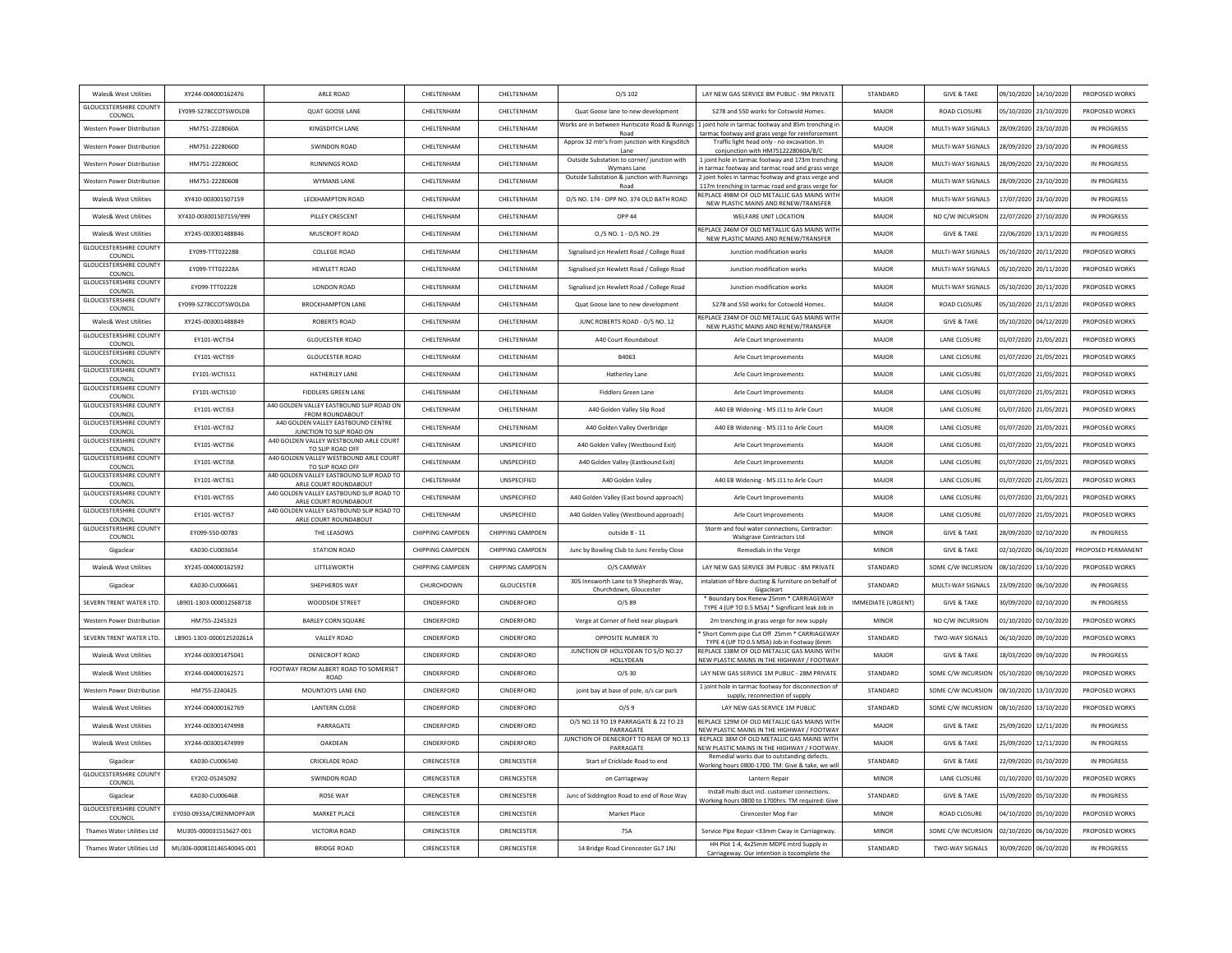| Wales& West Utilities                    | XY244-004000162476        | ARLE ROAD                                                          | CHELTENHAM         | CHELTENHAM              | O/S 102                                                          | LAY NEW GAS SERVICE 8M PUBLIC - 9M PRIVATE                                                                                                            | STANDARD           | <b>GIVE &amp; TAKE</b> |                       | 09/10/2020 14/10/2020 | PROPOSED WORKS     |
|------------------------------------------|---------------------------|--------------------------------------------------------------------|--------------------|-------------------------|------------------------------------------------------------------|-------------------------------------------------------------------------------------------------------------------------------------------------------|--------------------|------------------------|-----------------------|-----------------------|--------------------|
| <b>GLOUCESTERSHIRE COUNTY</b><br>COUNCIL | EY099-S278CCOTSWOLDB      | QUAT GOOSE LANE                                                    | CHELTENHAM         | CHELTENHAM              | Quat Goose lane to new development                               | S278 and S50 works for Cotswold Homes                                                                                                                 | MAJOR              | ROAD CLOSURE           |                       | 05/10/2020 23/10/2020 | PROPOSED WORKS     |
| Western Power Distribution               | HM751-2228060A            | KINGSDITCH LANE                                                    | CHELTENHAM         | CHELTENHAM              | Road                                                             | Works are in between Huntscote Road & Runnigs 1 joint hole in tarmac footway and 85m trenching in<br>tarmac footway and grass verge for reinforcement | MAJOR              | MULTI-WAY SIGNALS      | 28/09/2020 23/10/2020 |                       | IN PROGRESS        |
| <b>Western Power Distribution</b>        | HM751-2228060D            | SWINDON ROAD                                                       | CHEITENHAM         | <b>CHEITENHAM</b>       | Approx 32 mtr's from junction with Kingsditch<br>Lane            | Traffic light head only - no excavation. In<br>conjunction with HM7512228060A/B/C                                                                     | MAIOR              | MULTI-WAY SIGNALS      |                       | 28/09/2020 23/10/2020 | IN PROGRESS        |
| Western Power Distribution               | HM751-2228060C            | <b>RUNNINGS ROAD</b>                                               | CHELTENHAM         | CHELTENHAM              | Outside Substation to corner/ junction with<br>Wymans Lane       | 1 joint hole in tarmac footway and 173m trenching<br>in tarmac footway and tarmac road and grass verge                                                | MAJOR              | MULTI-WAY SIGNALS      |                       | 28/09/2020 23/10/2020 | IN PROGRESS        |
| <b>Western Power Distribution</b>        | HM751-2228060B            | <b>WYMANS LANE</b>                                                 | CHELTENHAM         | CHELTENHAM              | Outside Substation & junction with Runnings<br>Road              | 2 joint holes in tarmac footway and grass verge and<br>117m trenching in tarmac road and grass verge for                                              | MAJOR              | MULTI-WAY SIGNALS      | 28/09/2020            | 23/10/2020            | IN PROGRESS        |
| Wales& West Utilities                    | XY410-003001507159        | <b>LECKHAMPTON ROAD</b>                                            | CHELTENHAM         | CHELTENHAM              | O/S NO. 174 - OPP NO. 374 OLD BATH ROAD                          | REPLACE 498M OF OLD METALLIC GAS MAINS WITH<br>NEW PLASTIC MAINS AND RENEW/TRANSFER                                                                   | MAJOR              | MULTI-WAY SIGNALS      |                       | 17/07/2020 23/10/2020 | IN PROGRESS        |
| Wales& West Utilities                    | XY410-003001507159/999    | PILLEY CRESCENT                                                    | CHEITENHAM         | CHELTENHAM              | OPP 44                                                           | WELFARE UNIT LOCATION                                                                                                                                 | MAJOR              | NO C/W INCURSION       |                       | 22/07/2020 27/10/2020 | IN PROGRESS        |
| Wales& West Utilities                    | XY245-003001488846        | MUSCROFT ROAD                                                      | CHELTENHAM         | CHELTENHAM              | 0./S NO. 1 - 0/S NO. 29                                          | REPLACE 246M OF OLD METALLIC GAS MAINS WITH<br>NEW PLASTIC MAINS AND RENEW/TRANSFER                                                                   | MAJOR              | <b>GIVE &amp; TAKE</b> |                       | 22/06/2020 13/11/2020 | IN PROGRESS        |
| <b>GLOUCESTERSHIRE COUNTY</b><br>COUNCIL | EY099-TTT02228B           | <b>COLLEGE ROAD</b>                                                | CHELTENHAM         | CHELTENHAM              | Signalised icn Hewlett Road / College Road                       | Junction modification works                                                                                                                           | MAJOR              | MULTI-WAY SIGNALS      | 05/10/2020 20/11/2020 |                       | PROPOSED WORKS     |
| <b>GLOUCESTERSHIRE COUNTY</b><br>COUNCIL | EY099-TTT02228A           | HEWLETT ROAD                                                       | CHELTENHAM         | CHELTENHAM              | Signalised jcn Hewlett Road / College Road                       | Junction modification works                                                                                                                           | MAJOR              | MULTI-WAY SIGNALS      | 05/10/2020            | 20/11/2020            | PROPOSED WORKS     |
| <b>GLOUCESTERSHIRE COUNT</b><br>COUNCIL  | EY099-TTT02228            | LONDON ROAD                                                        | CHELTENHAM         | CHELTENHAM              | Signalised jcn Hewlett Road / College Road                       | Junction modification works                                                                                                                           | MAJOR              | MULTI-WAY SIGNALS      |                       | 05/10/2020 20/11/2020 | PROPOSED WORKS     |
| <b>GLOUCESTERSHIRE COUNTY</b><br>COUNCIL | EY099-S278CCOTSWOLDA      | <b>BROCKHAMPTON LANE</b>                                           | CHELTENHAM         | CHELTENHAM              | Quat Goose lane to new development                               | S278 and S50 works for Cotswold Homes                                                                                                                 | MAJOR              | <b>ROAD CLOSURE</b>    | 05/10/2020 21/11/2020 |                       | PROPOSED WORKS     |
| Wales& West Utilities                    | XY245-003001488849        | <b>ROBERTS ROAD</b>                                                | CHELTENHAM         | CHELTENHAM              | JUNC ROBERTS ROAD - O/S NO. 12                                   | REPLACE 234M OF OLD METALLIC GAS MAINS WITH<br>NEW PLASTIC MAINS AND RENEW/TRANSFER                                                                   | MAJOR              | <b>GIVE &amp; TAKE</b> |                       | 05/10/2020 04/12/2020 | PROPOSED WORKS     |
| <b>GLOUCESTERSHIRE COUNTY</b><br>COUNCIL | EY101-WCTIS4              | <b>GLOUCESTER ROAD</b>                                             | CHELTENHAM         | CHELTENHAM              | A40 Court Roundabout                                             | Arle Court Improvements                                                                                                                               | MAJOR              | LANE CLOSURE           |                       | 01/07/2020 21/05/2021 | PROPOSED WORKS     |
| <b>GLOUCESTERSHIRE COUNTY</b><br>COUNCIL | EY101-WCTIS9              | <b>GLOUCESTER ROAD</b>                                             | CHELTENHAM         | CHELTENHAM              | B4063                                                            | Arle Court Improvements                                                                                                                               | MAJOR              | LANE CLOSURE           | 01/07/2020            | 21/05/2021            | PROPOSED WORKS     |
| <b>GLOUCESTERSHIRE COUNTY</b><br>COUNCIL | EY101-WCTIS11             | HATHERLEY LANE                                                     | CHELTENHAM         | CHELTENHAM              | <b>Hatherley Lane</b>                                            | Arle Court Improvements                                                                                                                               | MAJOR              | LANE CLOSURE           | 01/07/2020 21/05/2021 |                       | PROPOSED WORKS     |
| <b>GLOUCESTERSHIRE COUNTY</b><br>COUNCIL | EY101-WCTIS10             | <b>FIDDLERS GREEN LANE</b>                                         | CHELTENHAM         | CHELTENHAM              | <b>Fiddlers Green Lane</b>                                       | Arle Court Improvements                                                                                                                               | MAJOR              | LANE CLOSURE           | 01/07/2020 21/05/2021 |                       | PROPOSED WORKS     |
| <b>GLOUCESTERSHIRE COUNTY</b><br>COUNCIL | EY101-WCTIS3              | A40 GOLDEN VALLEY EASTBOUND SLIP ROAD ON<br><b>FROM ROUNDABOUT</b> | CHELTENHAM         | CHELTENHAM              | A40 Golden Valley Slip Road                                      | A40 EB Widening - M5 J11 to Arle Court                                                                                                                | MAJOR              | LANE CLOSURE           |                       | 01/07/2020 21/05/2021 | PROPOSED WORKS     |
| <b>GLOUCESTERSHIRE COUNTY</b><br>COUNCIL | EY101-WCTIS2              | A40 GOLDEN VALLEY EASTBOUND CENTRE<br>JUNCTION TO SLIP ROAD ON     | CHELTENHAM         | CHELTENHAM              | A40 Golden Valley Overbridge                                     | A40 EB Widening - M5 J11 to Arle Court                                                                                                                | MAJOR              | LANE CLOSURE           | 01/07/2020 21/05/2021 |                       | PROPOSED WORKS     |
| <b>GLOUCESTERSHIRE COUNTY</b><br>COUNCIL | EY101-WCTIS6              | A40 GOLDEN VALLEY WESTBOUND ARLE COURT<br>TO SLIP ROAD OFF         | CHELTENHAM         | UNSPECIFIED             | A40 Golden Valley (Westbound Exit)                               | Arle Court Improvements                                                                                                                               | MAJOR              | LANE CLOSURE           | 01/07/2020            | 21/05/2021            | PROPOSED WORKS     |
| <b>GLOUCESTERSHIRE COUNTY</b><br>COUNCIL | EY101-WCTIS8              | A40 GOLDEN VALLEY WESTBOUND ARLE COURT<br>TO SLIP ROAD OFF         | CHELTENHAM         | UNSPECIFIED             | A40 Golden Valley (Eastbound Exit)                               | Arle Court Improvements                                                                                                                               | MAJOR              | LANE CLOSURE           |                       | 01/07/2020 21/05/2021 | PROPOSED WORKS     |
| <b>GLOUCESTERSHIRE COUNTY</b><br>COUNCIL | FY101-WCTIS1              | A40 GOLDEN VALLEY EASTBOUND SLIP ROAD TO<br>ARLE COURT ROUNDABOUT  | CHEITENHAM         | <b>UNSPECIFIED</b>      | A40 Golden Valley                                                | A40 EB Widening - M5 J11 to Arle Court                                                                                                                | MAIOR              | <b>LANE CLOSURE</b>    |                       | 01/07/2020 21/05/2021 | PROPOSED WORKS     |
| <b>GLOUCESTERSHIRE COUNTY</b><br>COUNCIL | EY101-WCTIS5              | A40 GOLDEN VALLEY EASTBOUND SLIP ROAD TO<br>ARLE COURT ROUNDABOUT  | CHELTENHAM         | UNSPECIFIED             | A40 Golden Valley (East bound approach)                          | Arle Court Improvements                                                                                                                               | MAJOR              | LANE CLOSURE           | 01/07/2020 21/05/2021 |                       | PROPOSED WORKS     |
| <b>GLOUCESTERSHIRE COUNTY</b><br>COUNCIL | EY101-WCTIS7              | A40 GOLDEN VALLEY EASTBOUND SLIP ROAD TO<br>ARLE COURT ROUNDABOUT  | CHELTENHAM         | UNSPECIFIED             | A40 Golden Valley (Westbound approach)                           | Arle Court Improvements                                                                                                                               | MAJOR              | <b>LANE CLOSURE</b>    | 01/07/2020 21/05/2021 |                       | PROPOSED WORKS     |
| <b>GLOUCESTERSHIRE COUNTY</b><br>COUNCIL | EY099-S50-00783           | THE LEASOWS                                                        | CHIPPING CAMPDEN   | <b>CHIPPING CAMPDEN</b> | outside 8 - 11                                                   | Storm and foul water connections, Contractor:<br><b>Walsgrave Contractors Ltd</b>                                                                     | <b>MINOR</b>       | <b>GIVE &amp; TAKE</b> | 28/09/2020 02/10/2020 |                       | IN PROGRESS        |
| Gigaclear                                | KA030-CU003654            | <b>STATION ROAD</b>                                                | CHIPPING CAMPDEN   | CHIPPING CAMPDEN        | Junc by Bowling Club to Junc Fereby Close                        | Remedials in the Verge                                                                                                                                | MINOR              | <b>GIVE &amp; TAKE</b> |                       | 02/10/2020 06/10/2020 | PROPOSED PERMANENT |
| Wales& West Utilities                    | XY245-004000162592        | LITTLEWORTH                                                        | CHIPPING CAMPDEN   | <b>CHIPPING CAMPDEN</b> | O/S CAMWAY                                                       | LAY NEW GAS SERVICE 3M PUBLIC - 8M PRIVATE                                                                                                            | STANDARD           | SOME C/W INCURSION     |                       | 08/10/2020 13/10/2020 | PROPOSED WORKS     |
| Gigaclear                                | KA030-CU006661            | SHEPHERDS WAY                                                      | CHURCHDOWN         | <b>GLOUCESTER</b>       | 305 Innsworth Lane to 9 Shepherds Way,<br>Churchdown, Gloucester | intalation of fibre ducting & furniture on behalf of<br>Gigacleart                                                                                    | STANDARD           | MULTI-WAY SIGNALS      | 23/09/2020            | 06/10/2020            | IN PROGRESS        |
| SEVERN TRENT WATER LTD                   | LB901-1303-000012568718   | WOODSIDE STREET                                                    | CINDERFORD         | CINDERFORD              | $O/S$ 89                                                         | * Boundary box Renew 25mm * CARRIAGEWAY<br>TYPE 4 (UP TO 0.5 MSA) * Significant leak Job in                                                           | IMMEDIATE (URGENT) | <b>GIVE &amp; TAKE</b> | 30/09/2020 02/10/2020 |                       | IN PROGRESS        |
| Western Power Distribution               | HM755-2245323             | <b>BARLEY CORN SQUARE</b>                                          | CINDERFORD         | CINDERFORD              | Verge at Corner of field near playpark                           | 2m trenching in grass verge for new supply                                                                                                            | MINOR              | NO C/W INCURSION       | 01/10/2020 02/10/2020 |                       | PROPOSED WORKS     |
| SEVERN TRENT WATER LTD.                  | LB901-1303-000012520261A  | VALLEY ROAD                                                        | CINDERFORD         | CINDERFORD              | OPPOSITE NUMBER 70                                               | Short Comm pipe Cut Off 25mm * CARRIAGEWAY<br>TYPE 4 (UP TO 0.5 MSA) Job in Footway (6mm                                                              | STANDARD           | TWO-WAY SIGNALS        |                       | 06/10/2020 09/10/2020 | PROPOSED WORKS     |
| Wales& West Utilities                    | XY244-003001475041        | DENECROFT ROAD                                                     | CINDERFORD         | CINDERFORD              | JUNCTION OF HOLLYDEAN TO S/O NO.27<br>HOLLYDEAN                  | REPLACE 138M OF OLD METALLIC GAS MAINS WITH<br>NEW PLASTIC MAINS IN THE HIGHWAY / FOOTWAY                                                             | MAJOR              | <b>GIVE &amp; TAKE</b> | 18/03/2020 09/10/2020 |                       | IN PROGRESS        |
| Wales& West Utilities                    | XY244-004000162571        | FOOTWAY FROM ALBERT ROAD TO SOMERSET<br><b>ROAD</b>                | CINDERFORD         | CINDERFORD              | $O/S$ 30                                                         | LAY NEW GAS SERVICE 1M PUBLIC - 28M PRIVATE                                                                                                           | STANDARD           | SOME C/W INCURSION     |                       | 05/10/2020 09/10/2020 | PROPOSED WORKS     |
| <b>Nestern Power Distributio</b>         | HM755-2240425             | MOUNTJOYS LANE END                                                 | CINDERFORD         | CINDERFORD              | joint bay at base of pole, o/s car park                          | 1 joint hole in tarmac footway for disconnection of<br>supply, reconnection of supply                                                                 | STANDARD           | SOME C/W INCURSION     |                       | 08/10/2020 13/10/2020 | PROPOSED WORKS     |
| Wales& West Utilities                    | XY244-004000162769        | <b>LANTERN CLOSE</b>                                               | CINDERFORD         | CINDERFORD              | O/SS                                                             | LAY NEW GAS SERVICE 1M PUBLIC                                                                                                                         | STANDARD           | SOME C/W INCURSION     | 08/10/2020 13/10/2020 |                       | PROPOSED WORKS     |
| Wales& West Utilities                    | XY244-003001474998        | PARRAGATE                                                          | CINDERFORD         | CINDERFORD              | O/S NO.13 TO 19 PARRAGATE & 22 TO 23<br>PARRAGATE                | REPLACE 129M OF OLD METALLIC GAS MAINS WITH<br>NEW PLASTIC MAINS IN THE HIGHWAY / FOOTWAY                                                             | MAJOR              | <b>GIVE &amp; TAKE</b> | 25/09/2020 12/11/2020 |                       | IN PROGRESS        |
| Wales& West Utilities                    | XY244-003001474999        | OAKDEAN                                                            | CINDERFORD         | CINDERFORD              | JUNCTION OF DENECROFT TO REAR OF NO.13<br>PARRAGATE              | REPLACE 38M OF OLD METALLIC GAS MAINS WITH<br>NEW PLASTIC MAINS IN THE HIGHWAY / FOOTWAY                                                              | MAJOR              | <b>GIVE &amp; TAKE</b> |                       | 25/09/2020 12/11/2020 | IN PROGRESS        |
| Gigaclear                                | KA030-CU006540            | CRICKLADE ROAD                                                     | CIRENCESTER        | CIRENCESTER             | Start of Cricklade Road to end                                   | Remedial works due to outstanding defects.<br>Norking hours 0800-1700. TM: Give & take, we wil                                                        | STANDARD           | <b>GIVE &amp; TAKE</b> | 22/09/2020 01/10/2020 |                       | IN PROGRESS        |
| <b>GLOUCESTERSHIRE COUNTY</b><br>COUNCIL | FY202-05245092            | SWINDON ROAD                                                       | CIRENCESTER        | <b>CIRENCESTER</b>      | on Carriageway                                                   | Lantern Repair                                                                                                                                        | <b>MINOR</b>       | <b>LANE CLOSURE</b>    |                       | 01/10/2020 01/10/2020 | PROPOSED WORKS     |
| Gigaclear                                | KA030-CU006468            | <b>ROSE WAY</b>                                                    | <b>CIRENCESTER</b> | <b>CIRENCESTER</b>      | Junc of Siddington Road to end of Rose Way                       | Install multi duct incl. customer connections                                                                                                         | STANDARD           | <b>GIVE &amp; TAKE</b> | 15/09/2020 05/10/2020 |                       | IN PROGRESS        |
| <b>GLOUCESTERSHIRE COUNTY</b><br>COUNCIL | EY030-0933A/CIRENMOPFAIR  | <b>MARKET PLACE</b>                                                | CIRENCESTER        | CIRENCESTER             | <b>Market Place</b>                                              | Working hours 0800 to 1700hrs. TM required: Give<br>Cirencester Mop Fair                                                                              | <b>MINOR</b>       | <b>ROAD CLOSURE</b>    |                       | 04/10/2020 05/10/2020 | PROPOSED WORKS     |
| <b>Thames Water Utilities Ltd</b>        | MU305-000031515627-001    | <b>VICTORIA ROAD</b>                                               | CIRENCESTER        | CIRENCESTER             | 75A                                                              | Service Pipe Repair <33mm Cway in Carriageway                                                                                                         | <b>MINOR</b>       | SOME C/W INCURSION     | 02/10/2020 06/10/2020 |                       | PROPOSED WORKS     |
| <b>Thames Water Utilities Ltd</b>        | MU306-000810146540045-001 | <b>BRIDGE ROAD</b>                                                 | CIRENCESTER        | <b>CIRENCESTER</b>      | 14 Bridge Road Cirencester GL7 1NJ                               | HH Plot 1-4, 4x25mm MDPE mtrd Supply in                                                                                                               | STANDARD           | <b>TWO-WAY SIGNALS</b> | 30/09/2020            | 06/10/2020            | IN PROGRESS        |
|                                          |                           |                                                                    |                    |                         |                                                                  | Carriageway. Our intention is tocomplete the                                                                                                          |                    |                        |                       |                       |                    |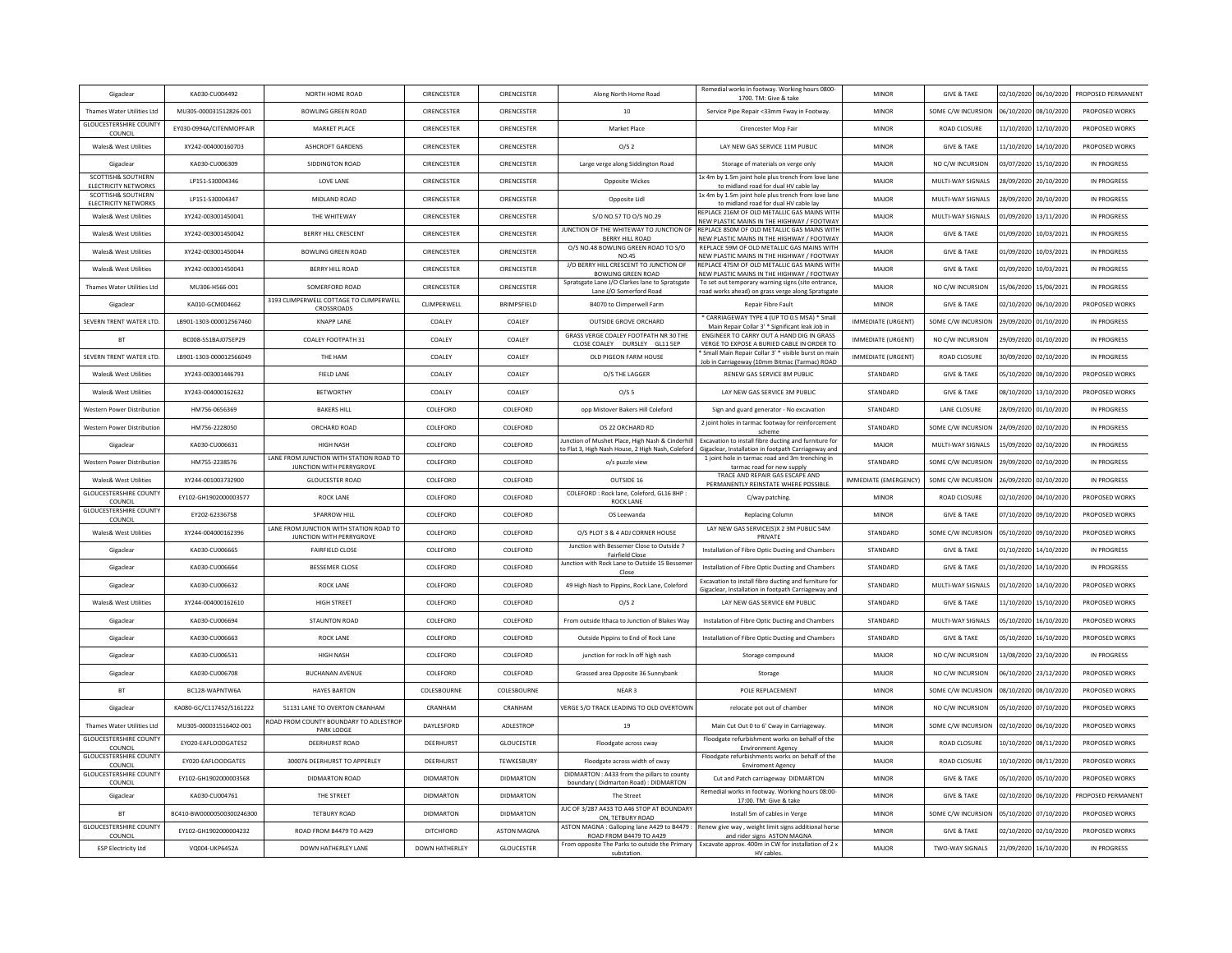| Gigaclear                                             | KA030-CU004492            | NORTH HOME ROAD                                                     | CIRENCESTER           | CIRENCESTER        | Along North Home Road                                                               | Remedial works in footway. Working hours 0800-                                                               | <b>MINOR</b>              | <b>GIVE &amp; TAKE</b> |            | 02/10/2020 06/10/2020 | PROPOSED PERMANENT |
|-------------------------------------------------------|---------------------------|---------------------------------------------------------------------|-----------------------|--------------------|-------------------------------------------------------------------------------------|--------------------------------------------------------------------------------------------------------------|---------------------------|------------------------|------------|-----------------------|--------------------|
| Thames Water Utilities Ltd                            | MU305-000031512826-001    | <b>BOWLING GREEN ROAD</b>                                           | CIRENCESTER           | CIRENCESTER        | 10                                                                                  | 1700. TM: Give & take<br>Service Pipe Repair <33mm Fway in Footway.                                          | MINOR                     | SOME C/W INCURSION     | 06/10/2020 | 08/10/2020            | PROPOSED WORKS     |
| <b>GLOUCESTERSHIRE COUNTY</b>                         | EY030-0994A/CITENMOPFAIR  | <b>MARKET PLACE</b>                                                 | CIRENCESTER           | CIRENCESTER        | Market Place                                                                        | Cirencester Mop Fair                                                                                         | <b>MINOR</b>              | <b>ROAD CLOSURE</b>    | 11/10/2020 | 12/10/2020            | PROPOSED WORKS     |
| COUNCIL<br>Wales& West Utilities                      | XY242-004000160703        | <b>ASHCROFT GARDENS</b>                                             | <b>CIRENCESTER</b>    | <b>CIRENCESTER</b> | 0/s <sub>2</sub>                                                                    | LAY NEW GAS SERVICE 11M PUBLIC.                                                                              | <b>MINOR</b>              | <b>GIVE &amp; TAKE</b> |            | 11/10/2020 14/10/2020 | PROPOSED WORKS     |
| Gigaclear                                             | KA030-CU006309            | SIDDINGTON ROAD                                                     | CIRENCESTER           | CIRENCESTER        | Large verge along Siddington Road                                                   | Storage of materials on verge only                                                                           | MAJOR                     | NO C/W INCURSION       |            | 03/07/2020 15/10/2020 | IN PROGRESS        |
| <b>SCOTTISH&amp; SOUTHERN</b>                         | LP151-S30004346           | LOVE LANE                                                           | CIRENCESTER           | CIRENCESTER        | <b>Opposite Wickes</b>                                                              | 1x 4m by 1.5m joint hole plus trench from love lane                                                          | MAJOR                     | MULTI-WAY SIGNALS      | 28/09/2020 | 20/10/2020            | IN PROGRESS        |
| ELECTRICITY NETWORKS<br><b>SCOTTISH&amp; SOUTHERN</b> | LP151-S30004347           | MIDI AND ROAD                                                       | CIRENCESTER           | CIRENCESTER        | Opposite Lidl                                                                       | to midland road for dual HV cable lay<br>1x 4m by 1.5m joint hole plus trench from love lane                 | MAJOR                     | MULTI-WAY SIGNALS      | 28/09/2020 | 20/10/2020            | IN PROGRESS        |
| <b>ELECTRICITY NETWORKS</b><br>Wales& West Utilities  | XY242-003001450041        | THE WHITEWAY                                                        | <b>CIRENCESTER</b>    | <b>CIRENCESTER</b> | S/O NO.57 TO O/S NO.29                                                              | to midland road for dual HV cable lay<br>REPLACE 216M OF OLD METALLIC GAS MAINS WITH                         | MAJOR                     | MULTI-WAY SIGNALS      |            | 01/09/2020 13/11/2020 | IN PROGRESS        |
| <b>Wales&amp; West Utilities</b>                      | XY242-003001450042        | <b>BERRY HILL CRESCENT</b>                                          | CIRENCESTER           | CIRENCESTER        | JUNCTION OF THE WHITEWAY TO JUNCTION OF                                             | NEW PLASTIC MAINS IN THE HIGHWAY / FOOTWAY<br>REPLACE 850M OF OLD METALLIC GAS MAINS WITH                    | MAJOR                     | <b>GIVE &amp; TAKE</b> | 01/09/2020 | 10/03/2021            | IN PROGRESS        |
| Wales& West Utilities                                 | XY242-003001450044        | <b>BOWLING GREEN ROAD</b>                                           | CIRENCESTER           | CIRENCESTER        | <b>BERRY HILL ROAD</b><br>O/S NO.48 BOWLING GREEN ROAD TO S/O                       | NEW PLASTIC MAINS IN THE HIGHWAY / FOOTWAY<br>REPLACE 59M OF OLD METALLIC GAS MAINS WITH                     | MAJOR                     | <b>GIVE &amp; TAKE</b> |            | 01/09/2020 10/03/2021 | IN PROGRESS        |
| Wales& West Utilities                                 | XY242-003001450043        | BERRY HILL ROAD                                                     | CIRENCESTER           | CIRENCESTER        | <b>NO.45</b><br>J/O BERRY HILL CRESCENT TO JUNCTION OF                              | VEW PLASTIC MAINS IN THE HIGHWAY / FOOTWAY<br>REPLACE 475M OF OLD METALLIC GAS MAINS WITH                    | MAJOR                     | <b>GIVE &amp; TAKE</b> | 01/09/2020 | 10/03/2021            | IN PROGRESS        |
| Thames Water Utilities Ltd                            | MU306-H566-001            | SOMERFORD ROAD                                                      | CIRENCESTER           | CIRENCESTER        | <b>BOWLING GREEN ROAD</b><br>Spratsgate Lane J/O Clarkes lane to Spratsgate         | NEW PLASTIC MAINS IN THE HIGHWAY / FOOTWAY<br>To set out temporary warning signs (site entrance,             | MAJOR                     | NO C/W INCURSION       |            | 15/06/2020 15/06/2021 | IN PROGRESS        |
| Gigaclear                                             | KA010-GCM004662           | 3193 CLIMPERWELL COTTAGE TO CLIMPERWELL                             | CLIMPERWELL           | <b>BRIMPSFIFID</b> | Lane J/O Somerford Road<br>B4070 to Climperwell Farm                                | road works ahead) on grass verge along Spratsgate<br>Repair Fibre Fault                                      | <b>MINOR</b>              | <b>GIVE &amp; TAKE</b> | 02/10/2020 | 06/10/2020            | PROPOSED WORKS     |
| SEVERN TRENT WATER LTD.                               | LB901-1303-000012567460   | CROSSROADS<br><b>KNAPP LANE</b>                                     | COALEY                | COALEY             | <b>OUTSIDE GROVE ORCHARD</b>                                                        | CARRIAGEWAY TYPE 4 (UP TO 0.5 MSA) * Small                                                                   | IMMEDIATE (URGENT)        | SOME C/W INCURSION     |            | 29/09/2020 01/10/2020 | IN PROGRESS        |
| <b>BT</b>                                             | BC008-SS1BAJ07SEP29       | COALEY FOOTPATH 31                                                  | COALEY                | COALEY             | GRASS VERGE COALEY FOOTPATH NR 30 THE                                               | Main Repair Collar 3' * Significant leak Job in<br>ENGINEER TO CARRY OUT A HAND DIG IN GRASS                 | <b>IMMEDIATE (URGENT)</b> | NO C/W INCURSION       |            | 29/09/2020 01/10/2020 | IN PROGRESS        |
| SEVERN TRENT WATER LTD.                               |                           | THE HAM                                                             | COALEY                | COALEY             | CLOSE COALEY DURSLEY GL11 5EP                                                       | VERGE TO EXPOSE A BURIED CABLE IN ORDER TO<br>Small Main Repair Collar 3' * visible burst on mair            |                           |                        |            |                       | IN PROGRESS        |
|                                                       | LB901-1303-000012566049   |                                                                     |                       |                    | OLD PIGEON FARM HOUSE                                                               | Job in Carriageway (10mm Bitmac (Tarmac) ROAD                                                                | IMMEDIATE (URGENT)        | ROAD CLOSURE           | 30/09/2020 | 02/10/2020            |                    |
| Wales& West Utilities                                 | XY243-003001446793        | <b>FIELD LANE</b>                                                   | COALEY                | COALEY             | O/S THE LAGGER                                                                      | RENEW GAS SERVICE 8M PUBLIC                                                                                  | STANDARD                  | <b>GIVE &amp; TAKE</b> | 05/10/2020 | 08/10/2020            | PROPOSED WORKS     |
| Wales& West Utilities                                 | XY243-004000162632        | <b>BETWORTHY</b>                                                    | COALEY                | COALEY             | O/S <sub>5</sub>                                                                    | LAY NEW GAS SERVICE 3M PUBLIC                                                                                | STANDARD                  | <b>GIVE &amp; TAKE</b> | 08/10/2020 | 13/10/2020            | PROPOSED WORKS     |
| Western Power Distribution                            | HM756-0656369             | <b>BAKERS HILL</b>                                                  | COLEFORD              | COLEFORD           | opp Mistover Bakers Hill Coleford                                                   | Sign and guard generator - No excavation<br>2 joint holes in tarmac footway for reinforcement                | STANDARD                  | LANE CLOSURE           |            | 28/09/2020 01/10/2020 | IN PROGRESS        |
| Western Power Distribution                            | HM756-2228050             | ORCHARD ROAD                                                        | COLEFORD              | COLEFORD           | OS 22 ORCHARD RD<br>lunction of Mushet Place, High Nash & Cinderhill                | scheme<br>Excavation to install fibre ducting and furniture for                                              | STANDARD                  | SOME C/W INCURSION     | 24/09/2020 | 02/10/2020            | IN PROGRESS        |
| Gigaclea                                              | KA030-CU006631            | <b>HIGH NASH</b><br>LANE FROM JUNCTION WITH STATION ROAD TO         | COLEFORD              | COLEFORD           | to Flat 3, High Nash House, 2 High Nash, Coleford                                   | Gigaclear, Installation in footpath Carriageway and<br>1 joint hole in tarmac road and 3m trenching in       | MAJOR                     | MULTI-WAY SIGNALS      | 15/09/2020 | 02/10/2020            | IN PROGRESS        |
| Western Power Distribution                            | HM755-2238576             | JUNCTION WITH PERRYGROVE                                            | COLEEORD              | COLEFORD           | o/s puzzle view                                                                     | tarmac road for new supply                                                                                   | <b>STANDARD</b>           | SOME C/W INCURSION     |            | 29/09/2020 02/10/2020 | IN PROGRESS        |
| Wales& West Utilities                                 | XY244-001003732900        | <b>GLOUCESTER ROAD</b>                                              | COLEFORD              | COLEFORD           | OUTSIDE 16                                                                          | TRACE AND REPAIR GAS ESCAPE AND<br>PERMANENTLY REINSTATE WHERE POSSIBLE                                      | IMMEDIATE (EMERGENCY)     | SOME C/W INCURSION     | 26/09/2020 | 02/10/2020            | IN PROGRESS        |
| <b>GLOUCESTERSHIRE COUNTY</b><br>COUNCIL              | EY102-GH1902000003577     | <b>ROCK LANE</b>                                                    | COLEFORD              | COLEFORD           | COLEFORD : Rock lane, Coleford, GL16 8HP :<br><b>ROCK LANE</b>                      | C/way patching.                                                                                              | <b>MINOR</b>              | ROAD CLOSURE           |            | 02/10/2020 04/10/2020 | PROPOSED WORKS     |
| <b>GLOUCESTERSHIRE COUNTY</b><br>COUNCIL              | EY202-62336758            | SPARROW HILL                                                        | COLEFORD              | COLEFORD           | OS Leewanda                                                                         | <b>Replacing Column</b>                                                                                      | <b>MINOF</b>              | <b>GIVE &amp; TAKE</b> | 07/10/2020 | 09/10/2020            | PROPOSED WORKS     |
| Wales& West Utilities                                 | XY244-004000162396        | LANE FROM JUNCTION WITH STATION ROAD TO<br>JUNCTION WITH PERRYGROVE | COLEFORD              | COLEFORD           | O/S PLOT 3 & 4 ADJ CORNER HOUSE                                                     | LAY NEW GAS SERVICE(S)X 2 3M PUBLIC 54M<br>PRIVATE                                                           | STANDARD                  | SOME C/W INCURSION     | 05/10/2020 | 09/10/2020            | PROPOSED WORKS     |
| Gigaclear                                             | KA030-CU006665            | <b>FAIRFIELD CLOSE</b>                                              | COLEFORD              | COLEFORD           | Junction with Bessemer Close to Outside 7<br>Fairfield Close                        | Installation of Fibre Optic Ducting and Chambers                                                             | STANDARD                  | <b>GIVE &amp; TAKE</b> |            | 01/10/2020 14/10/2020 | IN PROGRESS        |
| Gigaclear                                             | KA030-CU006664            | <b>BESSEMER CLOSE</b>                                               | COLEFORD              | COLEFORD           | Junction with Rock Lane to Outside 15 Bessemer<br>Close                             | Installation of Fibre Optic Ducting and Chambers                                                             | STANDARD                  | <b>GIVE &amp; TAKE</b> | 01/10/2020 | 14/10/2020            | IN PROGRESS        |
| Gigaclear                                             | KA030-CU006632            | <b>ROCK LANE</b>                                                    | COLEFORD              | COLEFORD           | 49 High Nash to Pippins, Rock Lane, Coleford                                        | Excavation to install fibre ducting and furniture for<br>Gigaclear, Installation in footpath Carriageway and | STANDARD                  | MULTI-WAY SIGNALS      | 01/10/2020 | 14/10/2020            | PROPOSED WORKS     |
| Wales& West Utilities                                 | XY244-004000162610        | <b>HIGH STREET</b>                                                  | COLEFORD              | COLEFORD           | O/S <sub>2</sub>                                                                    | LAY NEW GAS SERVICE 6M PUBLIC                                                                                | STANDARD                  | <b>GIVE &amp; TAKE</b> |            | 11/10/2020 15/10/2020 | PROPOSED WORKS     |
| Gigaclear                                             | KA030-CU006694            | <b>STAUNTON ROAD</b>                                                | COLEFORD              | COLEFORD           | From outside Ithaca to Junction of Blakes Way                                       | Instalation of Fibre Optic Ducting and Chambers                                                              | STANDARD                  | MULTI-WAY SIGNALS      | 05/10/2020 | 16/10/2020            | PROPOSED WORKS     |
| Gigaclear                                             | KA030-CU006663            | <b>ROCK LANE</b>                                                    | COLEFORD              | COLEFORD           | Outside Pippins to End of Rock Lane                                                 | Installation of Fibre Optic Ducting and Chambers                                                             | STANDARD                  | <b>GIVE &amp; TAKE</b> |            | 05/10/2020 16/10/2020 | PROPOSED WORKS     |
| Gigaclear                                             | KA030-CU006531            | <b>HIGH NASH</b>                                                    | COLEFORD              | COLEFORD           | junction for rock In off high nash                                                  | Storage compound                                                                                             | MAJOR                     | NO C/W INCURSION       |            | 13/08/2020 23/10/2020 | IN PROGRESS        |
| Gigaclear                                             | KA030-CU006708            | <b>BUCHANAN AVENUE</b>                                              | COLEFORD              | COLEFORD           | Grassed area Opposite 36 Sunnybank                                                  | Storage                                                                                                      | MAJOR                     | NO C/W INCURSION       | 06/10/2020 | 23/12/2020            | PROPOSED WORKS     |
| BT                                                    | BC128-WAPNTW6A            | <b>HAYES BARTON</b>                                                 | COLESBOURNE           | COLESBOURNE        | NEAR <sub>3</sub>                                                                   | POLE REPLACEMENT                                                                                             | MINOR                     | SOME C/W INCURSION     | 08/10/2020 | 08/10/2020            | PROPOSED WORKS     |
| Gigaclear                                             | KA080-GC/C117452/S161222  | 51131 LANE TO OVERTON CRANHAM                                       | CRANHAM               | CRANHAM            | VERGE S/O TRACK LEADING TO OLD OVERTOWI                                             | relocate pot out of chamber                                                                                  | <b>MINOR</b>              | NO C/W INCURSION       | 05/10/2020 | 07/10/2020            | PROPOSED WORKS     |
| Thames Water Utilities Ltd                            | MU305-000031516402-001    | ROAD FROM COUNTY BOUNDARY TO ADLESTROP<br>PARK LODGE                | DAYLESFORD            | ADLESTROP          | 19                                                                                  | Main Cut Out 0 to 6' Cway in Carriageway.                                                                    | <b>MINOR</b>              | SOME C/W INCURSION     |            | 02/10/2020 06/10/2020 | PROPOSED WORKS     |
| <b>GLOUCESTERSHIRE COUNTY</b><br>COUNCIL              | EY020-EAFLOODGATES2       | DEERHURST ROAD                                                      | DEERHURST             | GLOUCESTER         | Floodgate across cway                                                               | Floodgate refurbishment works on behalf of the<br><b>Environment Agency</b>                                  | MAJOR                     | ROAD CLOSURE           | 10/10/2020 | 08/11/2020            | PROPOSED WORKS     |
| <b>GLOUCESTERSHIRE COUNTY</b><br>COUNCIL              | EY020-EAFLOODGATES        | 300076 DEERHURST TO APPERLEY                                        | DEERHURST             | <b>TEWKESBURY</b>  | Floodgate across width of cway                                                      | Floodgate refurbishments works on behalf of the<br><b>Enviroment Agency</b>                                  | MAJOR                     | <b>ROAD CLOSURE</b>    | 10/10/2020 | 08/11/2020            | PROPOSED WORKS     |
| <b>GLOUCESTERSHIRE COUNTY</b><br>COUNCIL              | EY102-GH1902000003568     | DIDMARTON ROAD                                                      | <b>DIDMARTON</b>      | <b>DIDMARTON</b>   | DIDMARTON : A433 from the pillars to county<br>boundary (Didmarton Road): DIDMARTON | Cut and Patch carriageway DIDMARTON                                                                          | <b>MINOR</b>              | <b>GIVE &amp; TAKE</b> | 05/10/2020 | 05/10/2020            | PROPOSED WORKS     |
| Gigaclea                                              | KA030-CU004761            | THE STREET                                                          | DIDMARTON             | <b>DIDMARTON</b>   | The Street                                                                          | Remedial works in footway. Working hours 08:00<br>17:00. TM: Give & take                                     | <b>MINOR</b>              | <b>GIVE &amp; TAKE</b> | 02/10/2020 | 06/10/2020            | PROPOSED PERMANENT |
| BT                                                    | BC410-BW00000500300246300 | <b>TETBURY ROAD</b>                                                 | <b>DIDMARTON</b>      | <b>DIDMARTON</b>   | JUC OF 3/287 A433 TO A46 STOP AT BOUNDARY<br>ON. TETBURY ROAD                       | Install 5m of cables in Verge                                                                                | <b>MINOR</b>              | SOME C/W INCURSION     |            | 05/10/2020 07/10/2020 | PROPOSED WORKS     |
| <b>GLOUCESTERSHIRE COUNTY</b>                         | EY102-GH1902000004232     | ROAD FROM B4479 TO A429                                             | DITCHFORD             | <b>ASTON MAGNA</b> | ASTON MAGNA : Galloning lane A429 to B4479                                          | Renew give way, weight limit signs additional horse                                                          | <b>MINOF</b>              | <b>GIVE &amp; TAKE</b> | 02/10/2020 | 02/10/2020            | PROPOSED WORKS     |
| COUNCIL<br><b>ESP Electricity Ltd</b>                 | VQ004-UKP6452A            | DOWN HATHERLEY LANE                                                 | <b>DOWN HATHERLEY</b> | <b>GLOUCESTER</b>  | ROAD FROM B4479 TO A429<br>From opposite The Parks to outside the Primary           | and rider signs ASTON MAGNA<br>Excavate approx. 400m in CW for installation of 2 x                           | MAJOR                     | <b>TWO-WAY SIGNALS</b> | 21/09/2020 | 16/10/2020            | IN PROGRESS        |
|                                                       |                           |                                                                     |                       |                    | substation                                                                          | HV cables                                                                                                    |                           |                        |            |                       |                    |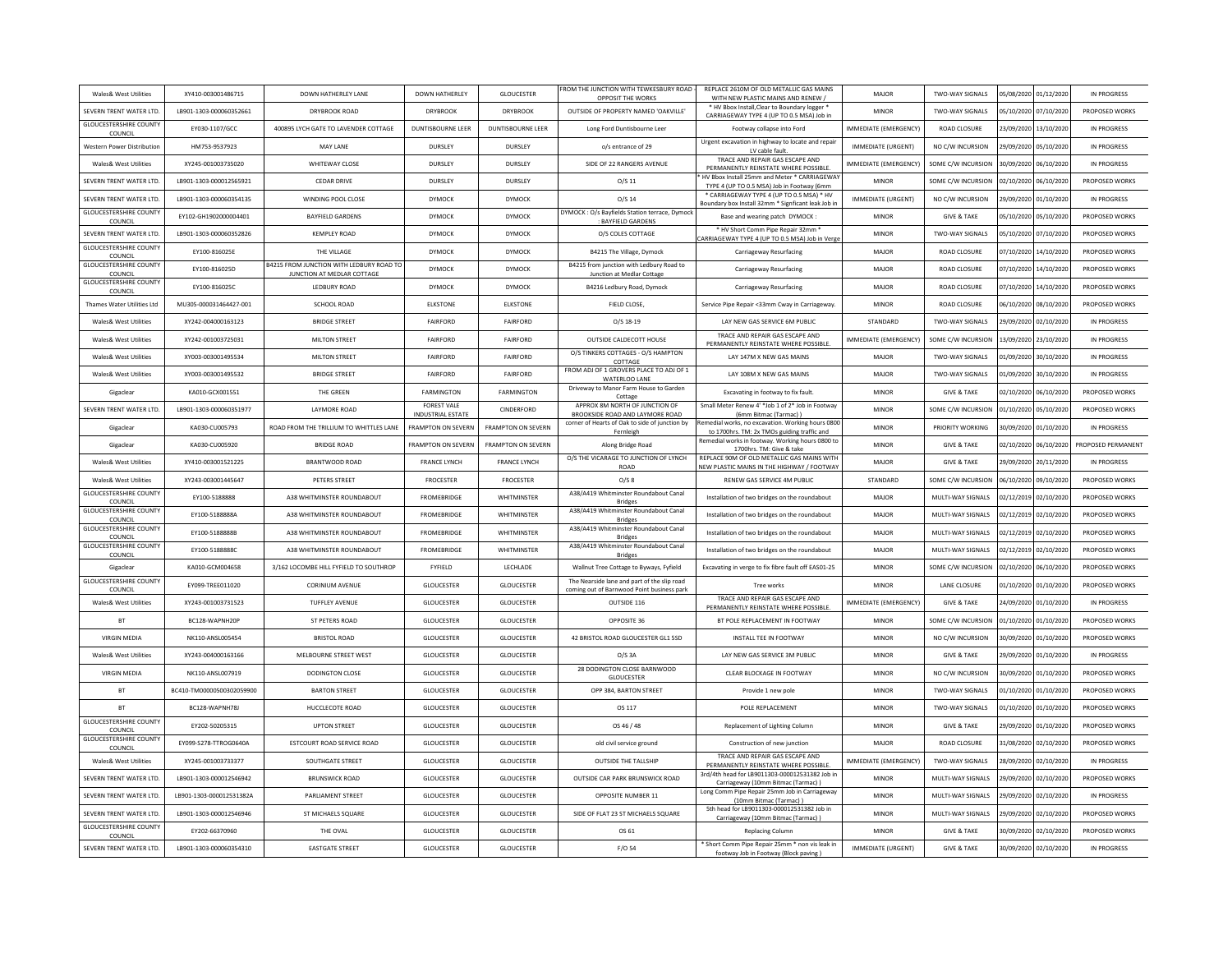| Wales& West Utilities                    | XY410-003001486715        | DOWN HATHERLEY LANE                                                    | <b>DOWN HATHERLEY</b>                          | GLOUCESTER                | FROM THE JUNCTION WITH TEWKESBURY ROAD<br>OPPOSIT THE WORKS                               | REPLACE 2610M OF OLD METALLIC GAS MAINS<br>WITH NEW PLASTIC MAINS AND RENEW /                    | MAJOR                     | TWO-WAY SIGNALS        | 05/08/2020 01/12/2020 | IN PROGRESS        |
|------------------------------------------|---------------------------|------------------------------------------------------------------------|------------------------------------------------|---------------------------|-------------------------------------------------------------------------------------------|--------------------------------------------------------------------------------------------------|---------------------------|------------------------|-----------------------|--------------------|
| SEVERN TRENT WATER LTD                   | LB901-1303-000060352661   | DRYBROOK ROAD                                                          | <b>DRYBROOK</b>                                | <b>DRYBROOK</b>           | OUTSIDE OF PROPERTY NAMED 'OAKVILLE'                                                      | * HV Bbox Install, Clear to Boundary logger<br>CARRIAGEWAY TYPE 4 (UP TO 0.5 MSA) Job in         | <b>MINOF</b>              | TWO-WAY SIGNALS        | 05/10/2020 07/10/2020 | PROPOSED WORKS     |
| <b>GLOUCESTERSHIRE COUNTY</b><br>COUNCI  | EY030-1107/GCC            | 400895 LYCH GATE TO LAVENDER COTTAGE                                   | <b>DUNTISBOURNE LEER</b>                       | DUNTISBOURNE LEER         | Long Ford Duntisbourne Leer                                                               | Footway collapse into Ford                                                                       | IMMEDIATE (EMERGENCY)     | <b>ROAD CLOSURE</b>    | 23/09/2020 13/10/2020 | IN PROGRESS        |
| Western Power Distribution               | HM753-9537923             | <b>MAY LANE</b>                                                        | DURSLEY                                        | DURSLEY                   | o/s entrance of 29                                                                        | Urgent excavation in highway to locate and repair<br>LV cable fault.                             | <b>IMMEDIATE (URGENT)</b> | NO C/W INCURSION       | 29/09/2020 05/10/2020 | IN PROGRESS        |
| Wales& West Utilities                    | XY245-001003735020        | WHITEWAY CLOSE                                                         | DURSLEY                                        | DURSLEY                   | SIDE OF 22 RANGERS AVENUE                                                                 | TRACE AND REPAIR GAS ESCAPE AND<br>PERMANENTLY REINSTATE WHERE POSSIBLE                          | IMMEDIATE (EMERGENCY)     | SOME C/W INCURSION     | 30/09/2020 06/10/2020 | IN PROGRESS        |
| SEVERN TRENT WATER LTD                   | LB901-1303-000012565921   | <b>CEDAR DRIVE</b>                                                     | DURSLEY                                        | DURSLEY                   | O/S <sub>11</sub>                                                                         | HV Bbox Install 25mm and Meter * CARRIAGEWAY<br>TYPE 4 (UP TO 0.5 MSA) Job in Footway (6mm       | <b>MINOF</b>              | SOME C/W INCURSION     | 02/10/2020 06/10/2020 | PROPOSED WORKS     |
| SEVERN TRENT WATER LTD                   | LB901-1303-000060354135   | WINDING POOL CLOSE                                                     | DYMOCK                                         | DYMOCK                    | $O/S$ 14                                                                                  | * CARRIAGEWAY TYPE 4 (UP TO 0.5 MSA) * HV<br>Boundary box Install 32mm * Signficant leak Job in  | IMMEDIATE (URGENT)        | NO C/W INCURSION       | 29/09/2020 01/10/2020 | IN PROGRESS        |
| <b>GLOUCESTERSHIRE COUNT</b><br>COUNCIL  | EY102-GH1902000004401     | <b>BAYFIELD GARDENS</b>                                                | <b>DYMOCK</b>                                  | DYMOCK                    | DYMOCK: O/s Bayfields Station terrace, Dymock<br><b>BAYFIELD GARDENS</b>                  | Base and wearing patch DYMOCK:                                                                   | <b>MINOR</b>              | <b>GIVE &amp; TAKE</b> | 05/10/2020 05/10/2020 | PROPOSED WORKS     |
| SEVERN TRENT WATER LTD                   | LB901-1303-000060352826   | <b>KEMPLEY ROAD</b>                                                    | <b>DYMOCK</b>                                  | <b>DYMOCK</b>             | O/S COLES COTTAGE                                                                         | * HV Short Comm Pipe Repair 32mm *<br>CARRIAGEWAY TYPE 4 (UP TO 0.5 MSA) Job in Verge            | MINOR                     | TWO-WAY SIGNALS        | 05/10/2020 07/10/2020 | PROPOSED WORKS     |
| <b>GLOUCESTERSHIRE COUNTY</b><br>COUNCIL | EY100-816025E             | THE VILLAGE                                                            | <b>DYMOCK</b>                                  | <b>DYMOCK</b>             | B4215 The Village, Dymock                                                                 | Carriageway Resurfacing                                                                          | MAJOR                     | <b>ROAD CLOSURE</b>    | 07/10/2020 14/10/2020 | PROPOSED WORKS     |
| <b>GLOUCESTERSHIRE COUNT</b><br>COUNCIL  | EY100-816025D             | B4215 FROM JUNCTION WITH LEDBURY ROAD TO<br>JUNCTION AT MEDLAR COTTAGE | DYMOCK                                         | <b>DYMOCK</b>             | B4215 from junction with Ledbury Road to<br>Junction at Medlar Cottage                    | Carriageway Resurfacing                                                                          | MAJOR                     | <b>ROAD CLOSURE</b>    | 07/10/2020 14/10/2020 | PROPOSED WORKS     |
| <b>GLOUCESTERSHIRE COUNTY</b><br>COUNCIL | EY100-816025C             | LEDBURY ROAD                                                           | DYMOCK                                         | DYMOCK                    | B4216 Ledbury Road, Dymock                                                                | Carriageway Resurfacing                                                                          | MAJOR                     | ROAD CLOSURE           | 07/10/2020 14/10/2020 | PROPOSED WORKS     |
| Thames Water Utilities Ltd               | MU305-000031464427-001    | SCHOOL ROAD                                                            | <b>FLKSTONE</b>                                | <b>FLKSTONE</b>           | FIELD CLOSE                                                                               | Service Pipe Repair <33mm Cway in Carriageway                                                    | MINOR                     | <b>ROAD CLOSURE</b>    | 06/10/2020 08/10/2020 | PROPOSED WORKS     |
| Wales& West Utilities                    | XY242-004000163123        | <b>BRIDGE STREET</b>                                                   | FAIRFORD                                       | FAIRFORD                  | $O/S$ 18-19                                                                               | LAY NEW GAS SERVICE 6M PUBLIC                                                                    | STANDARD                  | TWO-WAY SIGNALS        | 29/09/2020 02/10/2020 | IN PROGRESS        |
| Wales& West Utilities                    | XY242-001003725031        | MILTON STREET                                                          | FAIRFORD                                       | <b>FAIRFORD</b>           | OUTSIDE CALDECOTT HOUSE                                                                   | TRACE AND REPAIR GAS ESCAPE AND<br>PERMANENTLY REINSTATE WHERE POSSIBLE.                         | MMEDIATE (EMERGENCY)      | SOME C/W INCURSION     | 13/09/2020 23/10/2020 | IN PROGRESS        |
| Wales& West Utilities                    | XY003-003001495534        | MILTON STREET                                                          | FAIRFORD                                       | <b>FAIRFORD</b>           | O/S TINKERS COTTAGES - O/S HAMPTON<br>COTTAGE                                             | LAY 147M X NEW GAS MAINS                                                                         | MAJOR                     | TWO-WAY SIGNALS        | 01/09/2020 30/10/2020 | IN PROGRESS        |
| Wales& West Utilities                    | XY003-003001495532        | <b>BRIDGE STREET</b>                                                   | <b>FAIRFORD</b>                                | <b>FAIRFORD</b>           | FROM ADJ OF 1 GROVERS PLACE TO ADJ OF 1<br>WATERLOO LANE                                  | <b>I AY 108M X NFW GAS MAINS</b>                                                                 | MAIOR                     | TWO-WAY SIGNALS        | 01/09/2020 30/10/2020 | IN PROGRESS        |
| Gigaclear                                | KA010-GCX001551           | THE GREEN                                                              | <b>FARMINGTON</b>                              | <b>FARMINGTON</b>         | Driveway to Manor Farm House to Garden<br>Cottage                                         | Excavating in footway to fix fault.                                                              | <b>MINOF</b>              | <b>GIVE &amp; TAKE</b> | 02/10/2020 06/10/2020 | PROPOSED WORKS     |
| SEVERN TRENT WATER LTD                   | LB901-1303-000060351977   | <b>LAYMORE ROAD</b>                                                    | <b>FOREST VALE</b><br><b>INDUSTRIAL ESTATE</b> | CINDERFORD                | APPROX 8M NORTH OF JUNCTION OF<br>BROOKSIDE ROAD AND LAYMORE ROAD                         | Small Meter Renew 4' *Job 1 of 2* Job in Footway<br>(6mm Bitmac (Tarmac))                        | <b>MINOF</b>              | SOME C/W INCURSION     | 01/10/2020 05/10/2020 | PROPOSED WORKS     |
| Gigaclear                                | KA030-CU005793            | ROAD FROM THE TRILLIUM TO WHITTLES LANE                                | FRAMPTON ON SEVERN                             | <b>FRAMPTON ON SEVERN</b> | corner of Hearts of Oak to side of junction by<br>Fernleigh                               | Remedial works, no excavation, Working hours 0800<br>to 1700hrs. TM: 2x TMOs guiding traffic and | <b>MINOF</b>              | PRIORITY WORKING       | 30/09/2020 01/10/2020 | IN PROGRESS        |
| Gigaclear                                | KA030-CU005920            | <b>BRIDGE ROAD</b>                                                     | <b>FRAMPTON ON SEVERN</b>                      | <b>FRAMPTON ON SEVERN</b> | Along Bridge Road                                                                         | emedial works in footway. Working hours 0800 to<br>1700hrs. TM: Give & take                      | <b>MINOF</b>              | <b>GIVE &amp; TAKE</b> | 02/10/2020 06/10/2020 | PROPOSED PERMANENT |
| Wales& West Utilities                    | XY410-003001521225        | BRANTWOOD ROAD                                                         | <b>FRANCE LYNCH</b>                            | <b>FRANCE LYNCH</b>       | O/S THE VICARAGE TO JUNCTION OF LYNCH<br>ROAD                                             | REPLACE 90M OF OLD METALLIC GAS MAINS WITH<br>NEW PLASTIC MAINS IN THE HIGHWAY / FOOTWAY         | MAJOR                     | <b>GIVE &amp; TAKE</b> | 29/09/2020 20/11/2020 | IN PROGRESS        |
| Wales& West Utilities                    | XY243-003001445647        | PETERS STREET                                                          | <b>FROCESTER</b>                               | <b>FROCESTER</b>          | O/S <sub>8</sub>                                                                          | RENEW GAS SERVICE 4M PUBLIC                                                                      | STANDARD                  | SOME C/W INCURSION     | 06/10/2020 09/10/2020 | PROPOSED WORKS     |
| <b>GLOUCESTERSHIRE COUNT</b><br>COUNCI   | EY100-5188888             | A38 WHITMINSTER ROUNDABOUT                                             | <b>FROMEBRIDGE</b>                             | WHITMINSTER               | A38/A419 Whitminster Roundabout Canal<br><b>Bridges</b>                                   | Installation of two bridges on the roundabout                                                    | MAJOR                     | MULTI-WAY SIGNALS      | 02/12/2019 02/10/2020 | PROPOSED WORKS     |
| <b>GLOUCESTERSHIRE COUNTY</b><br>COUNCIL | EY100-5188888A            | A38 WHITMINSTER ROUNDABOUT                                             | <b>FROMEBRIDGE</b>                             | WHITMINSTER               | A38/A419 Whitminster Roundabout Canal<br><b>Bridges</b>                                   | Installation of two bridges on the roundabout                                                    | MAJOR                     | MULTI-WAY SIGNALS      | 02/12/2019 02/10/2020 | PROPOSED WORKS     |
| <b>GLOUCESTERSHIRE COUNTY</b><br>COUNCIL | EY100-5188888B            | A38 WHITMINSTER ROUNDABOUT                                             | <b>FROMEBRIDGE</b>                             | WHITMINSTER               | A38/A419 Whitminster Roundabout Canal<br><b>Bridges</b>                                   | Installation of two bridges on the roundabout                                                    | MAJOR                     | MULTI-WAY SIGNALS      | 02/12/2019 02/10/2020 | PROPOSED WORKS     |
| <b>GLOUCESTERSHIRE COUNTY</b><br>COUNCIL | EY100-5188888C            | A38 WHITMINSTER ROUNDABOUT                                             | <b>FROMEBRIDGE</b>                             | WHITMINSTER               | A38/A419 Whitminster Roundabout Canal<br><b>Bridges</b>                                   | Installation of two bridges on the roundabout                                                    | MAJOR                     | MULTI-WAY SIGNALS      | 02/12/2019 02/10/2020 | PROPOSED WORKS     |
| Gigaclear                                | KA010-GCM004658           | 3/162 LOCOMBE HILL FYFIELD TO SOUTHRO                                  | FYFIELD                                        | LECHLADE                  | Wallnut Tree Cottage to Byways, Fyfield                                                   | Excavating in verge to fix fibre fault off EAS01-25                                              | <b>MINOF</b>              | SOME C/W INCURSION     | 02/10/2020 06/10/2020 | PROPOSED WORKS     |
| <b>GLOUCESTERSHIRE COUNTY</b><br>COUNCI  | EY099-TREE011020          | <b>CORINIUM AVENUE</b>                                                 | <b>GLOUCESTER</b>                              | GLOUCESTER                | The Nearside lane and part of the slip road<br>coming out of Barnwood Point business park | Tree works                                                                                       | <b>MINOF</b>              | LANE CLOSURE           | 01/10/2020 01/10/2020 | PROPOSED WORKS     |
| Wales& West Utilities                    | XY243-001003731523        | <b>TUFFLEY AVENUE</b>                                                  | <b>GLOUCESTER</b>                              | <b>GLOUCESTER</b>         | OUTSIDE 116                                                                               | TRACE AND REPAIR GAS ESCAPE AND<br>PERMANENTLY REINSTATE WHERE POSSIBLE                          | IMMEDIATE (EMERGENCY)     | <b>GIVE &amp; TAKE</b> | 24/09/2020 01/10/2020 | IN PROGRESS        |
| <b>BT</b>                                | BC128-WAPNH20P            | ST PETERS ROAD                                                         | <b>GLOUCESTER</b>                              | GLOUCESTER                | OPPOSITE 36                                                                               | BT POLE REPLACEMENT IN FOOTWAY                                                                   | <b>MINOF</b>              | SOME C/W INCURSION     | 01/10/2020 01/10/2020 | PROPOSED WORKS     |
| <b>VIRGIN MEDIA</b>                      | NK110-ANSL005454          | <b>BRISTOL ROAD</b>                                                    | <b>GLOUCESTER</b>                              | <b>GLOUCESTER</b>         | 42 BRISTOL ROAD GLOUCESTER GL1 5SD                                                        | INSTALL TEE IN FOOTWAY                                                                           | <b>MINOR</b>              | NO C/W INCURSION       | 30/09/2020 01/10/2020 | PROPOSED WORKS     |
| Wales& West Utilities                    | XY243-004000163166        | MELBOURNE STREET WEST                                                  | <b>GLOUCESTER</b>                              | <b>GLOUCESTER</b>         | $O/S$ 3A                                                                                  | LAY NEW GAS SERVICE 3M PUBLIC                                                                    | <b>MINOF</b>              | <b>GIVE &amp; TAKE</b> | 29/09/2020 01/10/2020 | IN PROGRESS        |
| <b>VIRGIN MEDIA</b>                      | NK110-ANSL007919          | DODINGTON CLOSE                                                        | <b>GLOUCESTER</b>                              | <b>GLOUCESTER</b>         | 28 DODINGTON CLOSE BARNWOOD<br><b>GLOUCESTER</b>                                          | CLEAR BLOCKAGE IN FOOTWAY                                                                        | <b>MINOF</b>              | NO C/W INCURSION       | 30/09/2020 01/10/2020 | PROPOSED WORKS     |
| <b>BT</b>                                | BC410-TM00000500302059900 | <b>BARTON STREET</b>                                                   | <b>GLOUCESTER</b>                              | <b>GLOUCESTER</b>         | OPP 384, BARTON STREET                                                                    | Provide 1 new pole                                                                               | MINOR                     | TWO-WAY SIGNALS        | 01/10/2020 01/10/2020 | PROPOSED WORKS     |
| <b>BT</b>                                | BC128-WAPNH78J            | HUCCLECOTE ROAD                                                        | <b>GLOUCESTER</b>                              | GLOUCESTER                | OS 117                                                                                    | POLE REPLACEMENT                                                                                 | MINOR                     | TWO-WAY SIGNALS        | 01/10/2020 01/10/2020 | PROPOSED WORKS     |
| <b>GLOUCESTERSHIRE COUNT</b><br>COUNCIL  | EY202-50205315            | <b>UPTON STREET</b>                                                    | <b>GLOUCESTER</b>                              | <b>GLOUCESTER</b>         | OS 46 / 48                                                                                | Replacement of Lighting Column                                                                   | <b>MINOF</b>              | <b>GIVE &amp; TAKE</b> | 29/09/2020 01/10/2020 | PROPOSED WORKS     |
| <b>GLOUCESTERSHIRE COUNTY</b><br>COUNCIL | EY099-S278-TTROG0640A     | ESTCOURT ROAD SERVICE ROAD                                             | <b>GLOUCESTER</b>                              | GLOUCESTER                | old civil service ground                                                                  | Construction of new junction                                                                     | MAJOR                     | ROAD CLOSURE           | 31/08/2020 02/10/2020 | PROPOSED WORKS     |
| Wales& West Utilities                    | XY245-001003733377        | <b>SOUTHGATE STREET</b>                                                | <b>GLOUCESTER</b>                              | <b>GLOUCESTER</b>         | <b>OUTSIDE THE TALLSHIP</b>                                                               | TRACE AND REPAIR GAS ESCAPE AND<br>PERMANENTLY REINSTATE WHERE POSSIBLE                          | IMMEDIATE (EMERGENCY)     | TWO-WAY SIGNALS        | 28/09/2020 02/10/2020 | IN PROGRESS        |
| SEVERN TRENT WATER LTD.                  | LB901-1303-000012546942   | <b>BRUNSWICK ROAD</b>                                                  | <b>GLOUCESTER</b>                              | GLOUCESTER                | OUTSIDE CAR PARK BRUNSWICK ROAD                                                           | 3rd/4th head for LB9011303-000012531382 Job in<br>Carriageway (10mm Bitmac (Tarmac))             | <b>MINOR</b>              | MULTI-WAY SIGNALS      | 29/09/2020 02/10/2020 | PROPOSED WORKS     |
| SEVERN TRENT WATER LTD                   | LB901-1303-000012531382A  | <b>PARLIAMENT STREET</b>                                               | <b>GLOUCESTER</b>                              | <b>GLOUCESTER</b>         | OPPOSITE NUMBER 11                                                                        | Long Comm Pipe Repair 25mm Job in Carriageway<br>(10mm Bitmac (Tarmac))                          | <b>MINOF</b>              | MULTI-WAY SIGNALS      | 29/09/2020 02/10/2020 | IN PROGRESS        |
| SEVERN TRENT WATER LTD                   | LB901-1303-000012546946   | ST MICHAELS SQUARE                                                     | <b>GLOUCESTER</b>                              | <b>GLOUCESTER</b>         | SIDE OF FLAT 23 ST MICHAELS SQUARE                                                        | 5th head for LB9011303-000012531382 Job in<br>Carriageway (10mm Bitmac (Tarmac))                 | <b>MINOR</b>              | MULTI-WAY SIGNALS      | 29/09/2020 02/10/2020 | PROPOSED WORKS     |
| <b>GLOUCESTERSHIRE COUNT</b>             |                           |                                                                        |                                                |                           |                                                                                           |                                                                                                  |                           |                        |                       |                    |
|                                          | EY202-66370960            | THE OVAL                                                               | <b>GLOUCESTER</b>                              | <b>GLOUCESTER</b>         | OS 61                                                                                     | <b>Replacing Column</b>                                                                          | <b>MINOR</b>              | <b>GIVE &amp; TAKE</b> | 30/09/2020 02/10/2020 | PROPOSED WORKS     |
| COUNCIL<br>SEVERN TRENT WATER LTD        | 18901-1303-000060354310   | <b>EASTGATE STREET</b>                                                 | <b>GLOUCESTER</b>                              | <b>GLOUCESTER</b>         | F/O 54                                                                                    | * Short Comm Pipe Repair 25mm * non vis leak in<br>footway Job in Footway (Block paving)         | <b>IMMEDIATE (URGENT)</b> | <b>GIVE &amp; TAKE</b> | 30/09/2020 02/10/2020 | IN PROGRESS        |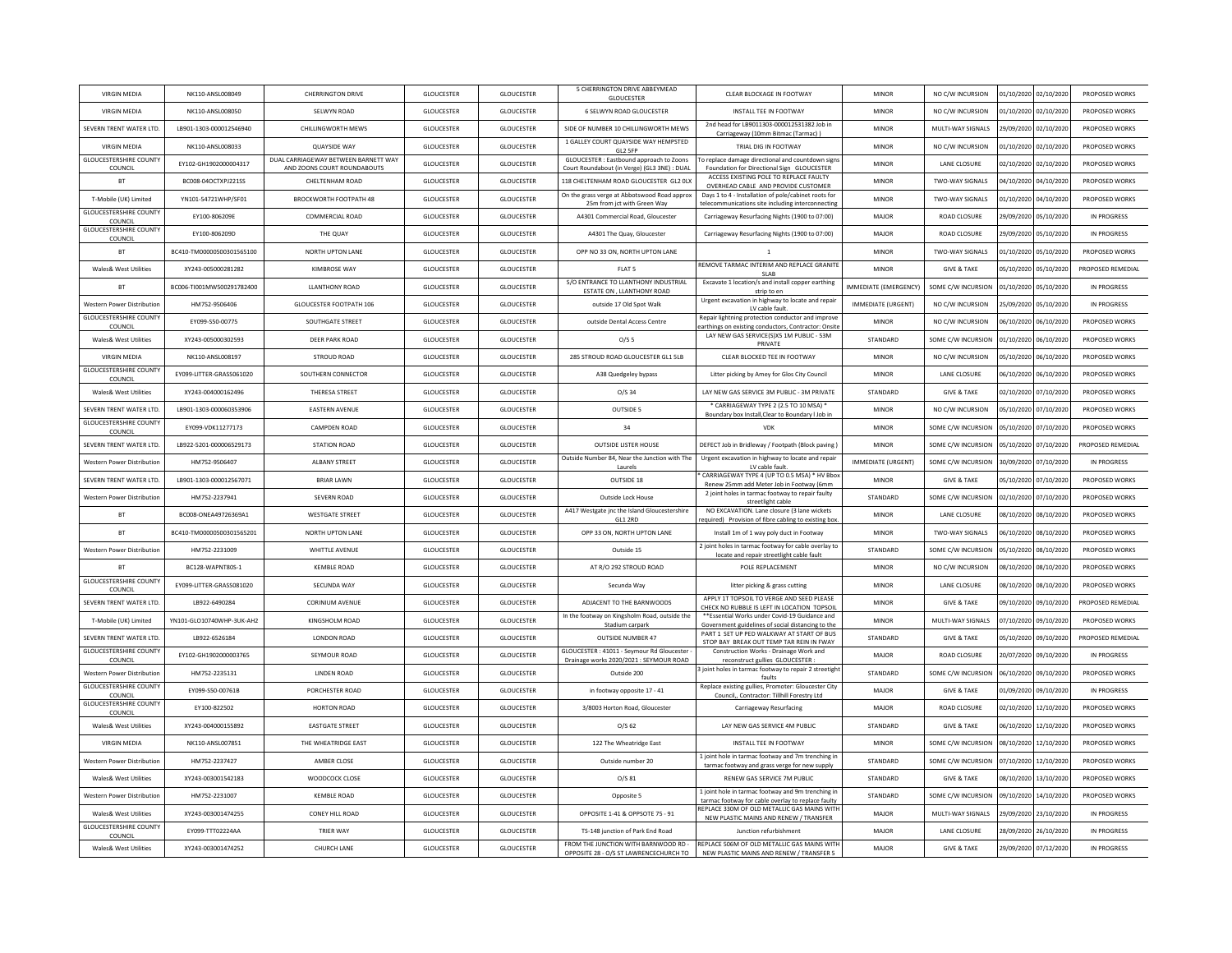| NK110-ANSL008050<br>GLOUCESTER<br>6 SELWYN ROAD GLOUCESTER<br>MINOR<br>NO C/W INCURSION<br>01/10/2020 02/10/2020<br><b>VIRGIN MEDIA</b><br>SELWYN ROAD<br>GLOUCESTER<br>INSTALL TEE IN FOOTWAY<br>PROPOSED WORKS<br>2nd head for LB9011303-000012531382 Job in<br>SEVERN TRENT WATER LTD.<br>LB901-1303-000012546940<br>CHILLINGWORTH MEWS<br><b>GLOUCESTER</b><br>GLOUCESTER<br>SIDE OF NUMBER 10 CHILLINGWORTH MEWS<br>MINOR<br>MULTI-WAY SIGNALS<br>29/09/2020 02/10/2020<br>PROPOSED WORKS<br>Carriageway (10mm Bitmac (Tarmac)<br>1 GALLEY COURT QUAYSIDE WAY HEMPSTED<br><b>QUAYSIDE WAY</b><br><b>GLOUCESTER</b><br><b>GLOUCESTER</b><br>TRIAL DIG IN FOOTWAY<br>01/10/2020 02/10/2020<br><b>VIRGIN MEDIA</b><br>NK110-ANSL008033<br>MINOR<br>NO C/W INCURSION<br>PROPOSED WORKS<br>GL2 SFP<br><b>GLOUCESTERSHIRE COUNTY</b><br>DUAL CARRIAGEWAY BETWEEN BARNETT WAY<br>GLOUCESTER: Eastbound approach to Zoons<br>To replace damage directional and countdown sign<br>EY102-GH1902000004317<br>GLOUCESTER<br>GLOUCESTER<br>MINOR<br>LANE CLOSURE<br>02/10/2020 02/10/2020<br>PROPOSED WORKS<br>COUNCIL<br>AND ZOONS COURT ROUNDABOUTS<br>Court Roundabout (in Verge) (GL3 3NE) : DUAL<br>Foundation for Directional Sign GLOUCESTER<br>ACCESS EXISTING POLE TO REPLACE FAULTY<br>GLOUCESTER<br>118 CHELTENHAM ROAD GLOUCESTER GL2 OLX<br>04/10/2020 04/10/2020<br><b>BT</b><br>BC008-04OCTXPJ221SS<br>CHELTENHAM ROAD<br><b>GLOUCESTER</b><br>MINOR<br>TWO-WAY SIGNALS<br>PROPOSED WORKS<br>OVERHEAD CABLE AND PROVIDE CUSTOMER<br>On the grass verge at Abbotswood Road approx<br>Days 1 to 4 - Installation of pole/cabinet roots for<br>T-Mobile (UK) Limited<br>YN101-54721WHP/SF01<br><b>BROCKWORTH FOOTPATH 48</b><br><b>GLOUCESTER</b><br><b>GLOUCESTER</b><br><b>MINOR</b><br>TWO-WAY SIGNALS<br>01/10/2020 04/10/2020<br>PROPOSED WORKS<br>25m from ict with Green Way<br>telecommunications site including interconnecting<br><b>GLOUCESTERSHIRE COUNTY</b><br>COMMERCIAL ROAD<br><b>GLOUCESTER</b><br><b>GLOUCESTER</b><br>A4301 Commercial Road, Gloucester<br><b>ROAD CLOSURE</b><br>29/09/2020 05/10/2020<br>FY100-806209F<br>Carriageway Resurfacing Nights (1900 to 07:00)<br>MAJOR<br>IN PROGRESS<br>COUNCIL<br><b>GLOUCESTERSHIRE COUNTY</b><br>EY100-806209D<br><b>GLOUCESTER</b><br><b>GLOUCESTER</b><br>29/09/2020 05/10/2020<br>IN PROGRESS<br>THE QUAY<br>A4301 The Quay, Gloucester<br>Carriageway Resurfacing Nights (1900 to 07:00)<br>MAJOR<br><b>ROAD CLOSURE</b><br>COUNCIL<br><b>BT</b><br>BC410-TM00000500301565100<br>NORTH UPTON LANE<br>GLOUCESTER<br>GLOUCESTER<br>OPP NO 33 ON, NORTH UPTON LANE<br>MINOR<br>TWO-WAY SIGNALS<br>01/10/2020 05/10/2020<br>PROPOSED WORKS<br>$\overline{1}$<br>REMOVE TARMAC INTERIM AND REPLACE GRANITI<br><b>Wales&amp; West Utilities</b><br>XY243-005000281282<br><b>KIMBROSE WAY</b><br><b>GLOUCESTER</b><br><b>GLOUCESTER</b><br>FLAT <sub>5</sub><br><b>MINOR</b><br><b>GIVE &amp; TAKE</b><br>05/10/2020 05/10/2020<br>PROPOSED REMEDIAL<br>SLAB<br>S/O ENTRANCE TO LLANTHONY INDUSTRIAL<br>Excavate 1 location/s and install copper earthing<br><b>RT</b><br>BC006-TI001MW500291782400<br><b>ILANTHONY ROAD</b><br><b>GLOUCESTER</b><br><b>GLOUCESTER</b><br>IMMEDIATE (EMERGENCY)<br>SOME C/W INCURSION<br>01/10/2020 05/10/2020<br>IN PROGRESS<br>ESTATE ON . LLANTHONY ROAD<br>strip to en<br>Urgent excavation in highway to locate and repair<br>GLOUCESTER FOOTPATH 106<br><b>GLOUCESTER</b><br>25/09/2020 05/10/2020<br><b>Western Power Distribution</b><br>HM752-9506406<br><b>GLOUCESTER</b><br>outside 17 Old Spot Walk<br><b>IMMEDIATE (URGENT)</b><br>NO C/W INCURSION<br>IN PROGRESS<br>LV cable fault.<br><b>GLOUCESTERSHIRE COUNTY</b><br>Repair lightning protection conductor and improve<br>GLOUCESTER<br>EY099-S50-00775<br>SOUTHGATE STREET<br><b>GLOUCESTER</b><br>outside Dental Access Centre<br><b>MINOR</b><br>NO C/W INCURSION<br>06/10/2020 06/10/2020<br>PROPOSED WORKS<br>COUNCIL<br>earthings on existing conductors, Contractor: Onsit<br>LAY NEW GAS SERVICE(S)X5 1M PUBLIC - 53M<br><b>Wales&amp; West Utilities</b><br>XY243-005000302593<br>DEER PARK ROAD<br><b>GLOUCESTER</b><br><b>GLOUCESTER</b><br>O/S <sub>5</sub><br>STANDARD<br>SOME C/W INCURSION<br>01/10/2020 06/10/2020<br>PROPOSED WORKS<br>PRIVATE<br><b>VIRGIN MEDIA</b><br>NK110-ANSL008197<br><b>STROUD ROAD</b><br>GLOUCESTER<br>GLOUCESTER<br>285 STROUD ROAD GLOUCESTER GL1 5LB<br>CLEAR BLOCKED TEE IN FOOTWAY<br><b>MINOR</b><br>NO C/W INCURSION<br>05/10/2020 06/10/2020<br>PROPOSED WORKS<br><b>GLOUCESTERSHIRE COUNTY</b><br>FY099-LITTER-GRASS061020<br><b>GLOUCESTER</b><br>SOUTHERN CONNECTOR<br><b>GLOUCESTER</b><br>A38 Quedgeley bypass<br>Litter picking by Amey for Glos City Council<br>MINOR<br><b>LANE CLOSURE</b><br>06/10/2020 06/10/2020<br>PROPOSED WORKS<br>COUNCIL<br>THERESA STREET<br><b>GLOUCESTER</b><br><b>GLOUCESTER</b><br>Wales& West Utilities<br>XY243-004000162496<br>O/S <sub>34</sub><br>LAY NEW GAS SERVICE 3M PUBLIC - 3M PRIVATE<br>STANDARD<br><b>GIVE &amp; TAKE</b><br>02/10/2020 07/10/2020<br>PROPOSED WORKS<br>* CARRIAGEWAY TYPE 2 (2.5 TO 10 MSA) *<br>SEVERN TRENT WATER LTD.<br>LB901-1303-000060353906<br><b>EASTERN AVENUE</b><br><b>GLOUCESTER</b><br><b>GLOUCESTER</b><br>OUTSIDE 5<br><b>MINOR</b><br>NO C/W INCURSION<br>05/10/2020 07/10/2020<br>PROPOSED WORKS<br>Boundary box Install, Clear to Boundary I Job in<br><b>GLOUCESTERSHIRE COUNTY</b><br>EY099-VDK11277173<br>CAMPDEN ROAD<br>GLOUCESTER<br>GLOUCESTER<br>34<br>MINOR<br>SOME C/W INCURSION<br>05/10/2020 07/10/2020<br><b>VDK</b><br>PROPOSED WORKS<br>COUNCIL<br>SEVERN TRENT WATER LTD.<br>LB922-5201-000006529173<br>STATION ROAD<br>GLOUCESTER<br>GLOUCESTER<br>OUTSIDE LISTER HOUSE<br>DEFECT Job in Bridleway / Footpath (Block paving)<br><b>MINOR</b><br>SOME C/W INCURSION<br>05/10/2020 07/10/2020<br>PROPOSED REMEDIAL<br>Outside Number 84, Near the Junction with The<br>Urgent excavation in highway to locate and repair<br><b>Western Power Distribution</b><br>HM752-9506407<br>AI BANY STREET<br><b>GLOUCESTER</b><br>GLOUCESTER<br>IMMEDIATE (URGENT)<br>SOME C/W INCURSION<br>30/09/2020 07/10/2020<br>IN PROGRESS<br>LV cable fault<br>Laurels<br>CARRIAGEWAY TYPE 4 (UP TO 0.5 MSA) * HV Bbo<br>SEVERN TRENT WATER LTD.<br>LB901-1303-000012567071<br><b>BRIAR LAWN</b><br><b>GLOUCESTER</b><br><b>GLOUCESTER</b><br>OUTSIDE 18<br><b>MINOR</b><br><b>GIVE &amp; TAKE</b><br>05/10/2020 07/10/2020<br>PROPOSED WORKS<br>Renew 25mm add Meter Job in Footway (6mm<br>2 joint holes in tarmac footway to repair faulty<br>Western Power Distribution<br>HM752-2237941<br><b>SEVERN ROAD</b><br>GLOUCESTER<br>GLOUCESTER<br>STANDARD<br>SOME C/W INCURSION<br>02/10/2020 07/10/2020<br>PROPOSED WORKS<br>Outside Lock House<br>streetlight cable<br>NO EXCAVATION. Lane closure (3 lane wickets<br>A417 Westgate inc the Island Gloucestershire<br><b>BT</b><br>BC008-ONEA49726369A1<br><b>WESTGATE STREET</b><br>GLOUCESTER<br>GLOUCESTER<br><b>MINOR</b><br>LANE CLOSURE<br>08/10/2020 08/10/2020<br>PROPOSED WORKS<br>GL1 2RD<br>equired) Provision of fibre cabling to existing box<br><b>BT</b><br>BC410-TM00000500301565201<br>NORTH UPTON LANE<br><b>GLOUCESTER</b><br>GLOUCESTER<br>OPP 33 ON, NORTH UPTON LANE<br>Install 1m of 1 way poly duct in Footway<br><b>MINOR</b><br><b>TWO-WAY SIGNALS</b><br>06/10/2020 08/10/2020<br>PROPOSED WORKS<br>2 joint holes in tarmac footway for cable overlay to<br>WHITTLE AVENUE<br><b>GLOUCESTER</b><br><b>GLOUCESTER</b><br>05/10/2020 08/10/2020<br><b>Western Power Distribution</b><br>HM752-2231009<br>Outside 15<br>STANDARD<br>SOME C/W INCURSION<br>PROPOSED WORKS<br>locate and repair streetlight cable fault<br><b>BT</b><br>BC128-WAPNT80S-1<br><b>KEMBLE ROAD</b><br>GLOUCESTER<br>GLOUCESTER<br>AT R/O 292 STROUD ROAD<br>POLE REPLACEMENT<br><b>MINOR</b><br>NO C/W INCURSION<br>08/10/2020 08/10/2020<br>PROPOSED WORKS<br><b>GLOUCESTERSHIRE COUNTY</b><br>EY099-LITTER-GRASS081020<br>SECUNDA WAY<br>GLOUCESTER<br>GLOUCESTER<br>LANE CLOSURE<br>Secunda Way<br>litter picking & grass cutting<br>MINOR<br>08/10/2020 08/10/202<br>PROPOSED WORKS<br>COUNCI<br>APPLY 1T TOPSOIL TO VERGE AND SEED PLEASE<br>SEVERN TRENT WATER ITD.<br>LB922-6490284<br><b>CORINIUM AVENUE</b><br><b>GLOUCESTER</b><br>GLOUCESTER<br>ADJACENT TO THE BARNWOODS<br>MINOR<br><b>GIVE &amp; TAKE</b><br>09/10/2020 09/10/2020<br>PROPOSED REMEDIAL<br>CHECK NO RUBBLE IS LEFT IN LOCATION TOPSOIL<br>In the footway on Kingsholm Road, outside the<br>**Essential Works under Covid-19 Guidance and<br><b>GLOUCESTER</b><br>YN101-GLO10740WHP-3UK-AH2<br>KINGSHOLM ROAD<br><b>GLOUCESTER</b><br>MINOR<br>07/10/2020 09/10/2020<br>PROPOSED WORKS<br>T-Mobile (UK) Limited<br>MULTI-WAY SIGNALS<br>Government guidelines of social distancing to the<br>Stadium carpark<br>PART 1 SET UP PED WALKWAY AT START OF BUS<br>SEVERN TRENT WATER LTD.<br>LB922-6526184<br>LONDON ROAD<br>GLOUCESTER<br><b>GLOUCESTER</b><br>OUTSIDE NUMBER 47<br>STANDARD<br><b>GIVE &amp; TAKE</b><br>05/10/2020 09/10/2020<br>PROPOSED REMEDIAL<br>STOP BAY BREAK OUT TEMP TAR REIN IN FWAY<br><b>GLOUCESTERSHIRE COUNTY</b><br>GLOUCESTER: 41011 - Sevmour Rd Gloucester<br>Construction Works - Drainage Work and<br>EY102-GH1902000003765<br>SEYMOUR ROAD<br>GLOUCESTER<br>GLOUCESTER<br>MAJOR<br>ROAD CLOSURE<br>20/07/2020 09/10/2020<br>IN PROGRESS<br>COUNCIL<br>Drainage works 2020/2021 : SEYMOUR ROAD<br>reconstruct gullies GLOUCESTER :<br>3 joint holes in tarmac footway to repair 2 streetigh<br>GLOUCESTER<br>STANDARD<br>Western Power Distribution<br>HM752-2235131<br><b>LINDEN ROAD</b><br><b>GLOUCESTER</b><br>Outside 200<br>SOME C/W INCURSION<br>06/10/2020 09/10/2020<br>PROPOSED WORKS<br>faults<br><b>GLOUCESTERSHIRE COUNTY</b><br>Replace existing gullies, Promoter: Gloucester City<br>EY099-S50-00761B<br>PORCHESTER ROAD<br><b>GLOUCESTER</b><br><b>GLOUCESTER</b><br>in footway opposite 17 - 41<br>MAJOR<br><b>GIVE &amp; TAKE</b><br>01/09/2020 09/10/2020<br>IN PROGRESS<br>COUNCIL<br>Council,, Contractor: Tillhill Forestry Ltd<br><b>GLOUCESTERSHIRE COUNTY</b><br>FY100-822502<br>HORTON ROAD<br><b>GLOUCESTER</b><br><b>GLOUCESTER</b><br><b>ROAD CLOSURE</b><br>02/10/2020 12/10/2020<br>PROPOSED WORKS<br>3/8003 Horton Road, Gloucester<br>Carriageway Resurfacing<br>MAIOR<br>COUNCIL<br><b>EASTGATE STREET</b><br><b>GLOUCESTER</b><br><b>GLOUCESTER</b><br>STANDARD<br>Wales& West Utilities<br>XY243-004000155892<br>O/S <sub>62</sub><br>LAY NEW GAS SERVICE 4M PUBLIC<br><b>GIVE &amp; TAKE</b><br>06/10/2020 12/10/2020<br>PROPOSED WORKS<br>08/10/2020 12/10/2020<br><b>VIRGIN MEDIA</b><br>NK110-ANSL007851<br>THE WHEATRIDGE EAST<br><b>GLOUCESTER</b><br><b>GLOUCESTER</b><br>122 The Wheatridge East<br>INSTALL TEE IN FOOTWAY<br><b>MINOR</b><br>SOME C/W INCURSION<br>PROPOSED WORKS<br>1 joint hole in tarmac footway and 7m trenching in<br><b>Western Power Distribution</b><br>HM752-2237427<br>AMBER CLOSE<br><b>GLOUCESTER</b><br><b>GLOUCESTER</b><br>Outside number 20<br>STANDARD<br>SOME C/W INCURSION<br>07/10/2020 12/10/2020<br>PROPOSED WORKS<br>tarmac footway and grass verge for new supply<br><b>GLOUCESTER</b><br><b>GLOUCESTER</b><br>O/S 81<br>RENEW GAS SERVICE 7M PUBLIC<br>08/10/2020 13/10/2020<br>Wales& West Utilities<br>XY243-003001542183<br>WOODCOCK CLOSE<br>STANDARD<br><b>GIVE &amp; TAKE</b><br>PROPOSED WORKS<br>1 joint hole in tarmac footway and 9m trenching in<br><b>GLOUCESTER</b><br>09/10/2020 14/10/2020<br>HM752-2231007<br><b>KEMBLE ROAD</b><br><b>GLOUCESTER</b><br>STANDARD<br>SOME C/W INCURSION<br>PROPOSED WORKS<br>Western Power Distribution<br>Opposite 5<br>tarmac footway for cable overlay to replace faulty<br>REPLACE 330M OF OLD METALLIC GAS MAINS WITH<br><b>Wales&amp; West Utilities</b><br>XY243-003001474255<br>CONEY HILL ROAD<br><b>GLOUCESTER</b><br><b>GLOUCESTER</b><br>OPPOSITE 1-41 & OPPSOTE 75 - 91<br>MAJOR<br>MULTI-WAY SIGNALS<br>29/09/2020 23/10/2020<br>IN PROGRESS<br>NEW PLASTIC MAINS AND RENEW / TRANSFER | <b>VIRGIN MEDIA</b>                      | NK110-ANSL008049 | CHERRINGTON DRIVE | <b>GLOUCESTER</b> | GLOUCESTER | 5 CHERRINGTON DRIVE ABBEYMEAD<br><b>GLOUCESTER</b> | CLEAR BLOCKAGE IN FOOTWAY | <b>MINOR</b> | NO C/W INCURSION | 01/10/2020 02/10/2020 | PROPOSED WORKS |
|---------------------------------------------------------------------------------------------------------------------------------------------------------------------------------------------------------------------------------------------------------------------------------------------------------------------------------------------------------------------------------------------------------------------------------------------------------------------------------------------------------------------------------------------------------------------------------------------------------------------------------------------------------------------------------------------------------------------------------------------------------------------------------------------------------------------------------------------------------------------------------------------------------------------------------------------------------------------------------------------------------------------------------------------------------------------------------------------------------------------------------------------------------------------------------------------------------------------------------------------------------------------------------------------------------------------------------------------------------------------------------------------------------------------------------------------------------------------------------------------------------------------------------------------------------------------------------------------------------------------------------------------------------------------------------------------------------------------------------------------------------------------------------------------------------------------------------------------------------------------------------------------------------------------------------------------------------------------------------------------------------------------------------------------------------------------------------------------------------------------------------------------------------------------------------------------------------------------------------------------------------------------------------------------------------------------------------------------------------------------------------------------------------------------------------------------------------------------------------------------------------------------------------------------------------------------------------------------------------------------------------------------------------------------------------------------------------------------------------------------------------------------------------------------------------------------------------------------------------------------------------------------------------------------------------------------------------------------------------------------------------------------------------------------------------------------------------------------------------------------------------------------------------------------------------------------------------------------------------------------------------------------------------------------------------------------------------------------------------------------------------------------------------------------------------------------------------------------------------------------------------------------------------------------------------------------------------------------------------------------------------------------------------------------------------------------------------------------------------------------------------------------------------------------------------------------------------------------------------------------------------------------------------------------------------------------------------------------------------------------------------------------------------------------------------------------------------------------------------------------------------------------------------------------------------------------------------------------------------------------------------------------------------------------------------------------------------------------------------------------------------------------------------------------------------------------------------------------------------------------------------------------------------------------------------------------------------------------------------------------------------------------------------------------------------------------------------------------------------------------------------------------------------------------------------------------------------------------------------------------------------------------------------------------------------------------------------------------------------------------------------------------------------------------------------------------------------------------------------------------------------------------------------------------------------------------------------------------------------------------------------------------------------------------------------------------------------------------------------------------------------------------------------------------------------------------------------------------------------------------------------------------------------------------------------------------------------------------------------------------------------------------------------------------------------------------------------------------------------------------------------------------------------------------------------------------------------------------------------------------------------------------------------------------------------------------------------------------------------------------------------------------------------------------------------------------------------------------------------------------------------------------------------------------------------------------------------------------------------------------------------------------------------------------------------------------------------------------------------------------------------------------------------------------------------------------------------------------------------------------------------------------------------------------------------------------------------------------------------------------------------------------------------------------------------------------------------------------------------------------------------------------------------------------------------------------------------------------------------------------------------------------------------------------------------------------------------------------------------------------------------------------------------------------------------------------------------------------------------------------------------------------------------------------------------------------------------------------------------------------------------------------------------------------------------------------------------------------------------------------------------------------------------------------------------------------------------------------------------------------------------------------------------------------------------------------------------------------------------------------------------------------------------------------------------------------------------------------------------------------------------------------------------------------------------------------------------------------------------------------------------------------------------------------------------------------------------------------------------------------------------------------------------------------------------------------------------------------------------------------------------------------------------------------------------------------------------------------------------------------------------------------------------------------------------------------------------------------------------------------------------------------------------------------------------------------------------------------------------------------------------------------------------------------------------------------------------------------------------------------------------------------------------------------------------------------------------------------------------------------------------------------------------------------------------------------------------------------------------------------------------------------------------------------------------------------------------------------------------------------------------------------------------------------------------------------------------------------------------------------------------------------------------------------------------------------------------------------------------------------------------------------------------------------------------------------------------------------------------------------------------------------------------------------------------------------------------------------------------------------------------------------------------------------------------------------------------------------------------------------------------------------------------------------------------------------------------------------------------------------------------------------------------------------------------------------------------------------------------------------------------------------------------------------------------------------------------------------------------------------------------------------------------------------------------------------------------------------------------------------------------------------------------------------------------------------------------------------------------------------------------------------------------------------------------------------------------------------------------------------------------------------------------------------------------------------------------------------------------------------------------------------------------------------------------------------------------------------------------------------------------------------------------------------------------------------------------------------------------------------------------------------------------------------------------------------------------------------------------------------------------------------------------------------------------------------------------------------------------------------------------------------------------------------------------------------------------------------------------------------------------------------------------------------------------------------------------------------------------------------------------------------------------------------------------------------------------------------------------------------------------------------------------------------------------------------------------------------------------------------------------------------------------------------------------------------------------------------------------------------------------------------------------------------------------------------------------------------------------------------------------------------------------------------------------------------------------------------------------------------------------------------------------------------------------------------------------------------------------------------------------------------------------------------------------------------------------------------------------------------------------------------------------------------------------------------------------------------------------|------------------------------------------|------------------|-------------------|-------------------|------------|----------------------------------------------------|---------------------------|--------------|------------------|-----------------------|----------------|
|                                                                                                                                                                                                                                                                                                                                                                                                                                                                                                                                                                                                                                                                                                                                                                                                                                                                                                                                                                                                                                                                                                                                                                                                                                                                                                                                                                                                                                                                                                                                                                                                                                                                                                                                                                                                                                                                                                                                                                                                                                                                                                                                                                                                                                                                                                                                                                                                                                                                                                                                                                                                                                                                                                                                                                                                                                                                                                                                                                                                                                                                                                                                                                                                                                                                                                                                                                                                                                                                                                                                                                                                                                                                                                                                                                                                                                                                                                                                                                                                                                                                                                                                                                                                                                                                                                                                                                                                                                                                                                                                                                                                                                                                                                                                                                                                                                                                                                                                                                                                                                                                                                                                                                                                                                                                                                                                                                                                                                                                                                                                                                                                                                                                                                                                                                                                                                                                                                                                                                                                                                                                                                                                                                                                                                                                                                                                                                                                                                                                                                                                                                                                                                                                                                                                                                                                                                                                                                                                                                                                                                                                                                                                                                                                                                                                                                                                                                                                                                                                                                                                                                                                                                                                                                                                                                                                                                                                                                                                                                                                                                                                                                                                                                                                                                                                                                                                                                                                                                                                                                                                                                                                                                                                                                                                                                                                                                                                                                                                                                                                                                                                                                                                                                                                                                                                                                                                                                                                                                                                                                                                                                                                                                                                                                                                                                                                                                                                                                                                                                                                                                                                                                                                                                                                                                                                                                                                                                                                                                                                                                                                                                                                                                                                                                                                                                                                                                                                                                                                                                                                                                                                                                                                                                                                                                                                                                                                                                                                                                                                                                                                                                                                                                                                                                                                                                                                                                                                                                                                                                                                                                                                                                                                                                                                                                 |                                          |                  |                   |                   |            |                                                    |                           |              |                  |                       |                |
|                                                                                                                                                                                                                                                                                                                                                                                                                                                                                                                                                                                                                                                                                                                                                                                                                                                                                                                                                                                                                                                                                                                                                                                                                                                                                                                                                                                                                                                                                                                                                                                                                                                                                                                                                                                                                                                                                                                                                                                                                                                                                                                                                                                                                                                                                                                                                                                                                                                                                                                                                                                                                                                                                                                                                                                                                                                                                                                                                                                                                                                                                                                                                                                                                                                                                                                                                                                                                                                                                                                                                                                                                                                                                                                                                                                                                                                                                                                                                                                                                                                                                                                                                                                                                                                                                                                                                                                                                                                                                                                                                                                                                                                                                                                                                                                                                                                                                                                                                                                                                                                                                                                                                                                                                                                                                                                                                                                                                                                                                                                                                                                                                                                                                                                                                                                                                                                                                                                                                                                                                                                                                                                                                                                                                                                                                                                                                                                                                                                                                                                                                                                                                                                                                                                                                                                                                                                                                                                                                                                                                                                                                                                                                                                                                                                                                                                                                                                                                                                                                                                                                                                                                                                                                                                                                                                                                                                                                                                                                                                                                                                                                                                                                                                                                                                                                                                                                                                                                                                                                                                                                                                                                                                                                                                                                                                                                                                                                                                                                                                                                                                                                                                                                                                                                                                                                                                                                                                                                                                                                                                                                                                                                                                                                                                                                                                                                                                                                                                                                                                                                                                                                                                                                                                                                                                                                                                                                                                                                                                                                                                                                                                                                                                                                                                                                                                                                                                                                                                                                                                                                                                                                                                                                                                                                                                                                                                                                                                                                                                                                                                                                                                                                                                                                                                                                                                                                                                                                                                                                                                                                                                                                                                                                                                                                                 |                                          |                  |                   |                   |            |                                                    |                           |              |                  |                       |                |
|                                                                                                                                                                                                                                                                                                                                                                                                                                                                                                                                                                                                                                                                                                                                                                                                                                                                                                                                                                                                                                                                                                                                                                                                                                                                                                                                                                                                                                                                                                                                                                                                                                                                                                                                                                                                                                                                                                                                                                                                                                                                                                                                                                                                                                                                                                                                                                                                                                                                                                                                                                                                                                                                                                                                                                                                                                                                                                                                                                                                                                                                                                                                                                                                                                                                                                                                                                                                                                                                                                                                                                                                                                                                                                                                                                                                                                                                                                                                                                                                                                                                                                                                                                                                                                                                                                                                                                                                                                                                                                                                                                                                                                                                                                                                                                                                                                                                                                                                                                                                                                                                                                                                                                                                                                                                                                                                                                                                                                                                                                                                                                                                                                                                                                                                                                                                                                                                                                                                                                                                                                                                                                                                                                                                                                                                                                                                                                                                                                                                                                                                                                                                                                                                                                                                                                                                                                                                                                                                                                                                                                                                                                                                                                                                                                                                                                                                                                                                                                                                                                                                                                                                                                                                                                                                                                                                                                                                                                                                                                                                                                                                                                                                                                                                                                                                                                                                                                                                                                                                                                                                                                                                                                                                                                                                                                                                                                                                                                                                                                                                                                                                                                                                                                                                                                                                                                                                                                                                                                                                                                                                                                                                                                                                                                                                                                                                                                                                                                                                                                                                                                                                                                                                                                                                                                                                                                                                                                                                                                                                                                                                                                                                                                                                                                                                                                                                                                                                                                                                                                                                                                                                                                                                                                                                                                                                                                                                                                                                                                                                                                                                                                                                                                                                                                                                                                                                                                                                                                                                                                                                                                                                                                                                                                                                                                 |                                          |                  |                   |                   |            |                                                    |                           |              |                  |                       |                |
|                                                                                                                                                                                                                                                                                                                                                                                                                                                                                                                                                                                                                                                                                                                                                                                                                                                                                                                                                                                                                                                                                                                                                                                                                                                                                                                                                                                                                                                                                                                                                                                                                                                                                                                                                                                                                                                                                                                                                                                                                                                                                                                                                                                                                                                                                                                                                                                                                                                                                                                                                                                                                                                                                                                                                                                                                                                                                                                                                                                                                                                                                                                                                                                                                                                                                                                                                                                                                                                                                                                                                                                                                                                                                                                                                                                                                                                                                                                                                                                                                                                                                                                                                                                                                                                                                                                                                                                                                                                                                                                                                                                                                                                                                                                                                                                                                                                                                                                                                                                                                                                                                                                                                                                                                                                                                                                                                                                                                                                                                                                                                                                                                                                                                                                                                                                                                                                                                                                                                                                                                                                                                                                                                                                                                                                                                                                                                                                                                                                                                                                                                                                                                                                                                                                                                                                                                                                                                                                                                                                                                                                                                                                                                                                                                                                                                                                                                                                                                                                                                                                                                                                                                                                                                                                                                                                                                                                                                                                                                                                                                                                                                                                                                                                                                                                                                                                                                                                                                                                                                                                                                                                                                                                                                                                                                                                                                                                                                                                                                                                                                                                                                                                                                                                                                                                                                                                                                                                                                                                                                                                                                                                                                                                                                                                                                                                                                                                                                                                                                                                                                                                                                                                                                                                                                                                                                                                                                                                                                                                                                                                                                                                                                                                                                                                                                                                                                                                                                                                                                                                                                                                                                                                                                                                                                                                                                                                                                                                                                                                                                                                                                                                                                                                                                                                                                                                                                                                                                                                                                                                                                                                                                                                                                                                                                                 |                                          |                  |                   |                   |            |                                                    |                           |              |                  |                       |                |
|                                                                                                                                                                                                                                                                                                                                                                                                                                                                                                                                                                                                                                                                                                                                                                                                                                                                                                                                                                                                                                                                                                                                                                                                                                                                                                                                                                                                                                                                                                                                                                                                                                                                                                                                                                                                                                                                                                                                                                                                                                                                                                                                                                                                                                                                                                                                                                                                                                                                                                                                                                                                                                                                                                                                                                                                                                                                                                                                                                                                                                                                                                                                                                                                                                                                                                                                                                                                                                                                                                                                                                                                                                                                                                                                                                                                                                                                                                                                                                                                                                                                                                                                                                                                                                                                                                                                                                                                                                                                                                                                                                                                                                                                                                                                                                                                                                                                                                                                                                                                                                                                                                                                                                                                                                                                                                                                                                                                                                                                                                                                                                                                                                                                                                                                                                                                                                                                                                                                                                                                                                                                                                                                                                                                                                                                                                                                                                                                                                                                                                                                                                                                                                                                                                                                                                                                                                                                                                                                                                                                                                                                                                                                                                                                                                                                                                                                                                                                                                                                                                                                                                                                                                                                                                                                                                                                                                                                                                                                                                                                                                                                                                                                                                                                                                                                                                                                                                                                                                                                                                                                                                                                                                                                                                                                                                                                                                                                                                                                                                                                                                                                                                                                                                                                                                                                                                                                                                                                                                                                                                                                                                                                                                                                                                                                                                                                                                                                                                                                                                                                                                                                                                                                                                                                                                                                                                                                                                                                                                                                                                                                                                                                                                                                                                                                                                                                                                                                                                                                                                                                                                                                                                                                                                                                                                                                                                                                                                                                                                                                                                                                                                                                                                                                                                                                                                                                                                                                                                                                                                                                                                                                                                                                                                                                                                 |                                          |                  |                   |                   |            |                                                    |                           |              |                  |                       |                |
|                                                                                                                                                                                                                                                                                                                                                                                                                                                                                                                                                                                                                                                                                                                                                                                                                                                                                                                                                                                                                                                                                                                                                                                                                                                                                                                                                                                                                                                                                                                                                                                                                                                                                                                                                                                                                                                                                                                                                                                                                                                                                                                                                                                                                                                                                                                                                                                                                                                                                                                                                                                                                                                                                                                                                                                                                                                                                                                                                                                                                                                                                                                                                                                                                                                                                                                                                                                                                                                                                                                                                                                                                                                                                                                                                                                                                                                                                                                                                                                                                                                                                                                                                                                                                                                                                                                                                                                                                                                                                                                                                                                                                                                                                                                                                                                                                                                                                                                                                                                                                                                                                                                                                                                                                                                                                                                                                                                                                                                                                                                                                                                                                                                                                                                                                                                                                                                                                                                                                                                                                                                                                                                                                                                                                                                                                                                                                                                                                                                                                                                                                                                                                                                                                                                                                                                                                                                                                                                                                                                                                                                                                                                                                                                                                                                                                                                                                                                                                                                                                                                                                                                                                                                                                                                                                                                                                                                                                                                                                                                                                                                                                                                                                                                                                                                                                                                                                                                                                                                                                                                                                                                                                                                                                                                                                                                                                                                                                                                                                                                                                                                                                                                                                                                                                                                                                                                                                                                                                                                                                                                                                                                                                                                                                                                                                                                                                                                                                                                                                                                                                                                                                                                                                                                                                                                                                                                                                                                                                                                                                                                                                                                                                                                                                                                                                                                                                                                                                                                                                                                                                                                                                                                                                                                                                                                                                                                                                                                                                                                                                                                                                                                                                                                                                                                                                                                                                                                                                                                                                                                                                                                                                                                                                                                                                                 |                                          |                  |                   |                   |            |                                                    |                           |              |                  |                       |                |
|                                                                                                                                                                                                                                                                                                                                                                                                                                                                                                                                                                                                                                                                                                                                                                                                                                                                                                                                                                                                                                                                                                                                                                                                                                                                                                                                                                                                                                                                                                                                                                                                                                                                                                                                                                                                                                                                                                                                                                                                                                                                                                                                                                                                                                                                                                                                                                                                                                                                                                                                                                                                                                                                                                                                                                                                                                                                                                                                                                                                                                                                                                                                                                                                                                                                                                                                                                                                                                                                                                                                                                                                                                                                                                                                                                                                                                                                                                                                                                                                                                                                                                                                                                                                                                                                                                                                                                                                                                                                                                                                                                                                                                                                                                                                                                                                                                                                                                                                                                                                                                                                                                                                                                                                                                                                                                                                                                                                                                                                                                                                                                                                                                                                                                                                                                                                                                                                                                                                                                                                                                                                                                                                                                                                                                                                                                                                                                                                                                                                                                                                                                                                                                                                                                                                                                                                                                                                                                                                                                                                                                                                                                                                                                                                                                                                                                                                                                                                                                                                                                                                                                                                                                                                                                                                                                                                                                                                                                                                                                                                                                                                                                                                                                                                                                                                                                                                                                                                                                                                                                                                                                                                                                                                                                                                                                                                                                                                                                                                                                                                                                                                                                                                                                                                                                                                                                                                                                                                                                                                                                                                                                                                                                                                                                                                                                                                                                                                                                                                                                                                                                                                                                                                                                                                                                                                                                                                                                                                                                                                                                                                                                                                                                                                                                                                                                                                                                                                                                                                                                                                                                                                                                                                                                                                                                                                                                                                                                                                                                                                                                                                                                                                                                                                                                                                                                                                                                                                                                                                                                                                                                                                                                                                                                                                                                 |                                          |                  |                   |                   |            |                                                    |                           |              |                  |                       |                |
|                                                                                                                                                                                                                                                                                                                                                                                                                                                                                                                                                                                                                                                                                                                                                                                                                                                                                                                                                                                                                                                                                                                                                                                                                                                                                                                                                                                                                                                                                                                                                                                                                                                                                                                                                                                                                                                                                                                                                                                                                                                                                                                                                                                                                                                                                                                                                                                                                                                                                                                                                                                                                                                                                                                                                                                                                                                                                                                                                                                                                                                                                                                                                                                                                                                                                                                                                                                                                                                                                                                                                                                                                                                                                                                                                                                                                                                                                                                                                                                                                                                                                                                                                                                                                                                                                                                                                                                                                                                                                                                                                                                                                                                                                                                                                                                                                                                                                                                                                                                                                                                                                                                                                                                                                                                                                                                                                                                                                                                                                                                                                                                                                                                                                                                                                                                                                                                                                                                                                                                                                                                                                                                                                                                                                                                                                                                                                                                                                                                                                                                                                                                                                                                                                                                                                                                                                                                                                                                                                                                                                                                                                                                                                                                                                                                                                                                                                                                                                                                                                                                                                                                                                                                                                                                                                                                                                                                                                                                                                                                                                                                                                                                                                                                                                                                                                                                                                                                                                                                                                                                                                                                                                                                                                                                                                                                                                                                                                                                                                                                                                                                                                                                                                                                                                                                                                                                                                                                                                                                                                                                                                                                                                                                                                                                                                                                                                                                                                                                                                                                                                                                                                                                                                                                                                                                                                                                                                                                                                                                                                                                                                                                                                                                                                                                                                                                                                                                                                                                                                                                                                                                                                                                                                                                                                                                                                                                                                                                                                                                                                                                                                                                                                                                                                                                                                                                                                                                                                                                                                                                                                                                                                                                                                                                                                                 |                                          |                  |                   |                   |            |                                                    |                           |              |                  |                       |                |
|                                                                                                                                                                                                                                                                                                                                                                                                                                                                                                                                                                                                                                                                                                                                                                                                                                                                                                                                                                                                                                                                                                                                                                                                                                                                                                                                                                                                                                                                                                                                                                                                                                                                                                                                                                                                                                                                                                                                                                                                                                                                                                                                                                                                                                                                                                                                                                                                                                                                                                                                                                                                                                                                                                                                                                                                                                                                                                                                                                                                                                                                                                                                                                                                                                                                                                                                                                                                                                                                                                                                                                                                                                                                                                                                                                                                                                                                                                                                                                                                                                                                                                                                                                                                                                                                                                                                                                                                                                                                                                                                                                                                                                                                                                                                                                                                                                                                                                                                                                                                                                                                                                                                                                                                                                                                                                                                                                                                                                                                                                                                                                                                                                                                                                                                                                                                                                                                                                                                                                                                                                                                                                                                                                                                                                                                                                                                                                                                                                                                                                                                                                                                                                                                                                                                                                                                                                                                                                                                                                                                                                                                                                                                                                                                                                                                                                                                                                                                                                                                                                                                                                                                                                                                                                                                                                                                                                                                                                                                                                                                                                                                                                                                                                                                                                                                                                                                                                                                                                                                                                                                                                                                                                                                                                                                                                                                                                                                                                                                                                                                                                                                                                                                                                                                                                                                                                                                                                                                                                                                                                                                                                                                                                                                                                                                                                                                                                                                                                                                                                                                                                                                                                                                                                                                                                                                                                                                                                                                                                                                                                                                                                                                                                                                                                                                                                                                                                                                                                                                                                                                                                                                                                                                                                                                                                                                                                                                                                                                                                                                                                                                                                                                                                                                                                                                                                                                                                                                                                                                                                                                                                                                                                                                                                                                                                 |                                          |                  |                   |                   |            |                                                    |                           |              |                  |                       |                |
|                                                                                                                                                                                                                                                                                                                                                                                                                                                                                                                                                                                                                                                                                                                                                                                                                                                                                                                                                                                                                                                                                                                                                                                                                                                                                                                                                                                                                                                                                                                                                                                                                                                                                                                                                                                                                                                                                                                                                                                                                                                                                                                                                                                                                                                                                                                                                                                                                                                                                                                                                                                                                                                                                                                                                                                                                                                                                                                                                                                                                                                                                                                                                                                                                                                                                                                                                                                                                                                                                                                                                                                                                                                                                                                                                                                                                                                                                                                                                                                                                                                                                                                                                                                                                                                                                                                                                                                                                                                                                                                                                                                                                                                                                                                                                                                                                                                                                                                                                                                                                                                                                                                                                                                                                                                                                                                                                                                                                                                                                                                                                                                                                                                                                                                                                                                                                                                                                                                                                                                                                                                                                                                                                                                                                                                                                                                                                                                                                                                                                                                                                                                                                                                                                                                                                                                                                                                                                                                                                                                                                                                                                                                                                                                                                                                                                                                                                                                                                                                                                                                                                                                                                                                                                                                                                                                                                                                                                                                                                                                                                                                                                                                                                                                                                                                                                                                                                                                                                                                                                                                                                                                                                                                                                                                                                                                                                                                                                                                                                                                                                                                                                                                                                                                                                                                                                                                                                                                                                                                                                                                                                                                                                                                                                                                                                                                                                                                                                                                                                                                                                                                                                                                                                                                                                                                                                                                                                                                                                                                                                                                                                                                                                                                                                                                                                                                                                                                                                                                                                                                                                                                                                                                                                                                                                                                                                                                                                                                                                                                                                                                                                                                                                                                                                                                                                                                                                                                                                                                                                                                                                                                                                                                                                                                                                                 |                                          |                  |                   |                   |            |                                                    |                           |              |                  |                       |                |
|                                                                                                                                                                                                                                                                                                                                                                                                                                                                                                                                                                                                                                                                                                                                                                                                                                                                                                                                                                                                                                                                                                                                                                                                                                                                                                                                                                                                                                                                                                                                                                                                                                                                                                                                                                                                                                                                                                                                                                                                                                                                                                                                                                                                                                                                                                                                                                                                                                                                                                                                                                                                                                                                                                                                                                                                                                                                                                                                                                                                                                                                                                                                                                                                                                                                                                                                                                                                                                                                                                                                                                                                                                                                                                                                                                                                                                                                                                                                                                                                                                                                                                                                                                                                                                                                                                                                                                                                                                                                                                                                                                                                                                                                                                                                                                                                                                                                                                                                                                                                                                                                                                                                                                                                                                                                                                                                                                                                                                                                                                                                                                                                                                                                                                                                                                                                                                                                                                                                                                                                                                                                                                                                                                                                                                                                                                                                                                                                                                                                                                                                                                                                                                                                                                                                                                                                                                                                                                                                                                                                                                                                                                                                                                                                                                                                                                                                                                                                                                                                                                                                                                                                                                                                                                                                                                                                                                                                                                                                                                                                                                                                                                                                                                                                                                                                                                                                                                                                                                                                                                                                                                                                                                                                                                                                                                                                                                                                                                                                                                                                                                                                                                                                                                                                                                                                                                                                                                                                                                                                                                                                                                                                                                                                                                                                                                                                                                                                                                                                                                                                                                                                                                                                                                                                                                                                                                                                                                                                                                                                                                                                                                                                                                                                                                                                                                                                                                                                                                                                                                                                                                                                                                                                                                                                                                                                                                                                                                                                                                                                                                                                                                                                                                                                                                                                                                                                                                                                                                                                                                                                                                                                                                                                                                                                                                 |                                          |                  |                   |                   |            |                                                    |                           |              |                  |                       |                |
|                                                                                                                                                                                                                                                                                                                                                                                                                                                                                                                                                                                                                                                                                                                                                                                                                                                                                                                                                                                                                                                                                                                                                                                                                                                                                                                                                                                                                                                                                                                                                                                                                                                                                                                                                                                                                                                                                                                                                                                                                                                                                                                                                                                                                                                                                                                                                                                                                                                                                                                                                                                                                                                                                                                                                                                                                                                                                                                                                                                                                                                                                                                                                                                                                                                                                                                                                                                                                                                                                                                                                                                                                                                                                                                                                                                                                                                                                                                                                                                                                                                                                                                                                                                                                                                                                                                                                                                                                                                                                                                                                                                                                                                                                                                                                                                                                                                                                                                                                                                                                                                                                                                                                                                                                                                                                                                                                                                                                                                                                                                                                                                                                                                                                                                                                                                                                                                                                                                                                                                                                                                                                                                                                                                                                                                                                                                                                                                                                                                                                                                                                                                                                                                                                                                                                                                                                                                                                                                                                                                                                                                                                                                                                                                                                                                                                                                                                                                                                                                                                                                                                                                                                                                                                                                                                                                                                                                                                                                                                                                                                                                                                                                                                                                                                                                                                                                                                                                                                                                                                                                                                                                                                                                                                                                                                                                                                                                                                                                                                                                                                                                                                                                                                                                                                                                                                                                                                                                                                                                                                                                                                                                                                                                                                                                                                                                                                                                                                                                                                                                                                                                                                                                                                                                                                                                                                                                                                                                                                                                                                                                                                                                                                                                                                                                                                                                                                                                                                                                                                                                                                                                                                                                                                                                                                                                                                                                                                                                                                                                                                                                                                                                                                                                                                                                                                                                                                                                                                                                                                                                                                                                                                                                                                                                                                                 |                                          |                  |                   |                   |            |                                                    |                           |              |                  |                       |                |
|                                                                                                                                                                                                                                                                                                                                                                                                                                                                                                                                                                                                                                                                                                                                                                                                                                                                                                                                                                                                                                                                                                                                                                                                                                                                                                                                                                                                                                                                                                                                                                                                                                                                                                                                                                                                                                                                                                                                                                                                                                                                                                                                                                                                                                                                                                                                                                                                                                                                                                                                                                                                                                                                                                                                                                                                                                                                                                                                                                                                                                                                                                                                                                                                                                                                                                                                                                                                                                                                                                                                                                                                                                                                                                                                                                                                                                                                                                                                                                                                                                                                                                                                                                                                                                                                                                                                                                                                                                                                                                                                                                                                                                                                                                                                                                                                                                                                                                                                                                                                                                                                                                                                                                                                                                                                                                                                                                                                                                                                                                                                                                                                                                                                                                                                                                                                                                                                                                                                                                                                                                                                                                                                                                                                                                                                                                                                                                                                                                                                                                                                                                                                                                                                                                                                                                                                                                                                                                                                                                                                                                                                                                                                                                                                                                                                                                                                                                                                                                                                                                                                                                                                                                                                                                                                                                                                                                                                                                                                                                                                                                                                                                                                                                                                                                                                                                                                                                                                                                                                                                                                                                                                                                                                                                                                                                                                                                                                                                                                                                                                                                                                                                                                                                                                                                                                                                                                                                                                                                                                                                                                                                                                                                                                                                                                                                                                                                                                                                                                                                                                                                                                                                                                                                                                                                                                                                                                                                                                                                                                                                                                                                                                                                                                                                                                                                                                                                                                                                                                                                                                                                                                                                                                                                                                                                                                                                                                                                                                                                                                                                                                                                                                                                                                                                                                                                                                                                                                                                                                                                                                                                                                                                                                                                                                                                 |                                          |                  |                   |                   |            |                                                    |                           |              |                  |                       |                |
|                                                                                                                                                                                                                                                                                                                                                                                                                                                                                                                                                                                                                                                                                                                                                                                                                                                                                                                                                                                                                                                                                                                                                                                                                                                                                                                                                                                                                                                                                                                                                                                                                                                                                                                                                                                                                                                                                                                                                                                                                                                                                                                                                                                                                                                                                                                                                                                                                                                                                                                                                                                                                                                                                                                                                                                                                                                                                                                                                                                                                                                                                                                                                                                                                                                                                                                                                                                                                                                                                                                                                                                                                                                                                                                                                                                                                                                                                                                                                                                                                                                                                                                                                                                                                                                                                                                                                                                                                                                                                                                                                                                                                                                                                                                                                                                                                                                                                                                                                                                                                                                                                                                                                                                                                                                                                                                                                                                                                                                                                                                                                                                                                                                                                                                                                                                                                                                                                                                                                                                                                                                                                                                                                                                                                                                                                                                                                                                                                                                                                                                                                                                                                                                                                                                                                                                                                                                                                                                                                                                                                                                                                                                                                                                                                                                                                                                                                                                                                                                                                                                                                                                                                                                                                                                                                                                                                                                                                                                                                                                                                                                                                                                                                                                                                                                                                                                                                                                                                                                                                                                                                                                                                                                                                                                                                                                                                                                                                                                                                                                                                                                                                                                                                                                                                                                                                                                                                                                                                                                                                                                                                                                                                                                                                                                                                                                                                                                                                                                                                                                                                                                                                                                                                                                                                                                                                                                                                                                                                                                                                                                                                                                                                                                                                                                                                                                                                                                                                                                                                                                                                                                                                                                                                                                                                                                                                                                                                                                                                                                                                                                                                                                                                                                                                                                                                                                                                                                                                                                                                                                                                                                                                                                                                                                                                                 |                                          |                  |                   |                   |            |                                                    |                           |              |                  |                       |                |
|                                                                                                                                                                                                                                                                                                                                                                                                                                                                                                                                                                                                                                                                                                                                                                                                                                                                                                                                                                                                                                                                                                                                                                                                                                                                                                                                                                                                                                                                                                                                                                                                                                                                                                                                                                                                                                                                                                                                                                                                                                                                                                                                                                                                                                                                                                                                                                                                                                                                                                                                                                                                                                                                                                                                                                                                                                                                                                                                                                                                                                                                                                                                                                                                                                                                                                                                                                                                                                                                                                                                                                                                                                                                                                                                                                                                                                                                                                                                                                                                                                                                                                                                                                                                                                                                                                                                                                                                                                                                                                                                                                                                                                                                                                                                                                                                                                                                                                                                                                                                                                                                                                                                                                                                                                                                                                                                                                                                                                                                                                                                                                                                                                                                                                                                                                                                                                                                                                                                                                                                                                                                                                                                                                                                                                                                                                                                                                                                                                                                                                                                                                                                                                                                                                                                                                                                                                                                                                                                                                                                                                                                                                                                                                                                                                                                                                                                                                                                                                                                                                                                                                                                                                                                                                                                                                                                                                                                                                                                                                                                                                                                                                                                                                                                                                                                                                                                                                                                                                                                                                                                                                                                                                                                                                                                                                                                                                                                                                                                                                                                                                                                                                                                                                                                                                                                                                                                                                                                                                                                                                                                                                                                                                                                                                                                                                                                                                                                                                                                                                                                                                                                                                                                                                                                                                                                                                                                                                                                                                                                                                                                                                                                                                                                                                                                                                                                                                                                                                                                                                                                                                                                                                                                                                                                                                                                                                                                                                                                                                                                                                                                                                                                                                                                                                                                                                                                                                                                                                                                                                                                                                                                                                                                                                                                                                 |                                          |                  |                   |                   |            |                                                    |                           |              |                  |                       |                |
|                                                                                                                                                                                                                                                                                                                                                                                                                                                                                                                                                                                                                                                                                                                                                                                                                                                                                                                                                                                                                                                                                                                                                                                                                                                                                                                                                                                                                                                                                                                                                                                                                                                                                                                                                                                                                                                                                                                                                                                                                                                                                                                                                                                                                                                                                                                                                                                                                                                                                                                                                                                                                                                                                                                                                                                                                                                                                                                                                                                                                                                                                                                                                                                                                                                                                                                                                                                                                                                                                                                                                                                                                                                                                                                                                                                                                                                                                                                                                                                                                                                                                                                                                                                                                                                                                                                                                                                                                                                                                                                                                                                                                                                                                                                                                                                                                                                                                                                                                                                                                                                                                                                                                                                                                                                                                                                                                                                                                                                                                                                                                                                                                                                                                                                                                                                                                                                                                                                                                                                                                                                                                                                                                                                                                                                                                                                                                                                                                                                                                                                                                                                                                                                                                                                                                                                                                                                                                                                                                                                                                                                                                                                                                                                                                                                                                                                                                                                                                                                                                                                                                                                                                                                                                                                                                                                                                                                                                                                                                                                                                                                                                                                                                                                                                                                                                                                                                                                                                                                                                                                                                                                                                                                                                                                                                                                                                                                                                                                                                                                                                                                                                                                                                                                                                                                                                                                                                                                                                                                                                                                                                                                                                                                                                                                                                                                                                                                                                                                                                                                                                                                                                                                                                                                                                                                                                                                                                                                                                                                                                                                                                                                                                                                                                                                                                                                                                                                                                                                                                                                                                                                                                                                                                                                                                                                                                                                                                                                                                                                                                                                                                                                                                                                                                                                                                                                                                                                                                                                                                                                                                                                                                                                                                                                                                                 |                                          |                  |                   |                   |            |                                                    |                           |              |                  |                       |                |
|                                                                                                                                                                                                                                                                                                                                                                                                                                                                                                                                                                                                                                                                                                                                                                                                                                                                                                                                                                                                                                                                                                                                                                                                                                                                                                                                                                                                                                                                                                                                                                                                                                                                                                                                                                                                                                                                                                                                                                                                                                                                                                                                                                                                                                                                                                                                                                                                                                                                                                                                                                                                                                                                                                                                                                                                                                                                                                                                                                                                                                                                                                                                                                                                                                                                                                                                                                                                                                                                                                                                                                                                                                                                                                                                                                                                                                                                                                                                                                                                                                                                                                                                                                                                                                                                                                                                                                                                                                                                                                                                                                                                                                                                                                                                                                                                                                                                                                                                                                                                                                                                                                                                                                                                                                                                                                                                                                                                                                                                                                                                                                                                                                                                                                                                                                                                                                                                                                                                                                                                                                                                                                                                                                                                                                                                                                                                                                                                                                                                                                                                                                                                                                                                                                                                                                                                                                                                                                                                                                                                                                                                                                                                                                                                                                                                                                                                                                                                                                                                                                                                                                                                                                                                                                                                                                                                                                                                                                                                                                                                                                                                                                                                                                                                                                                                                                                                                                                                                                                                                                                                                                                                                                                                                                                                                                                                                                                                                                                                                                                                                                                                                                                                                                                                                                                                                                                                                                                                                                                                                                                                                                                                                                                                                                                                                                                                                                                                                                                                                                                                                                                                                                                                                                                                                                                                                                                                                                                                                                                                                                                                                                                                                                                                                                                                                                                                                                                                                                                                                                                                                                                                                                                                                                                                                                                                                                                                                                                                                                                                                                                                                                                                                                                                                                                                                                                                                                                                                                                                                                                                                                                                                                                                                                                                                                 |                                          |                  |                   |                   |            |                                                    |                           |              |                  |                       |                |
|                                                                                                                                                                                                                                                                                                                                                                                                                                                                                                                                                                                                                                                                                                                                                                                                                                                                                                                                                                                                                                                                                                                                                                                                                                                                                                                                                                                                                                                                                                                                                                                                                                                                                                                                                                                                                                                                                                                                                                                                                                                                                                                                                                                                                                                                                                                                                                                                                                                                                                                                                                                                                                                                                                                                                                                                                                                                                                                                                                                                                                                                                                                                                                                                                                                                                                                                                                                                                                                                                                                                                                                                                                                                                                                                                                                                                                                                                                                                                                                                                                                                                                                                                                                                                                                                                                                                                                                                                                                                                                                                                                                                                                                                                                                                                                                                                                                                                                                                                                                                                                                                                                                                                                                                                                                                                                                                                                                                                                                                                                                                                                                                                                                                                                                                                                                                                                                                                                                                                                                                                                                                                                                                                                                                                                                                                                                                                                                                                                                                                                                                                                                                                                                                                                                                                                                                                                                                                                                                                                                                                                                                                                                                                                                                                                                                                                                                                                                                                                                                                                                                                                                                                                                                                                                                                                                                                                                                                                                                                                                                                                                                                                                                                                                                                                                                                                                                                                                                                                                                                                                                                                                                                                                                                                                                                                                                                                                                                                                                                                                                                                                                                                                                                                                                                                                                                                                                                                                                                                                                                                                                                                                                                                                                                                                                                                                                                                                                                                                                                                                                                                                                                                                                                                                                                                                                                                                                                                                                                                                                                                                                                                                                                                                                                                                                                                                                                                                                                                                                                                                                                                                                                                                                                                                                                                                                                                                                                                                                                                                                                                                                                                                                                                                                                                                                                                                                                                                                                                                                                                                                                                                                                                                                                                                                                                 |                                          |                  |                   |                   |            |                                                    |                           |              |                  |                       |                |
|                                                                                                                                                                                                                                                                                                                                                                                                                                                                                                                                                                                                                                                                                                                                                                                                                                                                                                                                                                                                                                                                                                                                                                                                                                                                                                                                                                                                                                                                                                                                                                                                                                                                                                                                                                                                                                                                                                                                                                                                                                                                                                                                                                                                                                                                                                                                                                                                                                                                                                                                                                                                                                                                                                                                                                                                                                                                                                                                                                                                                                                                                                                                                                                                                                                                                                                                                                                                                                                                                                                                                                                                                                                                                                                                                                                                                                                                                                                                                                                                                                                                                                                                                                                                                                                                                                                                                                                                                                                                                                                                                                                                                                                                                                                                                                                                                                                                                                                                                                                                                                                                                                                                                                                                                                                                                                                                                                                                                                                                                                                                                                                                                                                                                                                                                                                                                                                                                                                                                                                                                                                                                                                                                                                                                                                                                                                                                                                                                                                                                                                                                                                                                                                                                                                                                                                                                                                                                                                                                                                                                                                                                                                                                                                                                                                                                                                                                                                                                                                                                                                                                                                                                                                                                                                                                                                                                                                                                                                                                                                                                                                                                                                                                                                                                                                                                                                                                                                                                                                                                                                                                                                                                                                                                                                                                                                                                                                                                                                                                                                                                                                                                                                                                                                                                                                                                                                                                                                                                                                                                                                                                                                                                                                                                                                                                                                                                                                                                                                                                                                                                                                                                                                                                                                                                                                                                                                                                                                                                                                                                                                                                                                                                                                                                                                                                                                                                                                                                                                                                                                                                                                                                                                                                                                                                                                                                                                                                                                                                                                                                                                                                                                                                                                                                                                                                                                                                                                                                                                                                                                                                                                                                                                                                                                                                                 |                                          |                  |                   |                   |            |                                                    |                           |              |                  |                       |                |
|                                                                                                                                                                                                                                                                                                                                                                                                                                                                                                                                                                                                                                                                                                                                                                                                                                                                                                                                                                                                                                                                                                                                                                                                                                                                                                                                                                                                                                                                                                                                                                                                                                                                                                                                                                                                                                                                                                                                                                                                                                                                                                                                                                                                                                                                                                                                                                                                                                                                                                                                                                                                                                                                                                                                                                                                                                                                                                                                                                                                                                                                                                                                                                                                                                                                                                                                                                                                                                                                                                                                                                                                                                                                                                                                                                                                                                                                                                                                                                                                                                                                                                                                                                                                                                                                                                                                                                                                                                                                                                                                                                                                                                                                                                                                                                                                                                                                                                                                                                                                                                                                                                                                                                                                                                                                                                                                                                                                                                                                                                                                                                                                                                                                                                                                                                                                                                                                                                                                                                                                                                                                                                                                                                                                                                                                                                                                                                                                                                                                                                                                                                                                                                                                                                                                                                                                                                                                                                                                                                                                                                                                                                                                                                                                                                                                                                                                                                                                                                                                                                                                                                                                                                                                                                                                                                                                                                                                                                                                                                                                                                                                                                                                                                                                                                                                                                                                                                                                                                                                                                                                                                                                                                                                                                                                                                                                                                                                                                                                                                                                                                                                                                                                                                                                                                                                                                                                                                                                                                                                                                                                                                                                                                                                                                                                                                                                                                                                                                                                                                                                                                                                                                                                                                                                                                                                                                                                                                                                                                                                                                                                                                                                                                                                                                                                                                                                                                                                                                                                                                                                                                                                                                                                                                                                                                                                                                                                                                                                                                                                                                                                                                                                                                                                                                                                                                                                                                                                                                                                                                                                                                                                                                                                                                                                                                 |                                          |                  |                   |                   |            |                                                    |                           |              |                  |                       |                |
|                                                                                                                                                                                                                                                                                                                                                                                                                                                                                                                                                                                                                                                                                                                                                                                                                                                                                                                                                                                                                                                                                                                                                                                                                                                                                                                                                                                                                                                                                                                                                                                                                                                                                                                                                                                                                                                                                                                                                                                                                                                                                                                                                                                                                                                                                                                                                                                                                                                                                                                                                                                                                                                                                                                                                                                                                                                                                                                                                                                                                                                                                                                                                                                                                                                                                                                                                                                                                                                                                                                                                                                                                                                                                                                                                                                                                                                                                                                                                                                                                                                                                                                                                                                                                                                                                                                                                                                                                                                                                                                                                                                                                                                                                                                                                                                                                                                                                                                                                                                                                                                                                                                                                                                                                                                                                                                                                                                                                                                                                                                                                                                                                                                                                                                                                                                                                                                                                                                                                                                                                                                                                                                                                                                                                                                                                                                                                                                                                                                                                                                                                                                                                                                                                                                                                                                                                                                                                                                                                                                                                                                                                                                                                                                                                                                                                                                                                                                                                                                                                                                                                                                                                                                                                                                                                                                                                                                                                                                                                                                                                                                                                                                                                                                                                                                                                                                                                                                                                                                                                                                                                                                                                                                                                                                                                                                                                                                                                                                                                                                                                                                                                                                                                                                                                                                                                                                                                                                                                                                                                                                                                                                                                                                                                                                                                                                                                                                                                                                                                                                                                                                                                                                                                                                                                                                                                                                                                                                                                                                                                                                                                                                                                                                                                                                                                                                                                                                                                                                                                                                                                                                                                                                                                                                                                                                                                                                                                                                                                                                                                                                                                                                                                                                                                                                                                                                                                                                                                                                                                                                                                                                                                                                                                                                                                                 |                                          |                  |                   |                   |            |                                                    |                           |              |                  |                       |                |
|                                                                                                                                                                                                                                                                                                                                                                                                                                                                                                                                                                                                                                                                                                                                                                                                                                                                                                                                                                                                                                                                                                                                                                                                                                                                                                                                                                                                                                                                                                                                                                                                                                                                                                                                                                                                                                                                                                                                                                                                                                                                                                                                                                                                                                                                                                                                                                                                                                                                                                                                                                                                                                                                                                                                                                                                                                                                                                                                                                                                                                                                                                                                                                                                                                                                                                                                                                                                                                                                                                                                                                                                                                                                                                                                                                                                                                                                                                                                                                                                                                                                                                                                                                                                                                                                                                                                                                                                                                                                                                                                                                                                                                                                                                                                                                                                                                                                                                                                                                                                                                                                                                                                                                                                                                                                                                                                                                                                                                                                                                                                                                                                                                                                                                                                                                                                                                                                                                                                                                                                                                                                                                                                                                                                                                                                                                                                                                                                                                                                                                                                                                                                                                                                                                                                                                                                                                                                                                                                                                                                                                                                                                                                                                                                                                                                                                                                                                                                                                                                                                                                                                                                                                                                                                                                                                                                                                                                                                                                                                                                                                                                                                                                                                                                                                                                                                                                                                                                                                                                                                                                                                                                                                                                                                                                                                                                                                                                                                                                                                                                                                                                                                                                                                                                                                                                                                                                                                                                                                                                                                                                                                                                                                                                                                                                                                                                                                                                                                                                                                                                                                                                                                                                                                                                                                                                                                                                                                                                                                                                                                                                                                                                                                                                                                                                                                                                                                                                                                                                                                                                                                                                                                                                                                                                                                                                                                                                                                                                                                                                                                                                                                                                                                                                                                                                                                                                                                                                                                                                                                                                                                                                                                                                                                                                                                 |                                          |                  |                   |                   |            |                                                    |                           |              |                  |                       |                |
|                                                                                                                                                                                                                                                                                                                                                                                                                                                                                                                                                                                                                                                                                                                                                                                                                                                                                                                                                                                                                                                                                                                                                                                                                                                                                                                                                                                                                                                                                                                                                                                                                                                                                                                                                                                                                                                                                                                                                                                                                                                                                                                                                                                                                                                                                                                                                                                                                                                                                                                                                                                                                                                                                                                                                                                                                                                                                                                                                                                                                                                                                                                                                                                                                                                                                                                                                                                                                                                                                                                                                                                                                                                                                                                                                                                                                                                                                                                                                                                                                                                                                                                                                                                                                                                                                                                                                                                                                                                                                                                                                                                                                                                                                                                                                                                                                                                                                                                                                                                                                                                                                                                                                                                                                                                                                                                                                                                                                                                                                                                                                                                                                                                                                                                                                                                                                                                                                                                                                                                                                                                                                                                                                                                                                                                                                                                                                                                                                                                                                                                                                                                                                                                                                                                                                                                                                                                                                                                                                                                                                                                                                                                                                                                                                                                                                                                                                                                                                                                                                                                                                                                                                                                                                                                                                                                                                                                                                                                                                                                                                                                                                                                                                                                                                                                                                                                                                                                                                                                                                                                                                                                                                                                                                                                                                                                                                                                                                                                                                                                                                                                                                                                                                                                                                                                                                                                                                                                                                                                                                                                                                                                                                                                                                                                                                                                                                                                                                                                                                                                                                                                                                                                                                                                                                                                                                                                                                                                                                                                                                                                                                                                                                                                                                                                                                                                                                                                                                                                                                                                                                                                                                                                                                                                                                                                                                                                                                                                                                                                                                                                                                                                                                                                                                                                                                                                                                                                                                                                                                                                                                                                                                                                                                                                                                                 |                                          |                  |                   |                   |            |                                                    |                           |              |                  |                       |                |
|                                                                                                                                                                                                                                                                                                                                                                                                                                                                                                                                                                                                                                                                                                                                                                                                                                                                                                                                                                                                                                                                                                                                                                                                                                                                                                                                                                                                                                                                                                                                                                                                                                                                                                                                                                                                                                                                                                                                                                                                                                                                                                                                                                                                                                                                                                                                                                                                                                                                                                                                                                                                                                                                                                                                                                                                                                                                                                                                                                                                                                                                                                                                                                                                                                                                                                                                                                                                                                                                                                                                                                                                                                                                                                                                                                                                                                                                                                                                                                                                                                                                                                                                                                                                                                                                                                                                                                                                                                                                                                                                                                                                                                                                                                                                                                                                                                                                                                                                                                                                                                                                                                                                                                                                                                                                                                                                                                                                                                                                                                                                                                                                                                                                                                                                                                                                                                                                                                                                                                                                                                                                                                                                                                                                                                                                                                                                                                                                                                                                                                                                                                                                                                                                                                                                                                                                                                                                                                                                                                                                                                                                                                                                                                                                                                                                                                                                                                                                                                                                                                                                                                                                                                                                                                                                                                                                                                                                                                                                                                                                                                                                                                                                                                                                                                                                                                                                                                                                                                                                                                                                                                                                                                                                                                                                                                                                                                                                                                                                                                                                                                                                                                                                                                                                                                                                                                                                                                                                                                                                                                                                                                                                                                                                                                                                                                                                                                                                                                                                                                                                                                                                                                                                                                                                                                                                                                                                                                                                                                                                                                                                                                                                                                                                                                                                                                                                                                                                                                                                                                                                                                                                                                                                                                                                                                                                                                                                                                                                                                                                                                                                                                                                                                                                                                                                                                                                                                                                                                                                                                                                                                                                                                                                                                                                                                 |                                          |                  |                   |                   |            |                                                    |                           |              |                  |                       |                |
|                                                                                                                                                                                                                                                                                                                                                                                                                                                                                                                                                                                                                                                                                                                                                                                                                                                                                                                                                                                                                                                                                                                                                                                                                                                                                                                                                                                                                                                                                                                                                                                                                                                                                                                                                                                                                                                                                                                                                                                                                                                                                                                                                                                                                                                                                                                                                                                                                                                                                                                                                                                                                                                                                                                                                                                                                                                                                                                                                                                                                                                                                                                                                                                                                                                                                                                                                                                                                                                                                                                                                                                                                                                                                                                                                                                                                                                                                                                                                                                                                                                                                                                                                                                                                                                                                                                                                                                                                                                                                                                                                                                                                                                                                                                                                                                                                                                                                                                                                                                                                                                                                                                                                                                                                                                                                                                                                                                                                                                                                                                                                                                                                                                                                                                                                                                                                                                                                                                                                                                                                                                                                                                                                                                                                                                                                                                                                                                                                                                                                                                                                                                                                                                                                                                                                                                                                                                                                                                                                                                                                                                                                                                                                                                                                                                                                                                                                                                                                                                                                                                                                                                                                                                                                                                                                                                                                                                                                                                                                                                                                                                                                                                                                                                                                                                                                                                                                                                                                                                                                                                                                                                                                                                                                                                                                                                                                                                                                                                                                                                                                                                                                                                                                                                                                                                                                                                                                                                                                                                                                                                                                                                                                                                                                                                                                                                                                                                                                                                                                                                                                                                                                                                                                                                                                                                                                                                                                                                                                                                                                                                                                                                                                                                                                                                                                                                                                                                                                                                                                                                                                                                                                                                                                                                                                                                                                                                                                                                                                                                                                                                                                                                                                                                                                                                                                                                                                                                                                                                                                                                                                                                                                                                                                                                                                                 |                                          |                  |                   |                   |            |                                                    |                           |              |                  |                       |                |
|                                                                                                                                                                                                                                                                                                                                                                                                                                                                                                                                                                                                                                                                                                                                                                                                                                                                                                                                                                                                                                                                                                                                                                                                                                                                                                                                                                                                                                                                                                                                                                                                                                                                                                                                                                                                                                                                                                                                                                                                                                                                                                                                                                                                                                                                                                                                                                                                                                                                                                                                                                                                                                                                                                                                                                                                                                                                                                                                                                                                                                                                                                                                                                                                                                                                                                                                                                                                                                                                                                                                                                                                                                                                                                                                                                                                                                                                                                                                                                                                                                                                                                                                                                                                                                                                                                                                                                                                                                                                                                                                                                                                                                                                                                                                                                                                                                                                                                                                                                                                                                                                                                                                                                                                                                                                                                                                                                                                                                                                                                                                                                                                                                                                                                                                                                                                                                                                                                                                                                                                                                                                                                                                                                                                                                                                                                                                                                                                                                                                                                                                                                                                                                                                                                                                                                                                                                                                                                                                                                                                                                                                                                                                                                                                                                                                                                                                                                                                                                                                                                                                                                                                                                                                                                                                                                                                                                                                                                                                                                                                                                                                                                                                                                                                                                                                                                                                                                                                                                                                                                                                                                                                                                                                                                                                                                                                                                                                                                                                                                                                                                                                                                                                                                                                                                                                                                                                                                                                                                                                                                                                                                                                                                                                                                                                                                                                                                                                                                                                                                                                                                                                                                                                                                                                                                                                                                                                                                                                                                                                                                                                                                                                                                                                                                                                                                                                                                                                                                                                                                                                                                                                                                                                                                                                                                                                                                                                                                                                                                                                                                                                                                                                                                                                                                                                                                                                                                                                                                                                                                                                                                                                                                                                                                                                                                 |                                          |                  |                   |                   |            |                                                    |                           |              |                  |                       |                |
|                                                                                                                                                                                                                                                                                                                                                                                                                                                                                                                                                                                                                                                                                                                                                                                                                                                                                                                                                                                                                                                                                                                                                                                                                                                                                                                                                                                                                                                                                                                                                                                                                                                                                                                                                                                                                                                                                                                                                                                                                                                                                                                                                                                                                                                                                                                                                                                                                                                                                                                                                                                                                                                                                                                                                                                                                                                                                                                                                                                                                                                                                                                                                                                                                                                                                                                                                                                                                                                                                                                                                                                                                                                                                                                                                                                                                                                                                                                                                                                                                                                                                                                                                                                                                                                                                                                                                                                                                                                                                                                                                                                                                                                                                                                                                                                                                                                                                                                                                                                                                                                                                                                                                                                                                                                                                                                                                                                                                                                                                                                                                                                                                                                                                                                                                                                                                                                                                                                                                                                                                                                                                                                                                                                                                                                                                                                                                                                                                                                                                                                                                                                                                                                                                                                                                                                                                                                                                                                                                                                                                                                                                                                                                                                                                                                                                                                                                                                                                                                                                                                                                                                                                                                                                                                                                                                                                                                                                                                                                                                                                                                                                                                                                                                                                                                                                                                                                                                                                                                                                                                                                                                                                                                                                                                                                                                                                                                                                                                                                                                                                                                                                                                                                                                                                                                                                                                                                                                                                                                                                                                                                                                                                                                                                                                                                                                                                                                                                                                                                                                                                                                                                                                                                                                                                                                                                                                                                                                                                                                                                                                                                                                                                                                                                                                                                                                                                                                                                                                                                                                                                                                                                                                                                                                                                                                                                                                                                                                                                                                                                                                                                                                                                                                                                                                                                                                                                                                                                                                                                                                                                                                                                                                                                                                                                                 |                                          |                  |                   |                   |            |                                                    |                           |              |                  |                       |                |
|                                                                                                                                                                                                                                                                                                                                                                                                                                                                                                                                                                                                                                                                                                                                                                                                                                                                                                                                                                                                                                                                                                                                                                                                                                                                                                                                                                                                                                                                                                                                                                                                                                                                                                                                                                                                                                                                                                                                                                                                                                                                                                                                                                                                                                                                                                                                                                                                                                                                                                                                                                                                                                                                                                                                                                                                                                                                                                                                                                                                                                                                                                                                                                                                                                                                                                                                                                                                                                                                                                                                                                                                                                                                                                                                                                                                                                                                                                                                                                                                                                                                                                                                                                                                                                                                                                                                                                                                                                                                                                                                                                                                                                                                                                                                                                                                                                                                                                                                                                                                                                                                                                                                                                                                                                                                                                                                                                                                                                                                                                                                                                                                                                                                                                                                                                                                                                                                                                                                                                                                                                                                                                                                                                                                                                                                                                                                                                                                                                                                                                                                                                                                                                                                                                                                                                                                                                                                                                                                                                                                                                                                                                                                                                                                                                                                                                                                                                                                                                                                                                                                                                                                                                                                                                                                                                                                                                                                                                                                                                                                                                                                                                                                                                                                                                                                                                                                                                                                                                                                                                                                                                                                                                                                                                                                                                                                                                                                                                                                                                                                                                                                                                                                                                                                                                                                                                                                                                                                                                                                                                                                                                                                                                                                                                                                                                                                                                                                                                                                                                                                                                                                                                                                                                                                                                                                                                                                                                                                                                                                                                                                                                                                                                                                                                                                                                                                                                                                                                                                                                                                                                                                                                                                                                                                                                                                                                                                                                                                                                                                                                                                                                                                                                                                                                                                                                                                                                                                                                                                                                                                                                                                                                                                                                                                                                 |                                          |                  |                   |                   |            |                                                    |                           |              |                  |                       |                |
|                                                                                                                                                                                                                                                                                                                                                                                                                                                                                                                                                                                                                                                                                                                                                                                                                                                                                                                                                                                                                                                                                                                                                                                                                                                                                                                                                                                                                                                                                                                                                                                                                                                                                                                                                                                                                                                                                                                                                                                                                                                                                                                                                                                                                                                                                                                                                                                                                                                                                                                                                                                                                                                                                                                                                                                                                                                                                                                                                                                                                                                                                                                                                                                                                                                                                                                                                                                                                                                                                                                                                                                                                                                                                                                                                                                                                                                                                                                                                                                                                                                                                                                                                                                                                                                                                                                                                                                                                                                                                                                                                                                                                                                                                                                                                                                                                                                                                                                                                                                                                                                                                                                                                                                                                                                                                                                                                                                                                                                                                                                                                                                                                                                                                                                                                                                                                                                                                                                                                                                                                                                                                                                                                                                                                                                                                                                                                                                                                                                                                                                                                                                                                                                                                                                                                                                                                                                                                                                                                                                                                                                                                                                                                                                                                                                                                                                                                                                                                                                                                                                                                                                                                                                                                                                                                                                                                                                                                                                                                                                                                                                                                                                                                                                                                                                                                                                                                                                                                                                                                                                                                                                                                                                                                                                                                                                                                                                                                                                                                                                                                                                                                                                                                                                                                                                                                                                                                                                                                                                                                                                                                                                                                                                                                                                                                                                                                                                                                                                                                                                                                                                                                                                                                                                                                                                                                                                                                                                                                                                                                                                                                                                                                                                                                                                                                                                                                                                                                                                                                                                                                                                                                                                                                                                                                                                                                                                                                                                                                                                                                                                                                                                                                                                                                                                                                                                                                                                                                                                                                                                                                                                                                                                                                                                                                                 |                                          |                  |                   |                   |            |                                                    |                           |              |                  |                       |                |
|                                                                                                                                                                                                                                                                                                                                                                                                                                                                                                                                                                                                                                                                                                                                                                                                                                                                                                                                                                                                                                                                                                                                                                                                                                                                                                                                                                                                                                                                                                                                                                                                                                                                                                                                                                                                                                                                                                                                                                                                                                                                                                                                                                                                                                                                                                                                                                                                                                                                                                                                                                                                                                                                                                                                                                                                                                                                                                                                                                                                                                                                                                                                                                                                                                                                                                                                                                                                                                                                                                                                                                                                                                                                                                                                                                                                                                                                                                                                                                                                                                                                                                                                                                                                                                                                                                                                                                                                                                                                                                                                                                                                                                                                                                                                                                                                                                                                                                                                                                                                                                                                                                                                                                                                                                                                                                                                                                                                                                                                                                                                                                                                                                                                                                                                                                                                                                                                                                                                                                                                                                                                                                                                                                                                                                                                                                                                                                                                                                                                                                                                                                                                                                                                                                                                                                                                                                                                                                                                                                                                                                                                                                                                                                                                                                                                                                                                                                                                                                                                                                                                                                                                                                                                                                                                                                                                                                                                                                                                                                                                                                                                                                                                                                                                                                                                                                                                                                                                                                                                                                                                                                                                                                                                                                                                                                                                                                                                                                                                                                                                                                                                                                                                                                                                                                                                                                                                                                                                                                                                                                                                                                                                                                                                                                                                                                                                                                                                                                                                                                                                                                                                                                                                                                                                                                                                                                                                                                                                                                                                                                                                                                                                                                                                                                                                                                                                                                                                                                                                                                                                                                                                                                                                                                                                                                                                                                                                                                                                                                                                                                                                                                                                                                                                                                                                                                                                                                                                                                                                                                                                                                                                                                                                                                                                                                 |                                          |                  |                   |                   |            |                                                    |                           |              |                  |                       |                |
|                                                                                                                                                                                                                                                                                                                                                                                                                                                                                                                                                                                                                                                                                                                                                                                                                                                                                                                                                                                                                                                                                                                                                                                                                                                                                                                                                                                                                                                                                                                                                                                                                                                                                                                                                                                                                                                                                                                                                                                                                                                                                                                                                                                                                                                                                                                                                                                                                                                                                                                                                                                                                                                                                                                                                                                                                                                                                                                                                                                                                                                                                                                                                                                                                                                                                                                                                                                                                                                                                                                                                                                                                                                                                                                                                                                                                                                                                                                                                                                                                                                                                                                                                                                                                                                                                                                                                                                                                                                                                                                                                                                                                                                                                                                                                                                                                                                                                                                                                                                                                                                                                                                                                                                                                                                                                                                                                                                                                                                                                                                                                                                                                                                                                                                                                                                                                                                                                                                                                                                                                                                                                                                                                                                                                                                                                                                                                                                                                                                                                                                                                                                                                                                                                                                                                                                                                                                                                                                                                                                                                                                                                                                                                                                                                                                                                                                                                                                                                                                                                                                                                                                                                                                                                                                                                                                                                                                                                                                                                                                                                                                                                                                                                                                                                                                                                                                                                                                                                                                                                                                                                                                                                                                                                                                                                                                                                                                                                                                                                                                                                                                                                                                                                                                                                                                                                                                                                                                                                                                                                                                                                                                                                                                                                                                                                                                                                                                                                                                                                                                                                                                                                                                                                                                                                                                                                                                                                                                                                                                                                                                                                                                                                                                                                                                                                                                                                                                                                                                                                                                                                                                                                                                                                                                                                                                                                                                                                                                                                                                                                                                                                                                                                                                                                                                                                                                                                                                                                                                                                                                                                                                                                                                                                                                                                                 |                                          |                  |                   |                   |            |                                                    |                           |              |                  |                       |                |
|                                                                                                                                                                                                                                                                                                                                                                                                                                                                                                                                                                                                                                                                                                                                                                                                                                                                                                                                                                                                                                                                                                                                                                                                                                                                                                                                                                                                                                                                                                                                                                                                                                                                                                                                                                                                                                                                                                                                                                                                                                                                                                                                                                                                                                                                                                                                                                                                                                                                                                                                                                                                                                                                                                                                                                                                                                                                                                                                                                                                                                                                                                                                                                                                                                                                                                                                                                                                                                                                                                                                                                                                                                                                                                                                                                                                                                                                                                                                                                                                                                                                                                                                                                                                                                                                                                                                                                                                                                                                                                                                                                                                                                                                                                                                                                                                                                                                                                                                                                                                                                                                                                                                                                                                                                                                                                                                                                                                                                                                                                                                                                                                                                                                                                                                                                                                                                                                                                                                                                                                                                                                                                                                                                                                                                                                                                                                                                                                                                                                                                                                                                                                                                                                                                                                                                                                                                                                                                                                                                                                                                                                                                                                                                                                                                                                                                                                                                                                                                                                                                                                                                                                                                                                                                                                                                                                                                                                                                                                                                                                                                                                                                                                                                                                                                                                                                                                                                                                                                                                                                                                                                                                                                                                                                                                                                                                                                                                                                                                                                                                                                                                                                                                                                                                                                                                                                                                                                                                                                                                                                                                                                                                                                                                                                                                                                                                                                                                                                                                                                                                                                                                                                                                                                                                                                                                                                                                                                                                                                                                                                                                                                                                                                                                                                                                                                                                                                                                                                                                                                                                                                                                                                                                                                                                                                                                                                                                                                                                                                                                                                                                                                                                                                                                                                                                                                                                                                                                                                                                                                                                                                                                                                                                                                                                                                 |                                          |                  |                   |                   |            |                                                    |                           |              |                  |                       |                |
|                                                                                                                                                                                                                                                                                                                                                                                                                                                                                                                                                                                                                                                                                                                                                                                                                                                                                                                                                                                                                                                                                                                                                                                                                                                                                                                                                                                                                                                                                                                                                                                                                                                                                                                                                                                                                                                                                                                                                                                                                                                                                                                                                                                                                                                                                                                                                                                                                                                                                                                                                                                                                                                                                                                                                                                                                                                                                                                                                                                                                                                                                                                                                                                                                                                                                                                                                                                                                                                                                                                                                                                                                                                                                                                                                                                                                                                                                                                                                                                                                                                                                                                                                                                                                                                                                                                                                                                                                                                                                                                                                                                                                                                                                                                                                                                                                                                                                                                                                                                                                                                                                                                                                                                                                                                                                                                                                                                                                                                                                                                                                                                                                                                                                                                                                                                                                                                                                                                                                                                                                                                                                                                                                                                                                                                                                                                                                                                                                                                                                                                                                                                                                                                                                                                                                                                                                                                                                                                                                                                                                                                                                                                                                                                                                                                                                                                                                                                                                                                                                                                                                                                                                                                                                                                                                                                                                                                                                                                                                                                                                                                                                                                                                                                                                                                                                                                                                                                                                                                                                                                                                                                                                                                                                                                                                                                                                                                                                                                                                                                                                                                                                                                                                                                                                                                                                                                                                                                                                                                                                                                                                                                                                                                                                                                                                                                                                                                                                                                                                                                                                                                                                                                                                                                                                                                                                                                                                                                                                                                                                                                                                                                                                                                                                                                                                                                                                                                                                                                                                                                                                                                                                                                                                                                                                                                                                                                                                                                                                                                                                                                                                                                                                                                                                                                                                                                                                                                                                                                                                                                                                                                                                                                                                                                                                                 |                                          |                  |                   |                   |            |                                                    |                           |              |                  |                       |                |
|                                                                                                                                                                                                                                                                                                                                                                                                                                                                                                                                                                                                                                                                                                                                                                                                                                                                                                                                                                                                                                                                                                                                                                                                                                                                                                                                                                                                                                                                                                                                                                                                                                                                                                                                                                                                                                                                                                                                                                                                                                                                                                                                                                                                                                                                                                                                                                                                                                                                                                                                                                                                                                                                                                                                                                                                                                                                                                                                                                                                                                                                                                                                                                                                                                                                                                                                                                                                                                                                                                                                                                                                                                                                                                                                                                                                                                                                                                                                                                                                                                                                                                                                                                                                                                                                                                                                                                                                                                                                                                                                                                                                                                                                                                                                                                                                                                                                                                                                                                                                                                                                                                                                                                                                                                                                                                                                                                                                                                                                                                                                                                                                                                                                                                                                                                                                                                                                                                                                                                                                                                                                                                                                                                                                                                                                                                                                                                                                                                                                                                                                                                                                                                                                                                                                                                                                                                                                                                                                                                                                                                                                                                                                                                                                                                                                                                                                                                                                                                                                                                                                                                                                                                                                                                                                                                                                                                                                                                                                                                                                                                                                                                                                                                                                                                                                                                                                                                                                                                                                                                                                                                                                                                                                                                                                                                                                                                                                                                                                                                                                                                                                                                                                                                                                                                                                                                                                                                                                                                                                                                                                                                                                                                                                                                                                                                                                                                                                                                                                                                                                                                                                                                                                                                                                                                                                                                                                                                                                                                                                                                                                                                                                                                                                                                                                                                                                                                                                                                                                                                                                                                                                                                                                                                                                                                                                                                                                                                                                                                                                                                                                                                                                                                                                                                                                                                                                                                                                                                                                                                                                                                                                                                                                                                                                                                 |                                          |                  |                   |                   |            |                                                    |                           |              |                  |                       |                |
|                                                                                                                                                                                                                                                                                                                                                                                                                                                                                                                                                                                                                                                                                                                                                                                                                                                                                                                                                                                                                                                                                                                                                                                                                                                                                                                                                                                                                                                                                                                                                                                                                                                                                                                                                                                                                                                                                                                                                                                                                                                                                                                                                                                                                                                                                                                                                                                                                                                                                                                                                                                                                                                                                                                                                                                                                                                                                                                                                                                                                                                                                                                                                                                                                                                                                                                                                                                                                                                                                                                                                                                                                                                                                                                                                                                                                                                                                                                                                                                                                                                                                                                                                                                                                                                                                                                                                                                                                                                                                                                                                                                                                                                                                                                                                                                                                                                                                                                                                                                                                                                                                                                                                                                                                                                                                                                                                                                                                                                                                                                                                                                                                                                                                                                                                                                                                                                                                                                                                                                                                                                                                                                                                                                                                                                                                                                                                                                                                                                                                                                                                                                                                                                                                                                                                                                                                                                                                                                                                                                                                                                                                                                                                                                                                                                                                                                                                                                                                                                                                                                                                                                                                                                                                                                                                                                                                                                                                                                                                                                                                                                                                                                                                                                                                                                                                                                                                                                                                                                                                                                                                                                                                                                                                                                                                                                                                                                                                                                                                                                                                                                                                                                                                                                                                                                                                                                                                                                                                                                                                                                                                                                                                                                                                                                                                                                                                                                                                                                                                                                                                                                                                                                                                                                                                                                                                                                                                                                                                                                                                                                                                                                                                                                                                                                                                                                                                                                                                                                                                                                                                                                                                                                                                                                                                                                                                                                                                                                                                                                                                                                                                                                                                                                                                                                                                                                                                                                                                                                                                                                                                                                                                                                                                                                                                                 |                                          |                  |                   |                   |            |                                                    |                           |              |                  |                       |                |
|                                                                                                                                                                                                                                                                                                                                                                                                                                                                                                                                                                                                                                                                                                                                                                                                                                                                                                                                                                                                                                                                                                                                                                                                                                                                                                                                                                                                                                                                                                                                                                                                                                                                                                                                                                                                                                                                                                                                                                                                                                                                                                                                                                                                                                                                                                                                                                                                                                                                                                                                                                                                                                                                                                                                                                                                                                                                                                                                                                                                                                                                                                                                                                                                                                                                                                                                                                                                                                                                                                                                                                                                                                                                                                                                                                                                                                                                                                                                                                                                                                                                                                                                                                                                                                                                                                                                                                                                                                                                                                                                                                                                                                                                                                                                                                                                                                                                                                                                                                                                                                                                                                                                                                                                                                                                                                                                                                                                                                                                                                                                                                                                                                                                                                                                                                                                                                                                                                                                                                                                                                                                                                                                                                                                                                                                                                                                                                                                                                                                                                                                                                                                                                                                                                                                                                                                                                                                                                                                                                                                                                                                                                                                                                                                                                                                                                                                                                                                                                                                                                                                                                                                                                                                                                                                                                                                                                                                                                                                                                                                                                                                                                                                                                                                                                                                                                                                                                                                                                                                                                                                                                                                                                                                                                                                                                                                                                                                                                                                                                                                                                                                                                                                                                                                                                                                                                                                                                                                                                                                                                                                                                                                                                                                                                                                                                                                                                                                                                                                                                                                                                                                                                                                                                                                                                                                                                                                                                                                                                                                                                                                                                                                                                                                                                                                                                                                                                                                                                                                                                                                                                                                                                                                                                                                                                                                                                                                                                                                                                                                                                                                                                                                                                                                                                                                                                                                                                                                                                                                                                                                                                                                                                                                                                                                                                 |                                          |                  |                   |                   |            |                                                    |                           |              |                  |                       |                |
|                                                                                                                                                                                                                                                                                                                                                                                                                                                                                                                                                                                                                                                                                                                                                                                                                                                                                                                                                                                                                                                                                                                                                                                                                                                                                                                                                                                                                                                                                                                                                                                                                                                                                                                                                                                                                                                                                                                                                                                                                                                                                                                                                                                                                                                                                                                                                                                                                                                                                                                                                                                                                                                                                                                                                                                                                                                                                                                                                                                                                                                                                                                                                                                                                                                                                                                                                                                                                                                                                                                                                                                                                                                                                                                                                                                                                                                                                                                                                                                                                                                                                                                                                                                                                                                                                                                                                                                                                                                                                                                                                                                                                                                                                                                                                                                                                                                                                                                                                                                                                                                                                                                                                                                                                                                                                                                                                                                                                                                                                                                                                                                                                                                                                                                                                                                                                                                                                                                                                                                                                                                                                                                                                                                                                                                                                                                                                                                                                                                                                                                                                                                                                                                                                                                                                                                                                                                                                                                                                                                                                                                                                                                                                                                                                                                                                                                                                                                                                                                                                                                                                                                                                                                                                                                                                                                                                                                                                                                                                                                                                                                                                                                                                                                                                                                                                                                                                                                                                                                                                                                                                                                                                                                                                                                                                                                                                                                                                                                                                                                                                                                                                                                                                                                                                                                                                                                                                                                                                                                                                                                                                                                                                                                                                                                                                                                                                                                                                                                                                                                                                                                                                                                                                                                                                                                                                                                                                                                                                                                                                                                                                                                                                                                                                                                                                                                                                                                                                                                                                                                                                                                                                                                                                                                                                                                                                                                                                                                                                                                                                                                                                                                                                                                                                                                                                                                                                                                                                                                                                                                                                                                                                                                                                                                                                                 |                                          |                  |                   |                   |            |                                                    |                           |              |                  |                       |                |
|                                                                                                                                                                                                                                                                                                                                                                                                                                                                                                                                                                                                                                                                                                                                                                                                                                                                                                                                                                                                                                                                                                                                                                                                                                                                                                                                                                                                                                                                                                                                                                                                                                                                                                                                                                                                                                                                                                                                                                                                                                                                                                                                                                                                                                                                                                                                                                                                                                                                                                                                                                                                                                                                                                                                                                                                                                                                                                                                                                                                                                                                                                                                                                                                                                                                                                                                                                                                                                                                                                                                                                                                                                                                                                                                                                                                                                                                                                                                                                                                                                                                                                                                                                                                                                                                                                                                                                                                                                                                                                                                                                                                                                                                                                                                                                                                                                                                                                                                                                                                                                                                                                                                                                                                                                                                                                                                                                                                                                                                                                                                                                                                                                                                                                                                                                                                                                                                                                                                                                                                                                                                                                                                                                                                                                                                                                                                                                                                                                                                                                                                                                                                                                                                                                                                                                                                                                                                                                                                                                                                                                                                                                                                                                                                                                                                                                                                                                                                                                                                                                                                                                                                                                                                                                                                                                                                                                                                                                                                                                                                                                                                                                                                                                                                                                                                                                                                                                                                                                                                                                                                                                                                                                                                                                                                                                                                                                                                                                                                                                                                                                                                                                                                                                                                                                                                                                                                                                                                                                                                                                                                                                                                                                                                                                                                                                                                                                                                                                                                                                                                                                                                                                                                                                                                                                                                                                                                                                                                                                                                                                                                                                                                                                                                                                                                                                                                                                                                                                                                                                                                                                                                                                                                                                                                                                                                                                                                                                                                                                                                                                                                                                                                                                                                                                                                                                                                                                                                                                                                                                                                                                                                                                                                                                                                                                 |                                          |                  |                   |                   |            |                                                    |                           |              |                  |                       |                |
|                                                                                                                                                                                                                                                                                                                                                                                                                                                                                                                                                                                                                                                                                                                                                                                                                                                                                                                                                                                                                                                                                                                                                                                                                                                                                                                                                                                                                                                                                                                                                                                                                                                                                                                                                                                                                                                                                                                                                                                                                                                                                                                                                                                                                                                                                                                                                                                                                                                                                                                                                                                                                                                                                                                                                                                                                                                                                                                                                                                                                                                                                                                                                                                                                                                                                                                                                                                                                                                                                                                                                                                                                                                                                                                                                                                                                                                                                                                                                                                                                                                                                                                                                                                                                                                                                                                                                                                                                                                                                                                                                                                                                                                                                                                                                                                                                                                                                                                                                                                                                                                                                                                                                                                                                                                                                                                                                                                                                                                                                                                                                                                                                                                                                                                                                                                                                                                                                                                                                                                                                                                                                                                                                                                                                                                                                                                                                                                                                                                                                                                                                                                                                                                                                                                                                                                                                                                                                                                                                                                                                                                                                                                                                                                                                                                                                                                                                                                                                                                                                                                                                                                                                                                                                                                                                                                                                                                                                                                                                                                                                                                                                                                                                                                                                                                                                                                                                                                                                                                                                                                                                                                                                                                                                                                                                                                                                                                                                                                                                                                                                                                                                                                                                                                                                                                                                                                                                                                                                                                                                                                                                                                                                                                                                                                                                                                                                                                                                                                                                                                                                                                                                                                                                                                                                                                                                                                                                                                                                                                                                                                                                                                                                                                                                                                                                                                                                                                                                                                                                                                                                                                                                                                                                                                                                                                                                                                                                                                                                                                                                                                                                                                                                                                                                                                                                                                                                                                                                                                                                                                                                                                                                                                                                                                                                                 |                                          |                  |                   |                   |            |                                                    |                           |              |                  |                       |                |
|                                                                                                                                                                                                                                                                                                                                                                                                                                                                                                                                                                                                                                                                                                                                                                                                                                                                                                                                                                                                                                                                                                                                                                                                                                                                                                                                                                                                                                                                                                                                                                                                                                                                                                                                                                                                                                                                                                                                                                                                                                                                                                                                                                                                                                                                                                                                                                                                                                                                                                                                                                                                                                                                                                                                                                                                                                                                                                                                                                                                                                                                                                                                                                                                                                                                                                                                                                                                                                                                                                                                                                                                                                                                                                                                                                                                                                                                                                                                                                                                                                                                                                                                                                                                                                                                                                                                                                                                                                                                                                                                                                                                                                                                                                                                                                                                                                                                                                                                                                                                                                                                                                                                                                                                                                                                                                                                                                                                                                                                                                                                                                                                                                                                                                                                                                                                                                                                                                                                                                                                                                                                                                                                                                                                                                                                                                                                                                                                                                                                                                                                                                                                                                                                                                                                                                                                                                                                                                                                                                                                                                                                                                                                                                                                                                                                                                                                                                                                                                                                                                                                                                                                                                                                                                                                                                                                                                                                                                                                                                                                                                                                                                                                                                                                                                                                                                                                                                                                                                                                                                                                                                                                                                                                                                                                                                                                                                                                                                                                                                                                                                                                                                                                                                                                                                                                                                                                                                                                                                                                                                                                                                                                                                                                                                                                                                                                                                                                                                                                                                                                                                                                                                                                                                                                                                                                                                                                                                                                                                                                                                                                                                                                                                                                                                                                                                                                                                                                                                                                                                                                                                                                                                                                                                                                                                                                                                                                                                                                                                                                                                                                                                                                                                                                                                                                                                                                                                                                                                                                                                                                                                                                                                                                                                                                                                 |                                          |                  |                   |                   |            |                                                    |                           |              |                  |                       |                |
|                                                                                                                                                                                                                                                                                                                                                                                                                                                                                                                                                                                                                                                                                                                                                                                                                                                                                                                                                                                                                                                                                                                                                                                                                                                                                                                                                                                                                                                                                                                                                                                                                                                                                                                                                                                                                                                                                                                                                                                                                                                                                                                                                                                                                                                                                                                                                                                                                                                                                                                                                                                                                                                                                                                                                                                                                                                                                                                                                                                                                                                                                                                                                                                                                                                                                                                                                                                                                                                                                                                                                                                                                                                                                                                                                                                                                                                                                                                                                                                                                                                                                                                                                                                                                                                                                                                                                                                                                                                                                                                                                                                                                                                                                                                                                                                                                                                                                                                                                                                                                                                                                                                                                                                                                                                                                                                                                                                                                                                                                                                                                                                                                                                                                                                                                                                                                                                                                                                                                                                                                                                                                                                                                                                                                                                                                                                                                                                                                                                                                                                                                                                                                                                                                                                                                                                                                                                                                                                                                                                                                                                                                                                                                                                                                                                                                                                                                                                                                                                                                                                                                                                                                                                                                                                                                                                                                                                                                                                                                                                                                                                                                                                                                                                                                                                                                                                                                                                                                                                                                                                                                                                                                                                                                                                                                                                                                                                                                                                                                                                                                                                                                                                                                                                                                                                                                                                                                                                                                                                                                                                                                                                                                                                                                                                                                                                                                                                                                                                                                                                                                                                                                                                                                                                                                                                                                                                                                                                                                                                                                                                                                                                                                                                                                                                                                                                                                                                                                                                                                                                                                                                                                                                                                                                                                                                                                                                                                                                                                                                                                                                                                                                                                                                                                                                                                                                                                                                                                                                                                                                                                                                                                                                                                                                                                                 |                                          |                  |                   |                   |            |                                                    |                           |              |                  |                       |                |
| EY099-TTT02224AA<br><b>TRIER WAY</b><br>GLOUCESTER<br>LANE CLOSURE<br>28/09/2020 26/10/2020<br>GLOUCESTER<br>TS-148 junction of Park End Road<br>Junction refurbishment<br>MAJOR<br>IN PROGRESS                                                                                                                                                                                                                                                                                                                                                                                                                                                                                                                                                                                                                                                                                                                                                                                                                                                                                                                                                                                                                                                                                                                                                                                                                                                                                                                                                                                                                                                                                                                                                                                                                                                                                                                                                                                                                                                                                                                                                                                                                                                                                                                                                                                                                                                                                                                                                                                                                                                                                                                                                                                                                                                                                                                                                                                                                                                                                                                                                                                                                                                                                                                                                                                                                                                                                                                                                                                                                                                                                                                                                                                                                                                                                                                                                                                                                                                                                                                                                                                                                                                                                                                                                                                                                                                                                                                                                                                                                                                                                                                                                                                                                                                                                                                                                                                                                                                                                                                                                                                                                                                                                                                                                                                                                                                                                                                                                                                                                                                                                                                                                                                                                                                                                                                                                                                                                                                                                                                                                                                                                                                                                                                                                                                                                                                                                                                                                                                                                                                                                                                                                                                                                                                                                                                                                                                                                                                                                                                                                                                                                                                                                                                                                                                                                                                                                                                                                                                                                                                                                                                                                                                                                                                                                                                                                                                                                                                                                                                                                                                                                                                                                                                                                                                                                                                                                                                                                                                                                                                                                                                                                                                                                                                                                                                                                                                                                                                                                                                                                                                                                                                                                                                                                                                                                                                                                                                                                                                                                                                                                                                                                                                                                                                                                                                                                                                                                                                                                                                                                                                                                                                                                                                                                                                                                                                                                                                                                                                                                                                                                                                                                                                                                                                                                                                                                                                                                                                                                                                                                                                                                                                                                                                                                                                                                                                                                                                                                                                                                                                                                                                                                                                                                                                                                                                                                                                                                                                                                                                                                                                                                                 |                                          |                  |                   |                   |            |                                                    |                           |              |                  |                       |                |
| FROM THE JUNCTION WITH BARNWOOD RD -<br>REPLACE 506M OF OLD METALLIC GAS MAINS WITH<br>Wales& West Utilities<br>XY243-003001474252<br><b>CHURCH LANE</b><br><b>GLOUCESTER</b><br><b>GLOUCESTER</b><br>MAJOR<br><b>GIVE &amp; TAKE</b><br>29/09/2020 07/12/2020<br>IN PROGRESS<br>OPPOSITE 28 - O/S ST LAWRENCECHURCH TO<br>NEW PLASTIC MAINS AND RENEW / TRANSFER 5                                                                                                                                                                                                                                                                                                                                                                                                                                                                                                                                                                                                                                                                                                                                                                                                                                                                                                                                                                                                                                                                                                                                                                                                                                                                                                                                                                                                                                                                                                                                                                                                                                                                                                                                                                                                                                                                                                                                                                                                                                                                                                                                                                                                                                                                                                                                                                                                                                                                                                                                                                                                                                                                                                                                                                                                                                                                                                                                                                                                                                                                                                                                                                                                                                                                                                                                                                                                                                                                                                                                                                                                                                                                                                                                                                                                                                                                                                                                                                                                                                                                                                                                                                                                                                                                                                                                                                                                                                                                                                                                                                                                                                                                                                                                                                                                                                                                                                                                                                                                                                                                                                                                                                                                                                                                                                                                                                                                                                                                                                                                                                                                                                                                                                                                                                                                                                                                                                                                                                                                                                                                                                                                                                                                                                                                                                                                                                                                                                                                                                                                                                                                                                                                                                                                                                                                                                                                                                                                                                                                                                                                                                                                                                                                                                                                                                                                                                                                                                                                                                                                                                                                                                                                                                                                                                                                                                                                                                                                                                                                                                                                                                                                                                                                                                                                                                                                                                                                                                                                                                                                                                                                                                                                                                                                                                                                                                                                                                                                                                                                                                                                                                                                                                                                                                                                                                                                                                                                                                                                                                                                                                                                                                                                                                                                                                                                                                                                                                                                                                                                                                                                                                                                                                                                                                                                                                                                                                                                                                                                                                                                                                                                                                                                                                                                                                                                                                                                                                                                                                                                                                                                                                                                                                                                                                                                                                                                                                                                                                                                                                                                                                                                                                                                                                                                                                                                                                                             | <b>GLOUCESTERSHIRE COUNTY</b><br>COUNCIL |                  |                   |                   |            |                                                    |                           |              |                  |                       |                |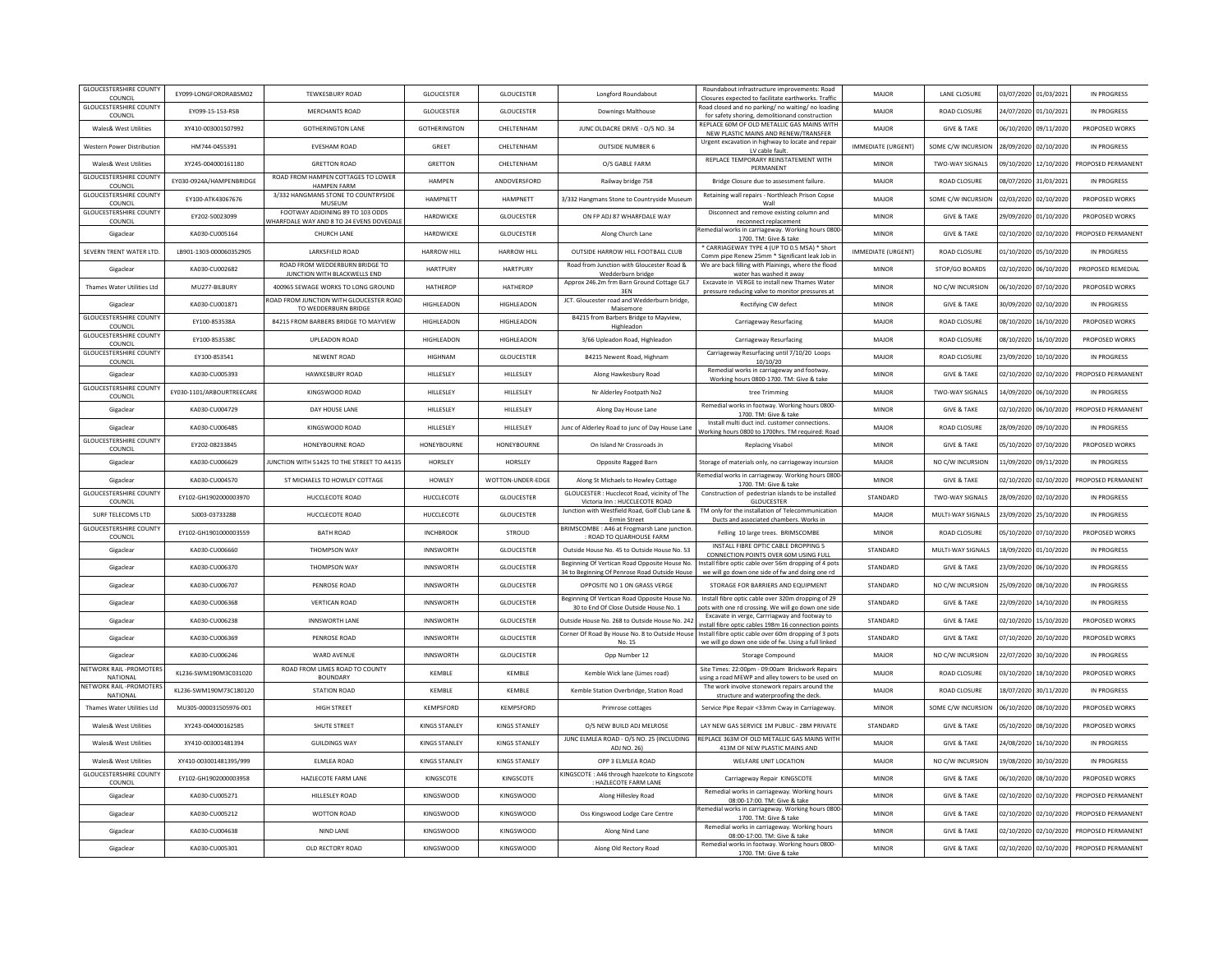| <b>GLOUCESTERSHIRE COUNTY</b><br>COUNCIL           | EY099-LONGFORDRABSM02     | <b>TEWKESBURY ROAD</b>                                                       | <b>GLOUCESTER</b>    | <b>GLOUCESTER</b>    | Longford Roundabout                                                                            | Roundabout infrastructure improvements: Road<br>Closures expected to facilitate earthworks. Traffic          | MAJOR                     | LANE CLOSURE           | 03/07/2020 01/03/2021 |            | IN PROGRESS        |
|----------------------------------------------------|---------------------------|------------------------------------------------------------------------------|----------------------|----------------------|------------------------------------------------------------------------------------------------|--------------------------------------------------------------------------------------------------------------|---------------------------|------------------------|-----------------------|------------|--------------------|
| <b>GLOUCESTERSHIRE COUNTY</b><br>COUNCIL           | EY099-15-153-RSB          | MERCHANTS ROAD                                                               | GLOUCESTER           | GLOUCESTER           | <b>Downings Malthouse</b>                                                                      | Road closed and no parking/ no waiting/ no loading<br>for safety shoring, demolitionand construction         | MAJOR                     | <b>ROAD CLOSURE</b>    | 24/07/2020 01/10/2021 |            | IN PROGRESS        |
| Wales& West Utilities                              | XY410-003001507992        | <b>GOTHERINGTON LANE</b>                                                     | GOTHERINGTON         | CHELTENHAM           | JUNC OLDACRE DRIVE - O/S NO. 34                                                                | REPLACE 60M OF OLD METALLIC GAS MAINS WITH<br>NEW PLASTIC MAINS AND RENEW/TRANSFER                           | MAJOR                     | <b>GIVE &amp; TAKE</b> | 06/10/2020            | 09/11/2020 | PROPOSED WORKS     |
| Western Power Distribution                         | HM744-0455391             | <b>EVESHAM ROAD</b>                                                          | GREET                | CHELTENHAM           | <b>OUTSIDE NUMBER 6</b>                                                                        | Urgent excavation in highway to locate and repair<br>LV cable fault                                          | <b>IMMEDIATE (URGENT)</b> | SOME C/W INCURSION     | 28/09/2020 02/10/2020 |            | IN PROGRESS        |
| Wales& West Utilities                              | XY245-004000161180        | <b>GRETTON ROAD</b>                                                          | GRETTON              | CHELTENHAM           | O/S GABLE FARM                                                                                 | REPLACE TEMPORARY REINSTATEMENT WITH<br>PERMANENT                                                            | MINOR                     | <b>TWO-WAY SIGNALS</b> | 09/10/2020 12/10/2020 |            | PROPOSED PERMANENT |
| <b>GLOUCESTERSHIRE COUNTY</b><br>COUNCIL           | EY030-0924A/HAMPENBRIDGE  | ROAD FROM HAMPEN COTTAGES TO LOWER<br><b>HAMPEN FARM</b>                     | <b>HAMPEN</b>        | ANDOVERSFORD         | Railway bridge 758                                                                             | Bridge Closure due to assessment failure.                                                                    | MAJOR                     | <b>ROAD CLOSURE</b>    | 08/07/2020 31/03/2021 |            | IN PROGRESS        |
| <b>GLOUCESTERSHIRE COUNTY</b><br>COUNCIL           | EY100-ATK43067676         | 3/332 HANGMANS STONE TO COUNTRYSIDE<br>MUSEUM                                | <b>HAMPNETT</b>      | HAMPNETT             | 3/332 Hangmans Stone to Countryside Museun                                                     | Retaining wall repairs - Northleach Prison Copse<br><b>Wall</b>                                              | MAJOR                     | SOME C/W INCURSION     | 02/03/2020 02/10/2020 |            | PROPOSED WORKS     |
| <b>GLOUCESTERSHIRE COUNTY</b><br>COUNCIL           | EY202-50023099            | FOOTWAY ADJOINING 89 TO 103 ODDS<br>VHARFDALE WAY AND 8 TO 24 EVENS DOVEDALI | HARDWICKE            | <b>GLOUCESTER</b>    | ON FP ADJ 87 WHARFDALE WAY                                                                     | Disconnect and remove existing column and<br>reconnect replacement                                           | MINOR                     | <b>GIVE &amp; TAKE</b> | 29/09/2020 01/10/2020 |            | PROPOSED WORKS     |
| Gigaclear                                          | KA030-CU005164            | <b>CHURCH LANE</b>                                                           | HARDWICKE            | <b>GLOUCESTER</b>    | Along Church Lane                                                                              | Remedial works in carriageway. Working hours 080<br>1700. TM: Give & take                                    | <b>MINOR</b>              | <b>GIVE &amp; TAKE</b> | 02/10/2020 02/10/2020 |            | PROPOSED PERMANENT |
| SEVERN TRENT WATER LTD                             | LB901-1303-000060352905   | LARKSFIELD ROAD                                                              | <b>HARROW HILL</b>   | <b>HARROW HILL</b>   | OUTSIDE HARROW HILL FOOTBALL CLUB                                                              | * CARRIAGEWAY TYPE 4 (UP TO 0.5 MSA) * Short<br>Comm pipe Renew 25mm * Significant leak Job in               | <b>IMMEDIATE (URGENT)</b> | <b>ROAD CLOSURE</b>    | 01/10/2020 05/10/2020 |            | IN PROGRESS        |
| Gigaclear                                          | KA030-CU002682            | ROAD FROM WEDDERBURN BRIDGE TO<br>JUNCTION WITH BLACKWELLS END               | <b>HARTPURY</b>      | HARTPURY             | Road from Junction with Gloucester Road &                                                      | We are back filling with Plainings, where the flood                                                          | <b>MINOR</b>              | STOP/GO BOARDS         | 02/10/2020            | 06/10/2020 | PROPOSED REMEDIAL  |
| Thames Water Utilities Ltd                         | MU277-BILBURY             | 400965 SEWAGE WORKS TO LONG GROUND                                           | <b>HATHEROP</b>      | HATHEROP             | Wedderburn bridge<br>Approx 246.2m frm Barn Ground Cottage GL7                                 | water has washed it away<br>Excavate in VERGE to install new Thames Water                                    | <b>MINOR</b>              | NO C/W INCURSION       | 06/10/2020 07/10/2020 |            | PROPOSED WORKS     |
| Gigaclear                                          | KA030-CU001871            | ROAD FROM JUNCTION WITH GLOUCESTER ROAD                                      | HIGHLEADON           | HIGHLEADON           | 3EN<br>JCT. Gloucester road and Wedderburn bridge,                                             | pressure reducing valve to monitor pressures at<br>Rectifying CW defect                                      | MINOR                     | <b>GIVE &amp; TAKE</b> | 30/09/2020 02/10/2020 |            | IN PROGRESS        |
| <b>GLOUCESTERSHIRE COUNTY</b>                      | EY100-853538A             | TO WEDDERBURN BRIDGE<br>B4215 FROM BARBERS BRIDGE TO MAYVIEW                 | HIGHLEADON           | HIGHLEADON           | Maisemore<br>B4215 from Barbers Bridge to Mayview,                                             | Carriageway Resurfacing                                                                                      | MAJOR                     | <b>ROAD CLOSURE</b>    | 08/10/2020 16/10/2020 |            | PROPOSED WORKS     |
| COUNCIL<br><b>GLOUCESTERSHIRE COUNTY</b>           | EY100-8535380             | UPLEADON ROAD                                                                | HIGHLEADON           | <b>HIGHLEADON</b>    | Highleadon<br>3/66 Upleadon Road, Highleadon                                                   | Carriageway Resurfacing                                                                                      | MAJOR                     | <b>ROAD CLOSURE</b>    | 08/10/2020 16/10/2020 |            | PROPOSED WORKS     |
| COUNCIL<br><b>GLOUCESTERSHIRE COUNTY</b>           | EY100-853541              | NEWENT ROAD                                                                  | <b>HIGHNAN</b>       | <b>GLOUCESTER</b>    | B4215 Newent Road, Highnam                                                                     | Carriageway Resurfacing until 7/10/20 Loops                                                                  | MAJOR                     | <b>ROAD CLOSURE</b>    | 23/09/2020            | 10/10/2020 | IN PROGRESS        |
| COUNCIL<br>Gigaclear                               | KA030-CU005393            | HAWKESBURY ROAD                                                              | HILLESLEY            | HILLESLEY            | Along Hawkesbury Road                                                                          | 10/10/20<br>Remedial works in carriageway and footway.                                                       | MINOR                     | <b>GIVE &amp; TAKE</b> | 02/10/2020 02/10/2020 |            | PROPOSED PERMANENT |
| <b>GLOUCESTERSHIRE COUNTY</b>                      | EY030-1101/ARBOURTREECARE | KINGSWOOD ROAD                                                               | HILLESLEY            | HILLESLEY            | Nr Alderley Footpath No2                                                                       | Working hours 0800-1700. TM: Give & take<br>tree Trimming                                                    | MAJOR                     | TWO-WAY SIGNALS        | 14/09/2020 06/10/2020 |            | IN PROGRESS        |
| COUNCIL<br>Gigaclear                               | KA030-CU004729            | DAY HOUSE LANE                                                               | HILLESLEY            | HILLESLEY            | Along Day House Lane                                                                           | Remedial works in footway. Working hours 0800-                                                               | <b>MINOR</b>              | <b>GIVE &amp; TAKE</b> | 02/10/2020            | 06/10/2020 | PROPOSED PERMANENT |
| Gigaclear                                          | KA030-CU006485            | KINGSWOOD ROAD                                                               | HILLESLEY            | HILLESLEY            | Junc of Alderley Road to junc of Day House Lane                                                | 1700. TM: Give & take<br>Install multi duct incl. customer connections.                                      | MAJOR                     | <b>ROAD CLOSURE</b>    | 28/09/2020 09/10/2020 |            | <b>IN PROGRESS</b> |
| <b>GLOUCESTERSHIRE COUNT</b>                       |                           |                                                                              |                      |                      |                                                                                                | Working hours 0800 to 1700hrs. TM required: Road                                                             |                           |                        |                       |            |                    |
| COUNCIL                                            | EY202-08233845            | HONEYBOURNE ROAD                                                             | HONEYBOURNE          | HONEYBOURNE          | On Island Nr Crossroads Jn                                                                     | <b>Replacing Visabol</b>                                                                                     | MINOR                     | <b>GIVE &amp; TAKE</b> | 05/10/2020            | 07/10/2020 | PROPOSED WORKS     |
| Gigaclear                                          | KA030-CU006629            | <b>IUNCTION WITH 51425 TO THE STREET TO A4135</b>                            | <b>HORSLEY</b>       | HORSI FY             | Opposite Ragged Barn                                                                           | Storage of materials only, no carriageway incursion<br>Remedial works in carriageway. Working hours 0800     | MAIOR                     | NO C/W INCURSION       | 11/09/2020 09/11/2020 |            | IN PROGRESS        |
| Gigaclear<br><b>GLOUCESTERSHIRE COUNTY</b>         | KA030-CU004570            | ST MICHAELS TO HOWLEY COTTAGE                                                | <b>HOWLEY</b>        | WOTTON-UNDER-EDGE    | Along St Michaels to Howley Cottage<br>GLOUCESTER: Hucclecot Road, vicinity of The             | 1700. TM: Give & take<br>Construction of pedestrian islands to be installed                                  | MINOR                     | <b>GIVE &amp; TAKE</b> | 02/10/2020 02/10/2020 |            | PROPOSED PERMANENT |
| COUNCI                                             | EY102-GH1902000003970     | HUCCLECOTE ROAD                                                              | HUCCLECOTE           | <b>GLOUCESTER</b>    | Victoria Inn : HUCCLECOTE ROAD<br>Junction with Westfield Road, Golf Club Lane &               | <b>GLOUCESTER</b><br>TM only for the installation of Telecommunication                                       | STANDARD                  | <b>TWO-WAY SIGNALS</b> | 28/09/2020 02/10/2020 |            | IN PROGRESS        |
| SURF TELECOMS LTD<br><b>GLOUCESTERSHIRE COUNTY</b> | SJ003-0373328B            | HUCCLECOTE ROAD                                                              | HUCCLECOTE           | <b>GLOUCESTER</b>    | Ermin Street                                                                                   | Ducts and associated chambers. Works in                                                                      | MAJOR                     | MULTI-WAY SIGNALS      | 23/09/2020 25/10/2020 |            | IN PROGRESS        |
| COUNCIL                                            | FY102-GH1901000003559     | <b>BATH ROAD</b>                                                             | <b>INCHRROOK</b>     | STROUD               | BRIMSCOMBE: A46 at Frogmarsh Lane junction<br>ROAD TO QUARHOUSE FARM                           | Felling 10 large trees. BRIMSCOMBE                                                                           | MINOR                     | <b>ROAD CLOSURE</b>    | 05/10/2020 07/10/2020 |            | PROPOSED WORKS     |
| Gigaclear                                          | KA030-CU006660            | THOMPSON WAY                                                                 | <b>INNSWORTH</b>     | <b>GLOUCESTER</b>    | Outside House No. 45 to Outside House No. 53                                                   | INSTALL FIBRE OPTIC CABLE DROPPING 5<br>CONNECTION POINTS OVER 60M USING FULL                                | STANDARD                  | MULTI-WAY SIGNALS      | 18/09/2020 01/10/2020 |            | IN PROGRESS        |
| Gigaclear                                          | KA030-CU006370            | <b>THOMPSON WAY</b>                                                          | <b>INNSWORTH</b>     | <b>GLOUCESTER</b>    | Beginning Of Vertican Road Opposite House No.<br>34 to Beginning Of Penrose Road Outside House | nstall fibre optic cable over 56m dropping of 4 pots<br>we will go down one side of fw and doing one rd      | STANDARD                  | <b>GIVE &amp; TAKE</b> | 23/09/2020 06/10/2020 |            | IN PROGRESS        |
| Gigaclea                                           | KA030-CU006707            | PENROSE ROAD                                                                 | <b>INNSWORTH</b>     | GLOUCESTER           | OPPOSITE NO 1 ON GRASS VERGE                                                                   | STORAGE FOR BARRIERS AND EQUIPMENT                                                                           | STANDARD                  | NO C/W INCURSION       | 25/09/2020            | 08/10/2020 | IN PROGRESS        |
| Gigaclear                                          | KA030-CU006368            | <b>VERTICAN ROAD</b>                                                         | <b>INNSWORTH</b>     | GLOUCESTER           | Beginning Of Vertican Road Opposite House No.<br>30 to End Of Close Outside House No. 1        | Install fibre optic cable over 320m dropping of 29<br>pots with one rd crossing. We will go down one side    | STANDARD                  | <b>GIVE &amp; TAKE</b> | 22/09/2020 14/10/2020 |            | IN PROGRESS        |
| Gigaclear                                          | KA030-CU006238            | <b>INNSWORTH LANE</b>                                                        | <b>INNSWORTH</b>     | <b>GLOUCESTER</b>    | Outside House No. 268 to Outside House No. 242                                                 | Excavate in verge, Carrriagway and footway to<br>nstall fibre optic cables 198m 16 connection point:         | STANDARD                  | <b>GIVE &amp; TAKE</b> | 02/10/2020 15/10/2020 |            | PROPOSED WORKS     |
| Gigaclear                                          | KA030-CU006369            | PENROSE ROAD                                                                 | <b>INNSWORTH</b>     | GLOUCESTER           | Corner Of Road By House No. 8 to Outside House<br>No. 15                                       | Install fibre optic cable over 60m dropping of 3 pots<br>we will go down one side of fw. Using a full linked | STANDARD                  | <b>GIVE &amp; TAKE</b> | 07/10/2020 20/10/2020 |            | PROPOSED WORKS     |
| Gigaclear                                          | KA030-CU006246            | WARD AVENUE                                                                  | <b>INNSWORTH</b>     | <b>GLOUCESTER</b>    | Opp Number 12                                                                                  | <b>Storage Compound</b>                                                                                      | MAJOR                     | NO C/W INCURSION       | 22/07/2020 30/10/2020 |            | IN PROGRESS        |
| <b>IETWORK RAIL -PROMOTER</b><br>NATIONAL          | KL236-SWM190M3C031020     | ROAD FROM LIMES ROAD TO COUNTY<br><b>BOUNDARY</b>                            | KEMBLE               | KEMBLE               | Kemble Wick lane (Limes road)                                                                  | Site Times: 22:00pm - 09:00am Brickwork Repairs<br>using a road MEWP and alley towers to be used on          | MAJOR                     | <b>ROAD CLOSURE</b>    | 03/10/2020            | 18/10/2020 | PROPOSED WORKS     |
| NETWORK RAIL -PROMOTERS<br>NATIONAL                | KL236-SWM190M73C180120    | <b>STATION ROAD</b>                                                          | KEMBLE               | KEMBLE               | Kemble Station Overbridge, Station Road                                                        | The work involve stonework repairs around the<br>structure and waterproofing the deck                        | MAJOR                     | <b>ROAD CLOSURE</b>    | 18/07/2020 30/11/2020 |            | IN PROGRESS        |
| Thames Water Utilities Ltd                         | MU305-000031505976-001    | HIGH STREET                                                                  | KEMPSFORD            | KEMPSFORD            | Primrose cottages                                                                              | Service Pipe Repair <33mm Cway in Carriageway                                                                | <b>MINOR</b>              | SOME C/W INCURSION     | 06/10/2020 08/10/2020 |            | PROPOSED WORKS     |
| Wales& West Utilities                              | XY243-004000162585        | SHUTE STREET                                                                 | KINGS STANLEY        | <b>KINGS STANLEY</b> | O/S NEW BUILD ADJ MELROSE                                                                      | LAY NEW GAS SERVICE 1M PUBLIC - 28M PRIVATE                                                                  | STANDARD                  | <b>GIVE &amp; TAKE</b> | 05/10/2020            | 08/10/2020 | PROPOSED WORKS     |
| Wales& West Utilities                              | XY410-003001481394        | <b>GUILDINGS WAY</b>                                                         | <b>KINGS STANLEY</b> | <b>KINGS STANLEY</b> | JUNC ELMLEA ROAD - O/S NO. 25 (INCLUDING<br>ADJ NO. 26)                                        | REPLACE 363M OF OLD METALLIC GAS MAINS WITH<br>413M OF NEW PLASTIC MAINS AND                                 | MAJOR                     | <b>GIVE &amp; TAKE</b> | 24/08/2020 16/10/2020 |            | IN PROGRESS        |
| Wales& West Utilities                              | XY410-003001481395/999    | ELMLEA ROAD                                                                  | <b>KINGS STANLEY</b> | <b>KINGS STANLEY</b> | OPP 3 ELMLEA ROAD                                                                              | WELFARE UNIT LOCATION                                                                                        | MAJOR                     | NO C/W INCURSION       | 19/08/2020 30/10/2020 |            | IN PROGRESS        |
| <b>GLOUCESTERSHIRE COUNTY</b><br>COUNCIL           | EY102-GH1902000003958     | HAZLECOTE FARM LANE                                                          | KINGSCOTE            | KINGSCOTE            | KINGSCOTE: A46 through hazelcote to Kingscote<br>: HAZLECOTE FARM LANE                         | Carriageway Repair KINGSCOTE                                                                                 | <b>MINOR</b>              | <b>GIVE &amp; TAKE</b> | 06/10/2020 08/10/2020 |            | PROPOSED WORKS     |
| Gigaclear                                          | KA030-CU005271            | HILLESLEY ROAD                                                               | KINGSWOOD            | <b>KINGSWOOD</b>     | Along Hillesley Road                                                                           | Remedial works in carriageway. Working hours<br>08:00-17:00. TM: Give & take                                 | <b>MINOF</b>              | <b>GIVE &amp; TAKE</b> | 02/10/2020 02/10/2020 |            | PROPOSED PERMANENT |
| Gigaclear                                          | KA030-CU005212            | WOTTON ROAD                                                                  | <b>KINGSWOOD</b>     | <b>KINGSWOOD</b>     | Oss Kingswood Lodge Care Centre                                                                | Remedial works in carriageway. Working hours 0800<br>1700. TM: Give & take                                   | <b>MINOR</b>              | <b>GIVE &amp; TAKE</b> | 02/10/2020            | 02/10/2020 | PROPOSED PERMANENT |
| Gigaclear                                          | KA030-CU004638            | NIND LANE                                                                    | KINGSWOOD            | <b>KINGSWOOD</b>     | Along Nind Lane                                                                                | Remedial works in carriageway. Working hours                                                                 | <b>MINOR</b>              | <b>GIVE &amp; TAKE</b> | 02/10/2020 02/10/2020 |            | PROPOSED PERMANENT |
| Gigaclear                                          | KA030-CU005301            | OLD RECTORY ROAD                                                             | KINGSWOOD            | KINGSWOOD            | Along Old Rectory Road                                                                         | 08:00-17:00. TM: Give & take<br>Remedial works in footway. Working hours 0800-                               | MINOR                     | <b>GIVE &amp; TAKE</b> | 02/10/2020 02/10/2020 |            | PROPOSED PERMANENT |
|                                                    |                           |                                                                              |                      |                      |                                                                                                | 1700. TM: Give & take                                                                                        |                           |                        |                       |            |                    |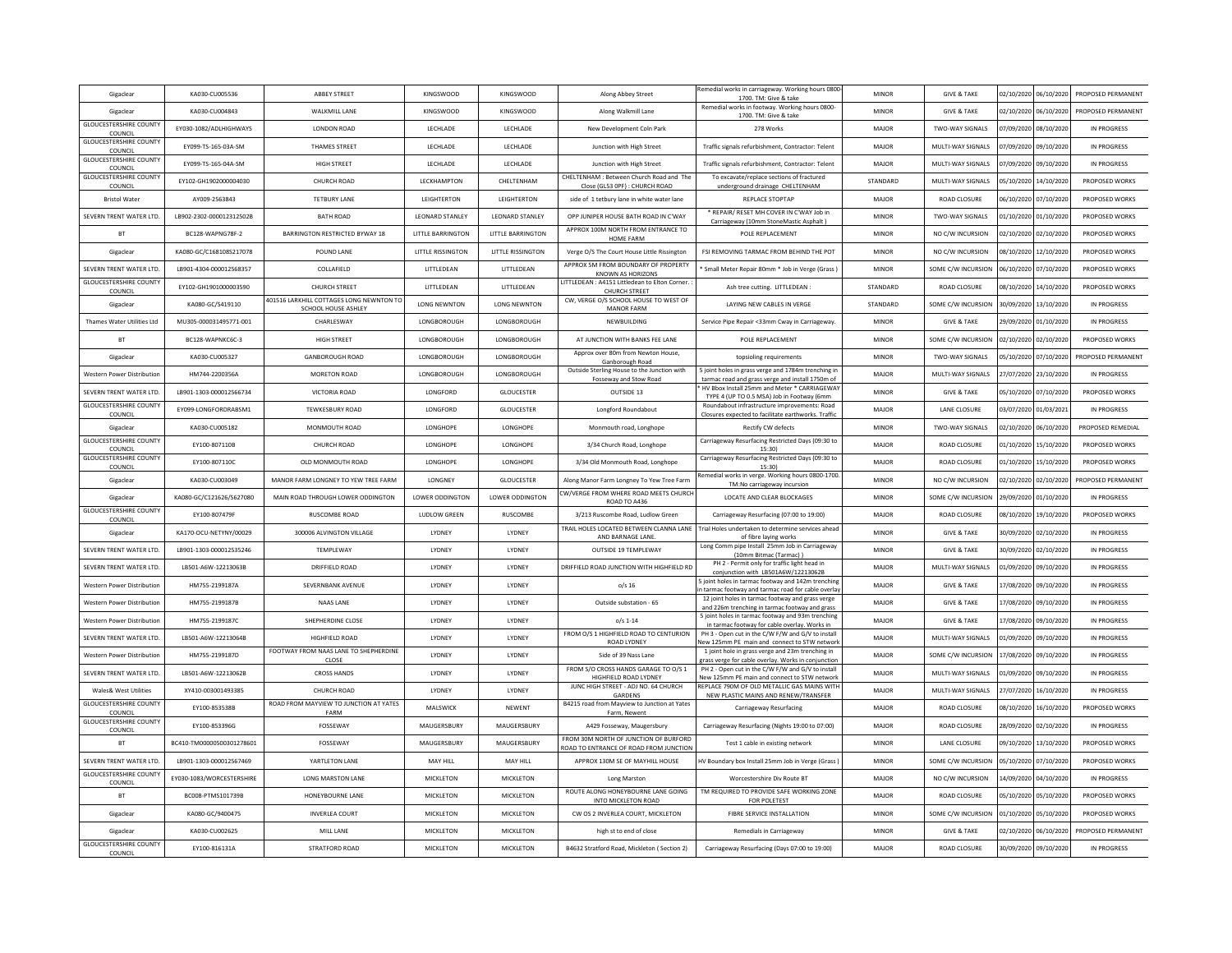| Gigaclear                                  | KA030-CU005536            | <b>ABBEY STREET</b>                                             | KINGSWOOD                | <b>KINGSWOOD</b>         | Along Abbey Street                                                         | Remedial works in carriageway. Working hours 0800-<br>1700. TM: Give & take                                   | <b>MINOR</b> | <b>GIVE &amp; TAKE</b> |                       | 02/10/2020 06/10/2020 | PROPOSED PERMANENT |
|--------------------------------------------|---------------------------|-----------------------------------------------------------------|--------------------------|--------------------------|----------------------------------------------------------------------------|---------------------------------------------------------------------------------------------------------------|--------------|------------------------|-----------------------|-----------------------|--------------------|
| Gigaclear                                  | KA030-CU004843            | WALKMILL LANE                                                   | KINGSWOOD                | <b>KINGSWOOD</b>         | Along Walkmill Lane                                                        | Remedial works in footway. Working hours 0800-<br>1700. TM: Give & take                                       | <b>MINOR</b> | <b>GIVE &amp; TAKE</b> |                       | 02/10/2020 06/10/2020 | PROPOSED PERMANENT |
| <b>GLOUCESTERSHIRE COUNTY</b><br>COUNCIL   | EY030-1082/ADLHIGHWAYS    | LONDON ROAD                                                     | LECHLADE                 | LECHLADE                 | New Development Coln Park                                                  | 278 Works                                                                                                     | MAJOR        | TWO-WAY SIGNALS        | 07/09/2020            | 08/10/2020            | IN PROGRESS        |
| <b>GLOUCESTERSHIRE COUNTY</b><br>COUNCIL   | EY099-TS-165-03A-SM       | THAMES STREET                                                   | LECHLADE                 | LECHLADE                 | Junction with High Street                                                  | Traffic signals refurbishment, Contractor: Telent                                                             | MAJOR        | MULTI-WAY SIGNALS      | 07/09/2020            | 09/10/2020            | IN PROGRESS        |
| <b>GLOUCESTERSHIRE COUNTY</b><br>COUNCIL   | EY099-TS-165-04A-SM       | <b>HIGH STREET</b>                                              | LECHLADE                 | LECHLADE                 | Junction with High Street                                                  | Traffic signals refurbishment, Contractor: Telent                                                             | MAJOR        | MULTI-WAY SIGNALS      |                       | 07/09/2020 09/10/2020 | IN PROGRESS        |
| <b>GLOUCESTERSHIRE COUNTY</b><br>COUNCIL   | EY102-GH1902000004030     | CHURCH ROAD                                                     | LECKHAMPTON              | CHELTENHAM               | CHELTENHAM : Between Church Road and The<br>Close (GL53 OPF) : CHURCH ROAD | To excavate/replace sections of fractured<br>underground drainage CHELTENHAM                                  | STANDARD     | MULTI-WAY SIGNALS      |                       | 05/10/2020 14/10/2020 | PROPOSED WORKS     |
| <b>Bristol Water</b>                       | AY009-2563843             | <b>TETBURY LANE</b>                                             | LEIGHTERTON              | LEIGHTERTON              | side of 1 tetbury lane in white water lane                                 | REPLACE STOPTAP                                                                                               | MAJOR        | <b>ROAD CLOSURE</b>    | 06/10/2020            | 07/10/2020            | PROPOSED WORKS     |
| SEVERN TRENT WATER LTD                     | LB902-2302-000012312502B  | <b>BATH ROAD</b>                                                | LEONARD STANLEY          | <b>LEONARD STANLEY</b>   | OPP JUNIPER HOUSE BATH ROAD IN C'WAY                                       | REPAIR/ RESET MH COVER IN C'WAY Job in<br>Carriageway (10mm StoneMastic Asphalt)                              | MINOR        | TWO-WAY SIGNALS        | 01/10/2020            | 01/10/2020            | PROPOSED WORKS     |
| <b>BT</b>                                  | BC128-WAPNG78F-2          | BARRINGTON RESTRICTED BYWAY 18                                  | <b>LITTLE BARRINGTON</b> | LITTLE BARRINGTON        | APPROX 100M NORTH FROM ENTRANCE TO<br><b>HOME FARM</b>                     | POLE REPLACEMENT                                                                                              | <b>MINOR</b> | NO C/W INCURSION       |                       | 02/10/2020 02/10/2020 | PROPOSED WORKS     |
| Gigaclear                                  | KA080-GC/C168108S217078   | POUND LANE                                                      | <b>LITTLE RISSINGTON</b> | <b>LITTLE RISSINGTON</b> | Verge O/S The Court House Little Rissington                                | FSI REMOVING TARMAC FROM BEHIND THE POT                                                                       | <b>MINOR</b> | NO C/W INCURSION       | 08/10/2020 12/10/2020 |                       | PROPOSED WORKS     |
| SEVERN TRENT WATER LTD.                    | LB901-4304-000012568357   | COLLAFIELD                                                      | LITTLEDEAN               | LITTLEDEAN               | APPROX 5M FROM BOUNDARY OF PROPERTY<br>KNOWN AS HORIZONS                   | Small Meter Repair 80mm * Job in Verge (Grass                                                                 | <b>MINOR</b> | SOME C/W INCURSION     |                       | 06/10/2020 07/10/2020 | PROPOSED WORKS     |
| <b>GLOUCESTERSHIRE COUNTY</b><br>COUNCIL   | EY102-GH1901000003590     | <b>CHURCH STREET</b>                                            | LITTLEDEAN               | LITTLEDEAN               | LITTLEDEAN: A4151 Littledean to Elton Corner.<br><b>CHURCH STREET</b>      | Ash tree cutting. LITTLEDEAN:                                                                                 | STANDARD     | <b>ROAD CLOSURE</b>    | 08/10/2020            | 14/10/2020            | PROPOSED WORKS     |
| Gigaclear                                  | KA080-GC/S419110          | 401516 LARKHILL COTTAGES LONG NEWNTON TO<br>SCHOOL HOUSE ASHLEY | <b>LONG NEWNTON</b>      | <b>LONG NEWNTON</b>      | CW, VERGE O/S SCHOOL HOUSE TO WEST OF<br><b>MANOR FARM</b>                 | LAYING NEW CABLES IN VERGE                                                                                    | STANDARD     | SOME C/W INCURSION     | 30/09/2020 13/10/2020 |                       | IN PROGRESS        |
| Thames Water Utilities Ltd                 | MU305-000031495771-001    | CHARLESWAY                                                      | LONGBOROUGH              | LONGBOROUGH              | NEWBUILDING                                                                | Service Pipe Repair <33mm Cway in Carriageway                                                                 | <b>MINOR</b> | <b>GIVE &amp; TAKE</b> |                       | 29/09/2020 01/10/2020 | <b>IN PROGRESS</b> |
| <b>BT</b>                                  | BC128-WAPNKC6C-3          | HIGH STREET                                                     | LONGBOROUGH              | LONGBOROUGH              | AT JUNCTION WITH BANKS FEE LANE                                            | POLE REPLACEMENT                                                                                              | MINOR        | SOME C/W INCURSION     |                       | 02/10/2020 02/10/2020 | PROPOSED WORKS     |
| Gigaclea                                   | KA030-CU005327            | <b>GANBOROUGH ROAD</b>                                          | LONGBOROUGH              | LONGBOROUGH              | Approx over 80m from Newton House,<br>Ganborough Road                      | topsioling requirements                                                                                       | MINOR        | TWO-WAY SIGNALS        | 05/10/2020            | 07/10/2020            | PROPOSED PERMANENT |
| Western Power Distribution                 | HM744-2200356A            | MORETON ROAD                                                    | LONGBOROUGH              | LONGBOROUGH              | Outside Sterling House to the Junction with<br>Fosseway and Stow Road      | 5 joint holes in grass verge and 1784m trenching ir<br>tarmac road and grass verge and install 1750m of       | MAJOR        | MULTI-WAY SIGNALS      |                       | 27/07/2020 23/10/2020 | IN PROGRESS        |
| SEVERN TRENT WATER LTD.                    | 18901-1303-000012566734   | VICTORIA ROAD                                                   | <b>LONGFORD</b>          | <b>GLOUCESTER</b>        | OUTSIDE 13                                                                 | HV Bbox Install 25mm and Meter * CARRIAGEWAY<br>TYPE 4 (UP TO 0.5 MSA) Job in Footway (6mm                    | MINOR        | <b>GIVE &amp; TAKE</b> |                       | 05/10/2020 07/10/2020 | PROPOSED WORKS     |
| <b>GLOUCESTERSHIRE COUNTY</b><br>COUNCIL   | EY099-LONGFORDRABSM1      | TEWKESBURY ROAD                                                 | LONGFORD                 | GLOUCESTER               | Longford Roundabout                                                        | Roundabout infrastructure improvements: Road<br>Closures expected to facilitate earthworks. Traffic           | MAJOR        | LANE CLOSURE           | 03/07/2020 01/03/2021 |                       | IN PROGRESS        |
| Gigaclear                                  | KA030-CU005182            | MONMOUTH ROAD                                                   | LONGHOPE                 | LONGHOPE                 | Monmouth road, Longhope                                                    | <b>Rectify CW defects</b>                                                                                     | <b>MINOF</b> | <b>TWO-WAY SIGNALS</b> | 02/10/2020            | 06/10/2020            | PROPOSED REMEDIAL  |
| <b>GLOUCESTERSHIRE COUNT</b><br>COUNCIL    | EY100-807110B             | CHURCH ROAD                                                     | LONGHOPE                 | LONGHOPE                 | 3/34 Church Road, Longhope                                                 | Carriageway Resurfacing Restricted Days (09:30 to<br>15:30)                                                   | MAJOR        | <b>ROAD CLOSURE</b>    | 01/10/2020            | 15/10/2020            | PROPOSED WORKS     |
| <b>GLOUCESTERSHIRE COUNTY</b><br>COUNCIL   | EY100-807110C             | OLD MONMOUTH ROAD                                               | LONGHOPE                 | LONGHOPE                 | 3/34 Old Monmouth Road, Longhope                                           | Carriageway Resurfacing Restricted Days (09:30 to<br>15:30)                                                   | MAJOR        | <b>ROAD CLOSURE</b>    | 01/10/2020 15/10/2020 |                       | PROPOSED WORKS     |
| Gigaclear                                  | KA030-CU003049            | MANOR FARM LONGNEY TO YEW TREE FARM                             | <b>LONGNEY</b>           | <b>GLOUCESTER</b>        | Along Manor Farm Longney To Yew Tree Farm                                  | Remedial works in verge. Working hours 0800-1700.<br>TM:No carriageway incursion                              | MINOR        | NO C/W INCURSION       |                       | 02/10/2020 02/10/2020 | PROPOSED PERMANENT |
| Gigaclear                                  | KA080-GC/C121626/S627080  | MAIN ROAD THROUGH LOWER ODDINGTON                               | <b>LOWER ODDINGTON</b>   | LOWER ODDINGTON          | W/VERGE FROM WHERE ROAD MEETS CHURCH<br>ROAD TO A436                       | LOCATE AND CLEAR BLOCKAGES                                                                                    | <b>MINOR</b> | SOME C/W INCURSION     | 29/09/2020 01/10/2020 |                       | IN PROGRESS        |
| <b>GLOUCESTERSHIRE COUNTY</b><br>COUNCIL   | EY100-807479F             | <b>RUSCOMBE ROAD</b>                                            | <b>LUDLOW GREEN</b>      | <b>RUSCOMBE</b>          | 3/213 Ruscombe Road, Ludlow Green                                          | Carriageway Resurfacing (07:00 to 19:00)                                                                      | MAJOR        | <b>ROAD CLOSURE</b>    | 08/10/2020            | 19/10/2020            | PROPOSED WORKS     |
| Gigaclea                                   | KA170-OCU-NETYNY/00029    | 300006 ALVINGTON VILLAGE                                        | LYDNEY                   | <b>I YDNEY</b>           | TRAIL HOLES LOCATED BETWEEN CLANNA LANE<br>AND BARNAGE LANE                | Trial Holes undertaken to determine services aheac<br>of fibre laying works                                   | <b>MINOR</b> | <b>GIVE &amp; TAKE</b> | 30/09/2020            | 02/10/2020            | IN PROGRESS        |
| SEVERN TRENT WATER ITD.                    | 18901-1303-000012535246   | <b>TFMPI FWAY</b>                                               | <b>IYDNEY</b>            | <b>I YDNEY</b>           | <b>OUTSIDE 19 TEMPLEWAY</b>                                                | Long Comm pipe Install 25mm Job in Carriageway                                                                | MINOR        | <b>GIVE &amp; TAKE</b> |                       | 30/09/2020 02/10/2020 | IN PROGRESS        |
| SEVERN TRENT WATER LTD                     | LB501-A6W-12213063B       | DRIFFIELD ROAD                                                  | LYDNEY                   | LYDNEY                   | DRIFFIELD ROAD JUNCTION WITH HIGHFIELD RD                                  | (10mm Bitmac (Tarmac))<br>PH 2 - Permit only for traffic light head in<br>conjunction with LB501A6W/12213062B | MAJOR        | MULTI-WAY SIGNALS      | 01/09/2020            | 09/10/2020            | IN PROGRESS        |
| Western Power Distribution                 | HM755-2199187A            | SEVERNBANK AVENUE                                               | LYDNEY                   | LYDNEY                   | $0/s$ 16                                                                   | 5 joint holes in tarmac footway and 142m trenching<br>tarmac footway and tarmac road for cable overlay        | MAJOR        | <b>GIVE &amp; TAKE</b> | 17/08/2020            | 09/10/2020            | IN PROGRESS        |
| Western Power Distribution                 | HM755-2199187B            | NAAS LANE                                                       | LYDNEY                   | LYDNEY                   | Outside substation - 65                                                    | 12 joint holes in tarmac footway and grass verge                                                              | MAJOR        | <b>GIVE &amp; TAKE</b> | 17/08/2020            | 09/10/2020            | IN PROGRESS        |
| Western Power Distribution                 | HM755-2199187C            | SHEPHERDINE CLOSE                                               | <b>IYDNEY</b>            | <b>I YDNEY</b>           | $o/s$ 1-14                                                                 | and 226m trenching in tarmac footway and grass<br>5 joint holes in tarmac footway and 93m trenching           | MAJOR        | <b>GIVE &amp; TAKE</b> | 17/08/2020            | 09/10/2020            | IN PROGRESS        |
| SEVERN TRENT WATER LTD.                    | LB501-A6W-12213064B       | HIGHFIELD ROAD                                                  | LYDNEY                   | LYDNEY                   | FROM O/S 1 HIGHFIELD ROAD TO CENTURION                                     | in tarmac footway for cable overlay. Works in<br>PH 3 - Open cut in the C/W F/W and G/V to install            | MAJOR        | MULTI-WAY SIGNALS      | 01/09/2020 09/10/2020 |                       | IN PROGRESS        |
| Western Power Distribution                 | HM755-2199187D            | FOOTWAY FROM NAAS LANE TO SHEPHERDINE                           | LYDNEY                   | LYDNEY                   | ROAD LYDNEY<br>Side of 39 Nass Lane                                        | New 125mm PE main and connect to STW network<br>1 joint hole in grass verge and 23m trenching in              | MAJOR        | SOME C/W INCURSION     |                       | 17/08/2020 09/10/2020 | IN PROGRESS        |
| SEVERN TRENT WATER LTD                     | LB501-A6W-12213062B       | CLOSE<br><b>CROSS HANDS</b>                                     | LYDNEY                   | LYDNEY                   | FROM S/O CROSS HANDS GARAGE TO O/S 1                                       | grass verge for cable overlay. Works in conjunction<br>PH 2 - Open cut in the C/W F/W and G/V to install      | MAJOR        | MULTI-WAY SIGNALS      | 01/09/2020            | 09/10/2020            | IN PROGRESS        |
| Wales& West Utilities                      | XY410-003001493385        | CHURCH ROAD                                                     | LYDNEY                   | LYDNEY                   | HIGHFIELD ROAD LYDNEY<br>JUNC HIGH STREET - ADJ NO. 64 CHURCH              | New 125mm PE main and connect to STW networl<br>REPLACE 790M OF OLD METALLIC GAS MAINS WITH                   | MAJOR        | MULTI-WAY SIGNALS      |                       | 27/07/2020 16/10/2020 | IN PROGRESS        |
| <b>GLOUCESTERSHIRE COUNT</b>               | EY100-853538B             | ROAD FROM MAYVIEW TO JUNCTION AT YATES                          | MAI SWICK                | NFWFNT                   | GARDENS<br>B4215 road from Mayview to Junction at Yates                    | NEW PLASTIC MAINS AND RENEW/TRANSFER<br>Carriageway Resurfacing                                               | MAJOR        | <b>ROAD CLOSURE</b>    | 08/10/2020            | 16/10/2020            | PROPOSED WORKS     |
| COUNCIL<br><b>GLOUCESTERSHIRE COUNTY</b>   | EY100-853396G             | FARM<br>FOSSEWAY                                                | MAUGERSBURY              | MAUGERSBURY              | Farm, Newent<br>A429 Fosseway, Maugersbury                                 | Carriageway Resurfacing (Nights 19:00 to 07:00)                                                               | MAJOR        | <b>ROAD CLOSURE</b>    |                       | 28/09/2020 02/10/2020 | IN PROGRESS        |
| COUNCIL<br><b>BT</b>                       | BC410-TM00000500301278601 | FOSSEWAY                                                        | <b>MAUGERSBURY</b>       | MAUGERSBURY              | FROM 30M NORTH OF IUNCTION OF BUREORD                                      | Test 1 cable in existing network                                                                              | <b>MINOF</b> | LANE CLOSURE           | 09/10/2020            | 13/10/2020            | PROPOSED WORKS     |
| SEVERN TRENT WATER LTD.                    | LB901-1303-000012567469   | YARTLETON LANE                                                  | MAY HILL                 | MAY HILL                 | ROAD TO ENTRANCE OF ROAD FROM JUNCTION<br>APPROX 130M SE OF MAYHILL HOUSE  | IV Boundary box Install 25mm Job in Verge (Grass)                                                             | MINOR        | SOME C/W INCURSION     | 05/10/2020            | 07/10/2020            | PROPOSED WORKS     |
| <b>GLOUCESTERSHIRE COUNTY</b>              | EY030-1083/WORCESTERSHIRE | <b>LONG MARSTON LANE</b>                                        | <b>MICKLETON</b>         | MICKLETON                | Long Marston                                                               | Worcestershire Div Route BT                                                                                   | MAJOR        | NO C/W INCURSION       | 14/09/2020            | 04/10/2020            | IN PROGRESS        |
| COUNCIL<br><b>BT</b>                       | BC008-PTMS101739B         | HONEYBOURNE LANE                                                | <b>MICKLETON</b>         | <b>MICKLETON</b>         | ROUTE ALONG HONEYBOURNE LANE GOING                                         | TM REQUIRED TO PROVIDE SAFE WORKING ZONE                                                                      | MAJOR        | <b>ROAD CLOSURE</b>    |                       | 05/10/2020 05/10/2020 | PROPOSED WORKS     |
| Gigaclear                                  | KA080-GC/9400475          | <b>INVERLEA COURT</b>                                           | <b>MICKLETON</b>         | MICKLETON                | INTO MICKLETON ROAD<br>CW OS 2 INVERLEA COURT, MICKLETON                   | FOR POLETEST<br>FIBRE SERVICE INSTALLATION                                                                    | <b>MINOR</b> | SOME C/W INCURSION     | 01/10/2020            | 05/10/2020            | PROPOSED WORKS     |
|                                            |                           |                                                                 |                          |                          |                                                                            |                                                                                                               | MINOR        |                        |                       |                       |                    |
| Gigaclear<br><b>GLOUCESTERSHIRE COUNTY</b> | KA030-CU002625            | MILL LANE                                                       | MICKLETON                | MICKLETON                | high st to end of close                                                    | Remedials in Carriageway                                                                                      |              | <b>GIVE &amp; TAKE</b> | 02/10/2020            | 06/10/2020            | PROPOSED PERMANENT |
| COUNCIL                                    | EY100-816131A             | STRATFORD ROAD                                                  | <b>MICKLETON</b>         | MICKLETON                | B4632 Stratford Road, Mickleton ( Section 2)                               | Carriageway Resurfacing (Days 07:00 to 19:00)                                                                 | MAJOR        | <b>ROAD CLOSURE</b>    | 30/09/2020            | 09/10/2020            | IN PROGRESS        |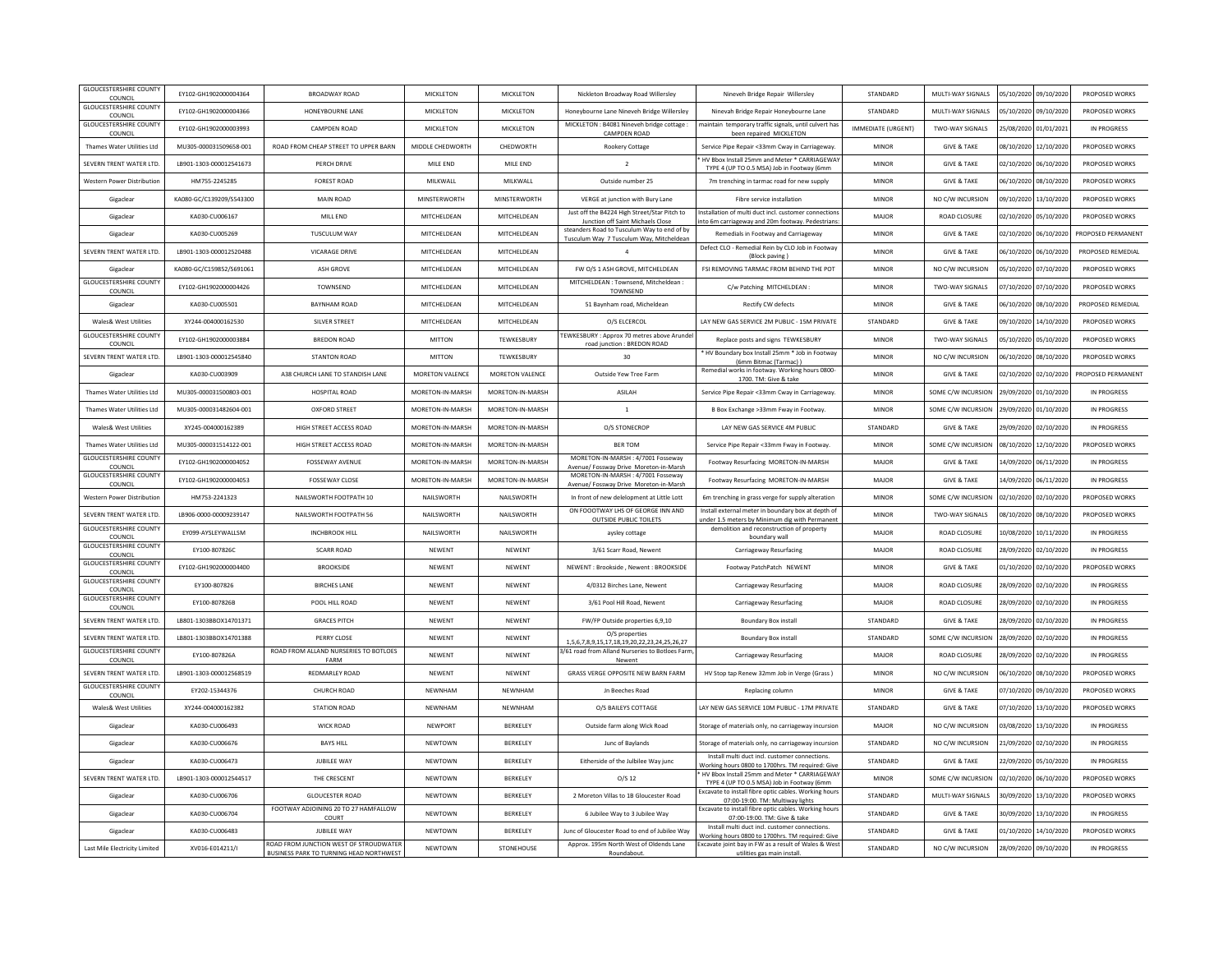| <b>GLOUCESTERSHIRE COUNT</b><br>COUNCIL                     | EY102-GH1902000004364    | BROADWAY ROAD                                 | <b>MICKLETON</b> | MICKLETON           | Nickleton Broadway Road Willersley                                               | Nineveh Bridge Repair Willersley                                                                         | STANDARD           | MULTI-WAY SIGNALS      |                       | 05/10/2020 09/10/2020 | PROPOSED WORKS     |
|-------------------------------------------------------------|--------------------------|-----------------------------------------------|------------------|---------------------|----------------------------------------------------------------------------------|----------------------------------------------------------------------------------------------------------|--------------------|------------------------|-----------------------|-----------------------|--------------------|
| <b>GLOUCESTERSHIRE COUNTY</b><br>COUNCIL                    | EY102-GH1902000004366    | HONEYBOURNE LANE                              | <b>MICKLETON</b> | MICKLETON           | Honeybourne Lane Nineyeh Bridge Willersley                                       | Ninevah Bridge Repair Honeybourne Lane                                                                   | STANDARD           | MULTI-WAY SIGNALS      | 05/10/2020            | 09/10/2020            | PROPOSED WORKS     |
| <b>GLOUCESTERSHIRE COUNTY</b><br>COUNCIL                    | EY102-GH1902000003993    | CAMPDEN ROAD                                  | <b>MICKLETON</b> | <b>MICKLETON</b>    | MICKLETON : B4081 Nineveh bridge cottage :<br>CAMPDEN ROAD                       | maintain temporary traffic signals, until culvert has<br>been repaired MICKLETON                         | IMMEDIATE (URGENT) | <b>TWO-WAY SIGNALS</b> |                       | 25/08/2020 01/01/2021 | IN PROGRESS        |
| Thames Water Utilities Ltd                                  | MU305-000031509658-001   | ROAD FROM CHEAP STREET TO UPPER BARN          | MIDDLE CHEDWORTH | CHEDWORTH           | Rookery Cottage                                                                  | Service Pipe Repair <33mm Cway in Carriageway.                                                           | <b>MINOR</b>       | <b>GIVE &amp; TAKE</b> | 08/10/2020            | 12/10/2020            | PROPOSED WORKS     |
| SEVERN TRENT WATER ITD                                      | 18901-1303-000012541673  | PERCH DRIVE                                   | MILE END         | MILE FND            | $\overline{2}$                                                                   | HV Bbox Install 25mm and Meter * CARRIAGEWAY<br>TYPE 4 (UP TO 0.5 MSA) Job in Footway (6mm               | MINOR              | <b>GIVE &amp; TAKE</b> | 02/10/2020            | 06/10/2020            | PROPOSED WORKS     |
| Western Power Distribution                                  | HM755-2245285            | <b>FOREST ROAD</b>                            | MILKWALL         | MILKWALL            | Outside number 25                                                                | 7m trenching in tarmac road for new supply                                                               | <b>MINOR</b>       | <b>GIVE &amp; TAKE</b> |                       | 06/10/2020 08/10/2020 | PROPOSED WORKS     |
| Gigaclear                                                   | KA080-GC/C139209/S543300 | <b>MAIN ROAD</b>                              | MINSTERWORTH     | <b>MINSTERWORTH</b> | VERGE at junction with Bury Lane                                                 | Fibre service installation                                                                               | <b>MINOF</b>       | NO C/W INCURSION       |                       | 09/10/2020 13/10/2020 | PROPOSED WORKS     |
| Gigaclea                                                    | KA030-CU006167           | MILL END                                      | MITCHELDEAN      | MITCHELDEAN         | Just off the B4224 High Street/Star Pitch to                                     | Installation of multi duct incl. customer connection                                                     | MAJOR              | <b>ROAD CLOSURE</b>    | 02/10/2020            | 05/10/2020            | PROPOSED WORKS     |
| Gigaclear                                                   | KA030-CU005269           | <b>TUSCULUM WAY</b>                           | MITCHELDEAN      | MITCHELDEAN         | Junction off Saint Michaels Close<br>steanders Road to Tusculum Way to end of by | nto 6m carriageway and 20m footway. Pedestrians<br>Remedials in Footway and Carriageway                  | MINOR              | <b>GIVE &amp; TAKE</b> |                       | 02/10/2020 06/10/2020 | PROPOSED PERMANENT |
| SEVERN TRENT WATER ITD                                      | LB901-1303-000012520488  | <b>VICARAGE DRIVE</b>                         | MITCHELDEAN      | MITCHELDEAN         | Tusculum Way 7 Tusculum Way, Mitcheldean<br>$\overline{a}$                       | Defect CLO - Remedial Rein by CLO Job in Footway                                                         | MINOR              | <b>GIVE &amp; TAKE</b> | 06/10/2020            | 06/10/2020            | PROPOSED REMEDIAL  |
| Gigaclear                                                   | KA080-GC/C159852/S691061 | <b>ASH GROVE</b>                              | MITCHELDEAN      | MITCHELDEAN         | FW O/S 1 ASH GROVE, MITCHELDEAN                                                  | (Block paving)<br>FSI REMOVING TARMAC FROM BEHIND THE POT                                                | <b>MINOR</b>       | NO C/W INCURSION       |                       | 05/10/2020 07/10/2020 | PROPOSED WORKS     |
| <b>GLOUCESTERSHIRE COUNTY</b>                               | EY102-GH1902000004426    | TOWNSEND                                      | MITCHELDEAN      | MITCHELDEAN         | MITCHELDEAN : Townsend. Mitcheldean                                              | C/w Patching MITCHELDEAN:                                                                                | <b>MINOF</b>       | <b>TWO-WAY SIGNALS</b> | 07/10/2020            | 07/10/2020            | PROPOSED WORKS     |
| COUNCIL<br>Gigaclea                                         | KA030-CU005501           | <b>BAYNHAM ROAD</b>                           | MITCHELDEAN      | MITCHELDEAN         | TOWNSEND<br>51 Baynham road, Micheldean                                          | Rectify CW defects                                                                                       | <b>MINOR</b>       | <b>GIVE &amp; TAKE</b> | 06/10/2020            | 08/10/2020            | PROPOSED REMEDIAL  |
| Wales& West Utilities                                       | XY244-004000162530       | SILVER STREET                                 | MITCHELDEAN      | MITCHELDEAN         | O/S ELCERCOL                                                                     | LAY NEW GAS SERVICE 2M PUBLIC - 15M PRIVATE                                                              | STANDARD           | <b>GIVE &amp; TAKE</b> | 09/10/2020            | 14/10/2020            | PROPOSED WORKS     |
| <b>GLOUCESTERSHIRE COUNTY</b>                               | EY102-GH1902000003884    | <b>BREDON ROAD</b>                            | MITTON           | TEWKESBURY          | TEWKESBURY : Approx 70 metres above Arunde                                       | Replace posts and signs TEWKESBURY                                                                       | <b>MINOR</b>       | <b>TWO-WAY SIGNALS</b> | 05/10/2020            | 05/10/2020            | PROPOSED WORKS     |
| COUNCIL<br>SEVERN TRENT WATER LTD.                          | LB901-1303-000012545840  | <b>STANTON ROAD</b>                           | <b>MITTON</b>    | TEWKESBURY          | road junction : BREDON ROAD<br>30                                                | * HV Boundary box Install 25mm * Job in Footway                                                          | <b>MINOR</b>       | NO C/W INCURSION       | 06/10/2020            | 08/10/2020            | PROPOSED WORKS     |
| Gigaclear                                                   | KA030-CU003909           | A38 CHURCH LANE TO STANDISH LANE              | MORETON VALENCE  | MORETON VALENCE     | Outside Yew Tree Farm                                                            | (6mm Bitmac (Tarmac))<br>Remedial works in footway. Working hours 0800-                                  | <b>MINOF</b>       | <b>GIVE &amp; TAKE</b> | 02/10/2020            | 02/10/2020            | PROPOSED PERMANENT |
| Thames Water Utilities Ltd                                  | MU305-000031500803-001   | HOSPITAL ROAD                                 | MORFTON-IN-MARSH | MORETON-IN-MARSH    | <b>ASILAH</b>                                                                    | 1700. TM: Give & take<br>Service Pipe Repair <33mm Cway in Carriageway                                   | MINOR              | SOME C/W INCURSION     | 29/09/2020            | 01/10/2020            | IN PROGRESS        |
|                                                             |                          |                                               |                  |                     |                                                                                  |                                                                                                          |                    |                        |                       |                       |                    |
| Thames Water Utilities Ltd                                  | MU305-000031482604-001   | <b>OXFORD STREET</b>                          | MORETON-IN-MARSH | MORETON-IN-MARSH    | <sup>1</sup>                                                                     | B Box Exchange >33mm Fway in Footway.                                                                    | <b>MINOR</b>       | SOME C/W INCURSION     | 29/09/2020 01/10/2020 |                       | IN PROGRESS        |
| <b>Wales&amp; West Utilities</b>                            | XY245-004000162389       | HIGH STREET ACCESS ROAD                       | MORETON-IN-MARSH | MORETON-IN-MARSH    | O/S STONECROP                                                                    | LAY NEW GAS SERVICE 4M PUBLIC                                                                            | STANDARD           | <b>GIVE &amp; TAKE</b> |                       | 29/09/2020 02/10/2020 | IN PROGRESS        |
| Thames Water Utilities Ltd<br><b>GLOUCESTERSHIRE COUNTY</b> | MU305-000031514122-001   | HIGH STREET ACCESS ROAD                       | MORETON-IN-MARSH | MORETON-IN-MARSH    | <b>BER TOM</b><br>MORETON-IN-MARSH: 4/7001 Fosseway                              | Service Pipe Repair <33mm Fway in Footway.                                                               | <b>MINOF</b>       | SOME C/W INCURSION     | 08/10/2020            | 12/10/2020            | PROPOSED WORKS     |
| COUNCIL<br><b>GLOUCESTERSHIRE COUNTY</b>                    | EY102-GH1902000004052    | <b>FOSSEWAY AVENUE</b>                        | MORETON-IN-MARSH | MORETON-IN-MARSH    | Avenue/ Fossway Drive Moreton-in-Marsh<br>MORETON-IN-MARSH: 4/7001 Fosseway      | Footway Resurfacing MORETON-IN-MARSH                                                                     | MAJOR              | <b>GIVE &amp; TAKE</b> | 14/09/2020            | 06/11/2020            | IN PROGRESS        |
| COUNCIL                                                     | FY102-GH1902000004053    | <b>FOSSEWAY CLOSE</b>                         | MORFTON-IN-MARSH | MORETON-IN-MARSH    | Avenue/ Fossway Drive Moreton-in-Marsh                                           | Footway Resurfacing MORETON-IN-MARSH                                                                     | MAIOR              | <b>GIVE &amp; TAKE</b> | 14/09/2020            | 06/11/2020            | IN PROGRESS        |
| Western Power Distribution                                  | HM753-2241323            | NAILSWORTH FOOTPATH 10                        | NAILSWORTH       | NAILSWORTH          | In front of new delelopment at Little Lott                                       | 6m trenching in grass verge for supply alteration                                                        | <b>MINOR</b>       | SOME C/W INCURSION     |                       | 02/10/2020 02/10/2020 | PROPOSED WORKS     |
| SEVERN TRENT WATER LTD                                      | LB906-0000-00009239147   | NAILSWORTH FOOTPATH 56                        | NAILSWORTH       | NAILSWORTH          | ON FOOOTWAY LHS OF GEORGE INN AND<br><b>OUTSIDE PUBLIC TOILETS</b>               | Install external meter in boundary box at depth of<br>under 1.5 meters by Minimum dig with Permanent     | <b>MINOF</b>       | <b>TWO-WAY SIGNALS</b> | 08/10/2020            | 08/10/2020            | PROPOSED WORKS     |
| <b>GLOUCESTERSHIRE COUNTY</b><br>COUNCIL                    | EY099-AYSLEYWALLSM       | <b>INCHBROOK HILL</b>                         | NAILSWORTH       | NAILSWORTH          | aysley cottage                                                                   | demolition and reconstruction of property<br>boundary wall                                               | MAJOR              | <b>ROAD CLOSURE</b>    | 10/08/2020            | 10/11/2020            | IN PROGRESS        |
| <b>GLOUCESTERSHIRE COUNT</b><br>COUNCIL                     | EY100-807826C            | SCARR ROAD                                    | <b>NFWFNT</b>    | NEWENT              | 3/61 Scarr Road, Newent                                                          | Carriageway Resurfacing                                                                                  | MAJOR              | <b>ROAD CLOSURE</b>    | 28/09/2020            | 02/10/2020            | IN PROGRESS        |
| <b>GLOUCESTERSHIRE COUNTY</b><br>COUNCIL                    | EY102-GH1902000004400    | <b>BROOKSIDE</b>                              | <b>NEWENT</b>    | NEWENT              | NEWENT: Brookside . Newent: BROOKSIDE                                            | Footway PatchPatch NEWENT                                                                                | <b>MINOR</b>       | <b>GIVE &amp; TAKE</b> | 01/10/2020 02/10/2020 |                       | PROPOSED WORKS     |
| <b>GLOUCESTERSHIRE COUNT</b><br>COUNCIL                     | EY100-807826             | <b>BIRCHES LANE</b>                           | <b>NEWENT</b>    | NEWENT              | 4/0312 Birches Lane, Newent                                                      | Carriageway Resurfacing                                                                                  | MAJOR              | <b>ROAD CLOSURE</b>    | 28/09/2020            | 02/10/2020            | IN PROGRESS        |
| <b>GLOUCESTERSHIRE COUNTY</b><br>COUNCIL                    | EY100-807826B            | POOL HILL ROAD                                | <b>NEWENT</b>    | NEWENT              | 3/61 Pool Hill Road, Newent                                                      | Carriageway Resurfacing                                                                                  | MAJOR              | ROAD CLOSURE           | 28/09/2020            | 02/10/2020            | IN PROGRESS        |
| SEVERN TRENT WATER LTD                                      | LB801-1303BBOX14701371   | <b>GRACES PITCH</b>                           | <b>NFWFNT</b>    | NFWFNT              | FW/FP Outside properties 6,9,10                                                  | Boundary Box install                                                                                     | STANDARD           | <b>GIVE &amp; TAKE</b> | 28/09/2020            | 02/10/2020            | IN PROGRESS        |
| SEVERN TRENT WATER LTD.                                     | LB801-1303BBOX14701388   | PERRY CLOSE                                   | <b>NEWENT</b>    | NEWENT              | O/S properties<br>1,5,6,7,8,9,15,17,18,19,20,22,23,24,25,26,27                   | Boundary Box install                                                                                     | STANDARD           | SOME C/W INCURSION     | 28/09/2020 02/10/2020 |                       | IN PROGRESS        |
| <b>GLOUCESTERSHIRE COUNTY</b><br>COUNCIL                    | EY100-807826A            | ROAD FROM ALLAND NURSERIES TO BOTLOES<br>FARM | <b>NEWENT</b>    | NEWENT              | 3/61 road from Alland Nurseries to Botloes Farm<br>Newent                        | Carriageway Resurfacing                                                                                  | MAJOR              | <b>ROAD CLOSURE</b>    | 28/09/2020 02/10/2020 |                       | IN PROGRESS        |
| SEVERN TRENT WATER LTD                                      | LB901-1303-000012568519  | REDMARLEY ROAD                                | <b>NEWENT</b>    | NEWENT              | GRASS VERGE OPPOSITE NEW BARN FARM                                               | HV Stop tap Renew 32mm Job in Verge (Grass)                                                              | <b>MINOF</b>       | NO C/W INCURSION       | 06/10/2020            | 08/10/2020            | PROPOSED WORKS     |
| <b>GLOUCESTERSHIRE COUNTY</b><br>COUNCIL                    | EY202-15344376           | CHURCH ROAD                                   | NEWNHAM          | NEWNHAM             | Jn Beeches Road                                                                  | Replacing column                                                                                         | <b>MINOR</b>       | <b>GIVE &amp; TAKE</b> | 07/10/2020            | 09/10/2020            | PROPOSED WORKS     |
| Wales& West Utilities                                       | XY244-004000162382       | STATION ROAD                                  | <b>NFWNHAM</b>   | NFWNHAM             | O/S BAILEYS COTTAGE                                                              | LAY NEW GAS SERVICE 10M PUBLIC - 17M PRIVATE                                                             | STANDARD           | <b>GIVE &amp; TAKE</b> | 07/10/2020 13/10/2020 |                       | PROPOSED WORKS     |
| Gigaclear                                                   | KA030-CU006493           | <b>WICK ROAD</b>                              | NEWPORT          | BERKELEY            | Outside farm along Wick Road                                                     | Storage of materials only, no carriageway incursion                                                      | MAJOR              | NO C/W INCURSION       |                       | 03/08/2020 13/10/2020 | IN PROGRESS        |
| Gigaclear                                                   | KA030-CU006676           | <b>BAYS HILL</b>                              | <b>NEWTOWN</b>   | BERKELEY            | Junc of Baylands                                                                 | Storage of materials only, no carriageway incursion                                                      | STANDARD           | NO C/W INCURSION       | 21/09/2020            | 02/10/2020            | IN PROGRESS        |
| Gigaclea                                                    | KA030-CU006473           | JUBILEE WAY                                   | <b>NEWTOWN</b>   | BERKELEY            | Eitherside of the Julbilee Way junc                                              | Install multi duct incl. customer connections.<br>Working hours 0800 to 1700hrs. TM required: Give       | STANDARD           | <b>GIVE &amp; TAKE</b> | 22/09/2020            | 05/10/2020            | IN PROGRESS        |
| SEVERN TRENT WATER LTD.                                     | LB901-1303-000012544517  | THE CRESCENT                                  | <b>NFWTOWN</b>   | <b>BERKELEY</b>     | O/S <sub>12</sub>                                                                | HV Bbox Install 25mm and Meter * CARRIAGEWAY                                                             | <b>MINOR</b>       | SOME C/W INCURSION     | 02/10/2020            | 06/10/2020            | PROPOSED WORKS     |
| Gigaclear                                                   | KA030-CU006706           | <b>GLOUCESTER ROAD</b>                        | <b>NEWTOWN</b>   | BERKELEY            | 2 Moreton Villas to 1B Gloucester Road                                           | TYPE 4 (UP TO 0.5 MSA) Job in Footway (6mm<br>Excavate to install fibre optic cables. Working hour       | STANDARD           | MULTI-WAY SIGNALS      | 30/09/2020            | 13/10/2020            | PROPOSED WORKS     |
| Gigaclear                                                   | KA030-CU006704           | FOOTWAY ADJOINING 20 TO 27 HAMFALLOW          | <b>NEWTOWN</b>   | <b>BERKELEY</b>     | 6 Jubilee Way to 3 Jubilee Way                                                   | 07:00-19:00. TM: Multiway lights<br>Excavate to install fibre optic cables. Working hours                | STANDARD           | <b>GIVE &amp; TAKE</b> | 30/09/2020            | 13/10/2020            | IN PROGRESS        |
| Gigaclear                                                   | KA030-CU006483           | COURT<br>JUBILEE WAY                          | <b>NEWTOWN</b>   | BERKELEY            | Junc of Gloucester Road to end of Jubilee Way                                    | 07:00-19:00. TM: Give & take<br>Install multi duct incl. customer connections.                           | STANDARD           | <b>GIVE &amp; TAKE</b> |                       | 01/10/2020 14/10/2020 | PROPOSED WORKS     |
| Last Mile Electricity Limited                               | XV016-E014211/I          | ROAD FROM JUNCTION WEST OF STROUDWATER        | <b>NFWTOWN</b>   | STONEHOUSE          | Approx. 195m North West of Oldends Lane                                          | Working hours 0800 to 1700hrs. TM required: Give<br>Excavate joint bay in FW as a result of Wales & West | STANDARD           | NO C/W INCURSION       | 28/09/2020            | 09/10/2020            | IN PROGRESS        |
|                                                             |                          | BUSINESS PARK TO TURNING HEAD NORTHWEST       |                  |                     | Roundabout.                                                                      | utilities gas main install.                                                                              |                    |                        |                       |                       |                    |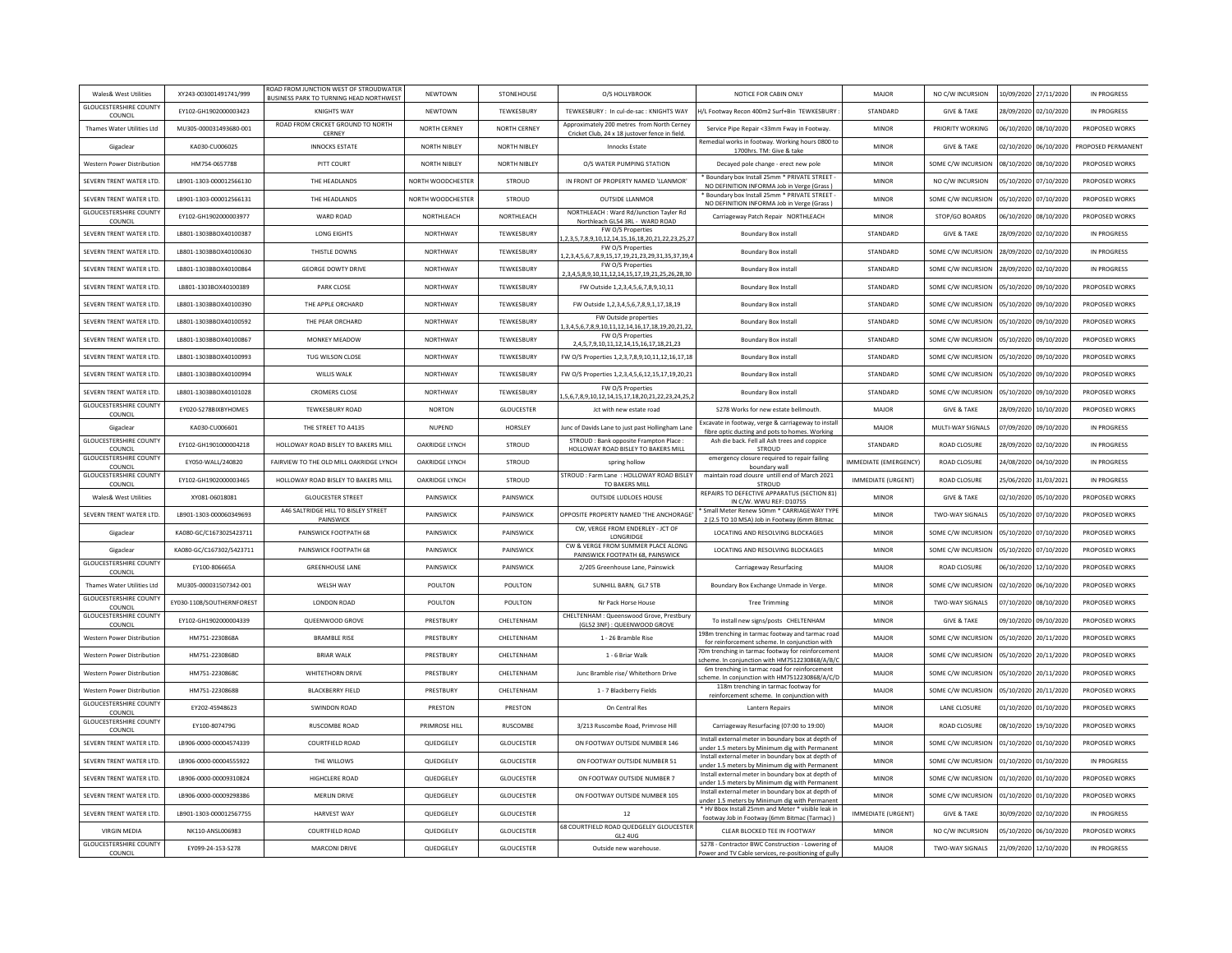| Wales& West Utilities                                       | XY243-003001491741/999           | ROAD FROM JUNCTION WEST OF STROUDWATER<br>BUSINESS PARK TO TURNING HEAD NORTHWEST | <b>NEWTOWN</b>        | STONEHOUSE          | O/S HOLLYBROOK                                                                               | NOTICE FOR CABIN ONLY                                                                                   | MAJOR                     | NO C/W INCURSION          |                       | 10/09/2020 27/11/2020 | IN PROGRESS        |
|-------------------------------------------------------------|----------------------------------|-----------------------------------------------------------------------------------|-----------------------|---------------------|----------------------------------------------------------------------------------------------|---------------------------------------------------------------------------------------------------------|---------------------------|---------------------------|-----------------------|-----------------------|--------------------|
| <b>GLOUCESTERSHIRE COUNTY</b><br>COUNCIL                    | EY102-GH1902000003423            | <b>KNIGHTS WAY</b>                                                                | <b>NEWTOWN</b>        | <b>TEWKESBURY</b>   | TEWKESBURY: In cul-de-sac: KNIGHTS WAY                                                       | I/L Footway Recon 400m2 Surf+Bin TEWKESBURY                                                             | STANDARD                  | <b>GIVE &amp; TAKE</b>    |                       | 28/09/2020 02/10/2020 | IN PROGRESS        |
| Thames Water Utilities Ltd                                  | MU305-000031493680-001           | ROAD FROM CRICKET GROUND TO NORTH<br><b>CERNEY</b>                                | NORTH CERNEY          | <b>NORTH CERNEY</b> | Approximately 200 metres from North Cerney<br>Cricket Club, 24 x 18 justover fence in field. | Service Pipe Repair <33mm Fway in Footway.                                                              | <b>MINOR</b>              | PRIORITY WORKING          | 06/10/2020            | 08/10/2020            | PROPOSED WORKS     |
| Gigaclear                                                   | KA030-CU006025                   | <b>INNOCKS ESTATE</b>                                                             | NORTH NIBLEY          | NORTH NIBLEY        | <b>Innocks Estate</b>                                                                        | Remedial works in footway. Working hours 0800 to<br>1700hrs. TM: Give & take                            | <b>MINOR</b>              | <b>GIVE &amp; TAKE</b>    |                       | 02/10/2020 06/10/2020 | PROPOSED PERMANENT |
| Western Power Distribution                                  | HM754-0657788                    | PITT COURT                                                                        | NORTH NIBLEY          | <b>NORTH NIBLEY</b> | O/S WATER PUMPING STATION                                                                    | Decayed pole change - erect new pole                                                                    | <b>MINOR</b>              | SOME C/W INCURSION        | 08/10/2020            | 08/10/2020            | PROPOSED WORKS     |
| SEVERN TRENT WATER LTD.                                     | LB901-1303-000012566130          | THE HEADLANDS                                                                     | NORTH WOODCHESTER     | <b>STROUD</b>       | IN FRONT OF PROPERTY NAMED 'LLANMOR'                                                         | Boundary box Install 25mm * PRIVATE STREET<br>NO DEFINITION INFORMA Job in Verge (Grass)                | MINOR                     | NO C/W INCURSION          | 05/10/2020            | 07/10/2020            | PROPOSED WORKS     |
| SEVERN TRENT WATER ITD.                                     | LB901-1303-000012566131          | THE HEADLANDS                                                                     | NORTH WOODCHESTER     | <b>STROUD</b>       | OUTSIDE LLANMOR                                                                              | Boundary box Install 25mm * PRIVATE STREET<br>NO DEFINITION INFORMA Job in Verge (Grass)                | <b>MINOR</b>              | SOME C/W INCURSION        | 05/10/2020            | 07/10/2020            | PROPOSED WORKS     |
| <b>GLOUCESTERSHIRE COUNTY</b><br>COUNCIL                    | FY102-GH1902000003977            | WARD ROAD                                                                         | NORTHI FACH           | NORTHLEACH          | NORTHLEACH : Ward Rd/Junction Tayler Rd<br>Northleach GL54 3RL - WARD ROAD                   | Carriageway Patch Repair NORTHLEACH                                                                     | <b>MINOR</b>              | STOP/GO BOARDS            | 06/10/2020            | 08/10/2020            | PROPOSED WORKS     |
| SEVERN TRENT WATER LTD.                                     | LB801-1303BBOX40100387           | LONG EIGHTS                                                                       | NORTHWAY              | <b>TEWKESBURY</b>   | FW O/S Properties<br>2, 3, 5, 7, 8, 9, 10, 12, 14, 15, 16, 18, 20, 21, 22, 23, 25, 27        | Boundary Box install                                                                                    | STANDARD                  | <b>GIVE &amp; TAKE</b>    | 28/09/2020            | 02/10/2020            | IN PROGRESS        |
| SEVERN TRENT WATER LTD.                                     | LB801-1303BBOX40100630           | THISTLE DOWNS                                                                     | NORTHWAY              | <b>TEWKESBURY</b>   | FW O/S Properties<br>,2,3,4,5,6,7,8,9,15,17,19,21,23,29,31,35,37,39,4                        | Boundary Box install                                                                                    | STANDARD                  | SOME C/W INCURSION        | 28/09/2020 02/10/2020 |                       | IN PROGRESS        |
| SEVERN TRENT WATER LTD.                                     | LB801-1303BBOX40100864           | <b>GEORGE DOWTY DRIVE</b>                                                         | NORTHWAY              | <b>TEWKESBURY</b>   | FW O/S Properties<br>2, 3, 4, 5, 8, 9, 10, 11, 12, 14, 15, 17, 19, 21, 25, 26, 28, 30        | Boundary Box install                                                                                    | STANDARD                  | <b>SOME C/W INCURSION</b> | 28/09/2020            | 02/10/2020            | IN PROGRESS        |
| SEVERN TRENT WATER LTD.                                     | LB801-1303BOX40100389            | PARK CLOSE                                                                        | NORTHWAY              | <b>TEWKESBURY</b>   | FW Outside 1,2,3,4,5,6,7,8,9,10,11                                                           | Boundary Box Install                                                                                    | STANDARD                  | SOME C/W INCURSION        | 05/10/2020            | 09/10/2020            | PROPOSED WORKS     |
| SEVERN TRENT WATER ITD.                                     | LB801-1303BBOX40100390           | THE APPLE ORCHARD                                                                 | <b>NORTHWAY</b>       | <b>TFWKFSBURY</b>   | FW Outside 1,2,3,4,5,6,7,8,9,1,17,18,19                                                      | Boundary Box install                                                                                    | STANDARD                  | SOME C/W INCURSION        | 05/10/2020            | 09/10/2020            | PROPOSED WORKS     |
| SEVERN TRENT WATER LTD.                                     | LB801-1303BBOX40100592           | THE PEAR ORCHARD                                                                  | NORTHWAY              | TEWKESBURY          | FW Outside properties                                                                        | <b>Boundary Box Install</b>                                                                             | STANDARD                  | SOME C/W INCURSION        | 05/10/2020            | 09/10/2020            | PROPOSED WORKS     |
| SEVERN TRENT WATER LTD.                                     | LB801-1303BBOX40100867           | MONKEY MEADOW                                                                     | NORTHWAY              | <b>TEWKESBURY</b>   | 3,4,5,6,7,8,9,10,11,12,14,16,17,18,19,20,21,22<br>FW O/S Properties                          | Boundary Box install                                                                                    | STANDARD                  | SOME C/W INCURSION        | 05/10/2020            | 09/10/2020            | PROPOSED WORKS     |
| SEVERN TRENT WATER LTD.                                     | LB801-1303BBOX40100993           | <b>TUG WILSON CLOSE</b>                                                           | NORTHWAY              | <b>TEWKESBURY</b>   | 2,4,5,7,9,10,11,12,14,15,16,17,18,21,23<br>FW O/S Properties 1,2,3,7,8,9,10,11,12,16,17,18   | Boundary Box install                                                                                    | STANDARD                  | SOME C/W INCURSION        | 05/10/2020            | 09/10/2020            | PROPOSED WORKS     |
| SEVERN TRENT WATER LTD.                                     | LB801-1303BBOX40100994           | WILLIS WALK                                                                       | NORTHWAY              | <b>TFWKFSBURY</b>   | FW O/S Properties 1,2,3,4,5,6,12,15,17,19,20,21                                              | Boundary Box install                                                                                    | STANDARD                  | SOME C/W INCURSION        | 05/10/2020            | 09/10/2020            | PROPOSED WORKS     |
| SEVERN TRENT WATER LTD.                                     | LB801-1303BBOX40101028           | <b>CROMERS CLOSE</b>                                                              | NORTHWAY              | <b>TEWKESBURY</b>   | FW O/S Properties                                                                            | Boundary Box install                                                                                    | STANDARD                  | SOME C/W INCURSION        | 05/10/2020            | 09/10/2020            | PROPOSED WORKS     |
| <b>GLOUCESTERSHIRE COUNTY</b>                               | EY020-S278BIXBYHOMES             | <b>TEWKESBURY ROAD</b>                                                            | <b>NORTON</b>         | <b>GLOUCESTER</b>   | ,5,6,7,8,9,10,12,14,15,17,18,20,21,22,23,24,25,<br>Jct with new estate road                  | S278 Works for new estate bellmouth.                                                                    | MAJOR                     | <b>GIVE &amp; TAKE</b>    | 28/09/2020            | 10/10/2020            | PROPOSED WORKS     |
| COUNCIL<br>Gigaclea                                         | KA030-CU006601                   | THE STREET TO A4135                                                               | <b>NUPEND</b>         | HORSLEY             | lunc of Davids Lane to just past Hollingham Lane                                             | Excavate in footway, verge & carriageway to instal                                                      | MAJOR                     | MULTI-WAY SIGNALS         | 07/09/2020            | 09/10/2020            | <b>IN PROGRESS</b> |
| <b>GLOUCESTERSHIRE COUNTY</b>                               | EY102-GH1901000004218            | HOLLOWAY ROAD BISLEY TO BAKERS MILL                                               | <b>OAKRIDGE LYNCH</b> | STROUD              | STROUD : Bank opposite Frampton Place :                                                      | fibre optic ducting and pots to homes. Working<br>Ash die back. Fell all Ash trees and coppice          | STANDARD                  | ROAD CLOSURE              | 28/09/2020            | 02/10/2020            | IN PROGRESS        |
| COUNCIL<br><b>GLOUCESTERSHIRE COUNTY</b>                    | FY050-WALL/240820                | FAIRVIEW TO THE OLD MILL OAKRIDGE LYNCH                                           | <b>OAKRIDGE LYNCH</b> | <b>STROUD</b>       | HOLLOWAY ROAD BISLEY TO BAKERS MILL<br>spring hollow                                         | <b>STROUD</b><br>emergency closure required to repair failing                                           | IMMEDIATE (EMERGENCY)     | <b>ROAD CLOSURE</b>       | 24/08/2020            | 04/10/2020            | IN PROGRESS        |
| COUNCIL<br><b>GLOUCESTERSHIRE COUNTY</b>                    | EY102-GH1902000003465            | HOLLOWAY ROAD BISLEY TO BAKERS MILL                                               | OAKRIDGE LYNCH        | STROUD              | STROUD : Farm Lane : HOLLOWAY ROAD BISLEY                                                    | boundary wall<br>maintain road clousre untill end of March 2021                                         | <b>IMMEDIATE (URGENT)</b> | <b>ROAD CLOSURE</b>       | 25/06/2020 31/03/2021 |                       | IN PROGRESS        |
| COUNCIL                                                     | XY081-06018081                   | <b>GLOUCESTER STREET</b>                                                          | PAINSWICK             | PAINSWICK           | TO BAKERS MILL<br><b>OUTSIDE LUDLOES HOUSE</b>                                               | STROUD<br>REPAIRS TO DEFECTIVE APPARATUS (SECTION 81)                                                   | <b>MINOF</b>              | <b>GIVE &amp; TAKE</b>    | 02/10/2020            |                       | PROPOSED WORKS     |
| Wales& West Utilities<br>SEVERN TRENT WATER LTD.            |                                  | A46 SALTRIDGE HILL TO BISLEY STREET                                               |                       |                     |                                                                                              | IN C/W. WWU REF: D10755<br>Small Meter Renew 50mm * CARRIAGEWAY TYPE                                    | <b>MINOR</b>              |                           |                       | 05/10/2020            |                    |
|                                                             | LB901-1303-000060349693          | PAINSWICK                                                                         | PAINSWICK             | PAINSWICK           | OPPOSITE PROPERTY NAMED 'THE ANCHORAGE<br>CW, VERGE FROM ENDERLEY - JCT OF                   | 2 (2.5 TO 10 MSA) Job in Footway (6mm Bitmac                                                            |                           | TWO-WAY SIGNALS           | 05/10/2020            | 07/10/2020            | PROPOSED WORKS     |
| Gigaclear                                                   | KA080-GC/C167302S423711          | PAINSWICK FOOTPATH 68                                                             | PAINSWICK             | PAINSWICK           | LONGRIDGE<br>CW & VERGE FROM SUMMER PLACE ALONG                                              | LOCATING AND RESOLVING BLOCKAGES                                                                        | <b>MINOR</b>              | SOME C/W INCURSION        | 05/10/2020            | 07/10/2020            | PROPOSED WORKS     |
| Gigaclear<br><b>GLOUCESTERSHIRE COUNTY</b>                  | KA080-GC/C167302/S423711         | PAINSWICK FOOTPATH 68                                                             | PAINSWICK             | PAINSWICK           | PAINSWICK FOOTPATH 68, PAINSWICK                                                             | LOCATING AND RESOLVING BLOCKAGES                                                                        | <b>MINOR</b>              | SOME C/W INCURSION        |                       | 05/10/2020 07/10/2020 | PROPOSED WORKS     |
| COUNCIL                                                     | EY100-806665A                    | <b>GREENHOUSE LANE</b>                                                            | PAINSWICK             | PAINSWICK           | 2/205 Greenhouse Lane, Painswick                                                             | Carriageway Resurfacing                                                                                 | MAJOR                     | <b>ROAD CLOSURE</b>       | 06/10/2020            | 12/10/2020            | PROPOSED WORKS     |
| Thames Water Utilities Ltd<br><b>GLOUCESTERSHIRE COUNTY</b> | MU305-000031507342-001           | WELSH WAY                                                                         | POULTON               | POULTON             | SUNHILL BARN, GL7 5TB                                                                        | Boundary Box Exchange Unmade in Verge.                                                                  | MINOR                     | SOME C/W INCURSION        | 02/10/2020            | 06/10/2020            | PROPOSED WORKS     |
| COUNCIL<br><b>GLOUCESTERSHIRE COUNTY</b>                    | <b>FY030-1108/SOUTHERNEOREST</b> | <b>LONDON ROAD</b>                                                                | POULTON               | POULTON             | Nr Pack Horse House<br>CHELTENHAM : Queenswood Grove, Prestbury                              | <b>Tree Trimming</b>                                                                                    | <b>MINOR</b>              | TWO-WAY SIGNALS           | 07/10/2020            | 08/10/2020            | PROPOSED WORKS     |
| COUNCIL                                                     | FY102-GH1902000004339            | OUFFNWOOD GROVE                                                                   | PRESTRURY             | <b>CHELTENHAM</b>   | (GL52 3NF) : QUEENWOOD GROVE                                                                 | To install new signs/posts CHELTENHAM<br>198m trenching in tarmac footway and tarmac road               | <b>MINOR</b>              | <b>GIVE &amp; TAKE</b>    | 09/10/2020            | 09/10/2020            | PROPOSED WORKS     |
| <b>Western Power Distribution</b>                           | HM751-2230868A                   | <b>BRAMBLE RISE</b>                                                               | PRESTBURY             | CHELTENHAM          | 1 - 26 Bramble Rise                                                                          | for reinforcement scheme. In conjunction with<br>70m trenching in tarmac footway for reinforcemen       | MAJOR                     | SOME C/W INCURSION        | 05/10/2020            | 20/11/2020            | PROPOSED WORKS     |
| Western Power Distribution                                  | HM751-2230868D                   | <b>BRIAR WALK</b>                                                                 | PRESTBURY             | CHELTENHAM          | 1 - 6 Briar Walk                                                                             | cheme. In conjunction with HM7512230868/A/B/C<br>6m trenching in tarmac road for reinforcement          | MAJOR                     | SOME C/W INCURSION        | 05/10/2020            | 20/11/2020            | PROPOSED WORKS     |
| Western Power Distribution                                  | HM751-2230868C                   | WHITETHORN DRIVE                                                                  | PRESTBURY             | CHELTENHAM          | Junc Bramble rise/ Whitethorn Drive                                                          | cheme. In conjunction with HM7512230868/A/C/D                                                           | MAJOR                     | SOME C/W INCURSION        | 05/10/2020            | 20/11/2020            | PROPOSED WORKS     |
| Western Power Distribution                                  | HM751-2230868B                   | <b>BLACKBERRY FIFLD</b>                                                           | PRESTRURY             | CHELTENHAM          | 1 - 7 Blackberry Fields                                                                      | 118m trenching in tarmac footway for<br>reinforcement scheme. In conjunction with                       | MAIOR                     | SOME C/W INCURSION        | 05/10/2020            | 20/11/2020            | PROPOSED WORKS     |
| <b>GLOUCESTERSHIRE COUNTY</b><br>COUNCIL                    | FY202-45948623                   | <b>SWINDON ROAD</b>                                                               | PRESTON               | PRESTON             | On Central Res                                                                               | Lantern Repairs                                                                                         | MINOR                     | <b>LANE CLOSURE</b>       | 01/10/2020            | 01/10/2020            | PROPOSED WORKS     |
| <b>GLOUCESTERSHIRE COUNTY</b><br>COUNCIL                    | EY100-807479G                    | <b>RUSCOMBE ROAD</b>                                                              | PRIMROSE HILL         | RUSCOMBE            | 3/213 Ruscombe Road, Primrose Hill                                                           | Carriageway Resurfacing (07:00 to 19:00)                                                                | MAJOR                     | ROAD CLOSURE              |                       | 08/10/2020 19/10/2020 | PROPOSED WORKS     |
| SEVERN TRENT WATER LTD.                                     | LB906-0000-00004574339           | <b>COURTFIELD ROAD</b>                                                            | QUEDGELEY             | <b>GLOUCESTER</b>   | ON FOOTWAY OUTSIDE NUMBER 146                                                                | Install external meter in boundary box at depth of<br>inder 1.5 meters by Minimum dig with Permanen     | <b>MINOF</b>              | SOME C/W INCURSION        | 01/10/2020            | 01/10/2020            | PROPOSED WORKS     |
| SEVERN TRENT WATER LTD.                                     | LB906-0000-00004555922           | THE WILLOWS                                                                       | QUEDGELEY             | GLOUCESTER          | ON FOOTWAY OUTSIDE NUMBER 51                                                                 | Install external meter in boundary box at depth of<br>inder 1.5 meters by Minimum dig with Permanent    | <b>MINOR</b>              | SOME C/W INCURSION        | 01/10/2020            | 01/10/2020            | IN PROGRESS        |
| SEVERN TRENT WATER ITD.                                     | 18906-0000-00009310824           | HIGHCLERE ROAD                                                                    | QUEDGELEY             | <b>GLOUCESTER</b>   | ON FOOTWAY OUTSIDE NUMBER 7                                                                  | Install external meter in boundary box at depth of<br>under 1.5 meters by Minimum dig with Permanent    | <b>MINOR</b>              | SOME C/W INCURSION        | 01/10/2020 01/10/2020 |                       | PROPOSED WORKS     |
| SEVERN TRENT WATER LTD.                                     | LB906-0000-00009298386           | <b>MERLIN DRIVE</b>                                                               | QUEDGELEY             | GLOUCESTER          | ON FOOTWAY OUTSIDE NUMBER 105                                                                | Install external meter in boundary box at depth of<br>under 1.5 meters by Minimum dig with Permanent    | <b>MINOR</b>              | SOME C/W INCURSION        |                       | 01/10/2020 01/10/2020 | PROPOSED WORKS     |
| SEVERN TRENT WATER LTD.                                     | LB901-1303-000012567755          | <b>HARVEST WAY</b>                                                                | QUEDGELEY             | <b>GLOUCESTER</b>   | 12                                                                                           | * HV Bbox Install 25mm and Meter * visible leak in<br>footway Job in Footway (6mm Bitmac (Tarmac)       | <b>IMMEDIATE (URGENT)</b> | <b>GIVE &amp; TAKE</b>    | 30/09/2020            | 02/10/2020            | IN PROGRESS        |
| <b>VIRGIN MEDIA</b>                                         | NK110-ANSL006983                 | COURTFIELD ROAD                                                                   | QUEDGELEY             | GLOUCESTER          | 68 COURTFIELD ROAD QUEDGELEY GLOUCESTER<br>GL2 4UG                                           | CLEAR BLOCKED TEE IN FOOTWAY                                                                            | <b>MINOR</b>              | NO C/W INCURSION          | 05/10/2020            | 06/10/2020            | PROPOSED WORKS     |
| <b>GLOUCESTERSHIRE COUNTY</b><br>COUNCIL                    | EY099-24-153-S278                | MARCONI DRIVE                                                                     | QUEDGELEY             | <b>GLOUCESTER</b>   | Outside new warehouse                                                                        | S278 - Contractor BWC Construction - Lowering of<br>ower and TV Cable services, re-positioning of gully | MAIOR                     | <b>TWO-WAY SIGNALS</b>    | 21/09/2020            | 12/10/2020            | IN PROGRESS        |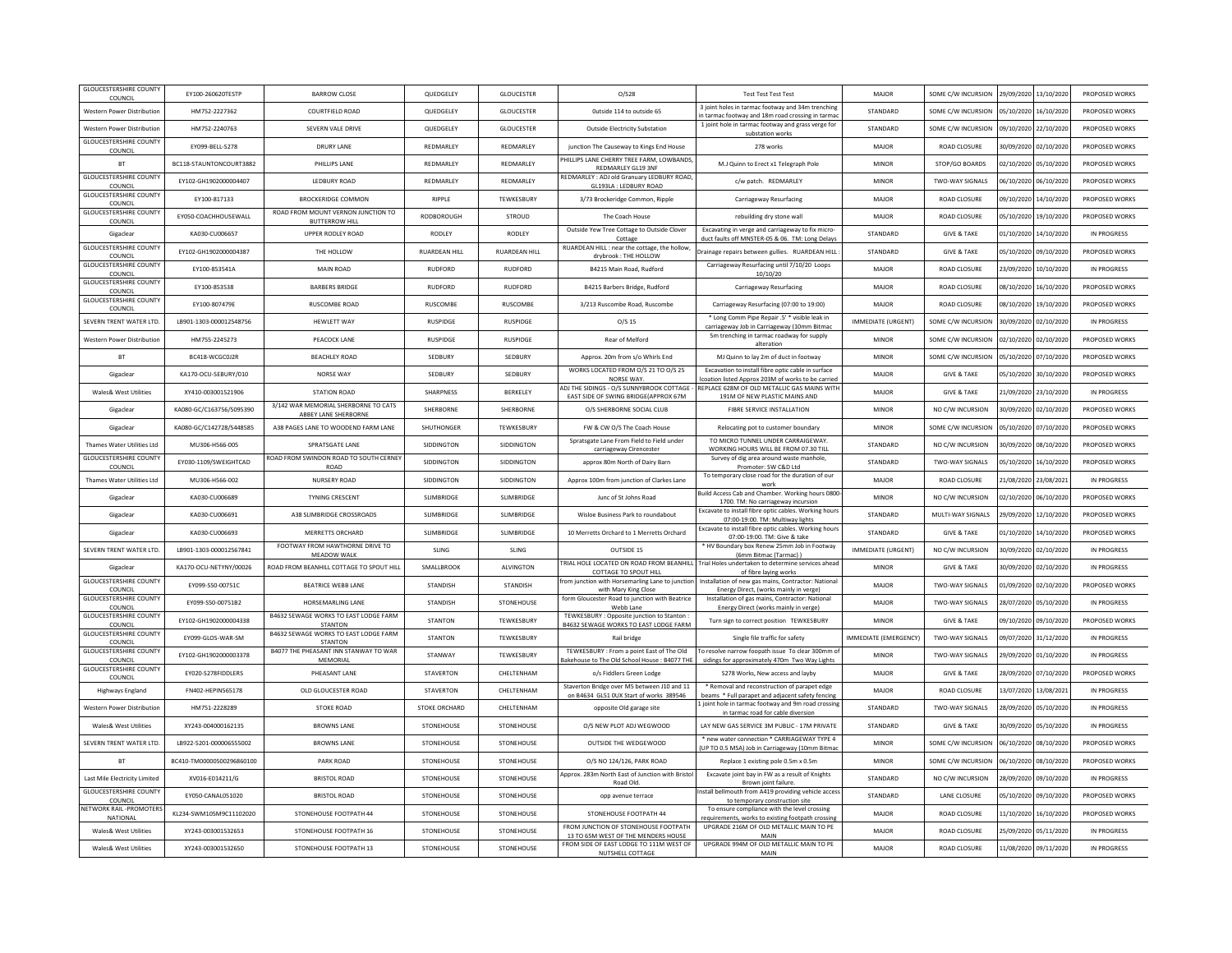| <b>GLOUCESTERSHIRE COUNTY</b><br>COUNCIL | EY100-260620TESTP         | <b>BARROW CLOSE</b>                                                 | QUEDGELEY            | <b>GLOUCESTER</b>    | O/S28                                                                                     | <b>Test Test Test Test</b>                                                                                           | MAJOR                     | SOME C/W INCURSION 29/09/2020 13/10/2020 |                       |                       | PROPOSED WORKS |
|------------------------------------------|---------------------------|---------------------------------------------------------------------|----------------------|----------------------|-------------------------------------------------------------------------------------------|----------------------------------------------------------------------------------------------------------------------|---------------------------|------------------------------------------|-----------------------|-----------------------|----------------|
| Western Power Distribution               | HM752-2227362             | COURTFIELD ROAD                                                     | QUEDGELEY            | GLOUCESTER           | Outside 114 to outside 65                                                                 | 3 joint holes in tarmac footway and 34m trenching<br>n tarmac footway and 18m road crossing in tarmac                | STANDARD                  | SOME C/W INCURSION                       | 05/10/2020 16/10/2020 |                       | PROPOSED WORKS |
| Western Power Distribution               | HM752-2240763             | SEVERN VALE DRIVE                                                   | QUEDGELEY            | GLOUCESTER           | <b>Outside Electricity Substation</b>                                                     | 1 joint hole in tarmac footway and grass verge for<br>substation work                                                | STANDARD                  | SOME C/W INCURSION                       | 09/10/2020            | 22/10/2020            | PROPOSED WORKS |
| <b>GLOUCESTERSHIRE COUNT</b><br>COUNCIL  | EY099-BELL-S278           | <b>DRURY LANE</b>                                                   | REDMARLEY            | REDMARLEY            | junction The Causeway to Kings End House                                                  | 278 works                                                                                                            | MAJOR                     | <b>ROAD CLOSURE</b>                      | 30/09/2020 02/10/2020 |                       | PROPOSED WORKS |
| <b>BT</b>                                | BC118-STAUNTONCOURT3882   | PHILLIPS LANE                                                       | REDMARLEY            | REDMARLEY            | PHILLIPS LANE CHERRY TREE FARM, LOWBANDS<br>REDMARLEY GL19 3NF                            | M.J Quinn to Erect x1 Telegraph Pole                                                                                 | MINOR                     | STOP/GO BOARDS                           | 02/10/2020 05/10/2020 |                       | PROPOSED WORKS |
| <b>GLOUCESTERSHIRE COUNTY</b><br>COUNCIL | EY102-GH1902000004407     | LEDBURY ROAD                                                        | REDMARLEY            | REDMARLEY            | REDMARLEY : ADJ old Granuary LEDBURY ROAD<br>GL193LA : LEDBURY ROAD                       | c/w patch. REDMARLEY                                                                                                 | <b>MINOR</b>              | TWO-WAY SIGNALS                          | 06/10/2020            | 06/10/2020            | PROPOSED WORKS |
| <b>GLOUCESTERSHIRE COUNTY</b><br>COUNCIL | EY100-817133              | <b>BROCKERIDGE COMMON</b>                                           | RIPPLE               | TEWKESBURY           | 3/73 Brockeridge Common, Ripple                                                           | Carriageway Resurfacing                                                                                              | MAJOR                     | <b>ROAD CLOSURE</b>                      | 09/10/2020            | 14/10/2020            | PROPOSED WORKS |
| <b>GLOUCESTERSHIRE COUNTY</b><br>COUNCIL | EY050-COACHHOUSEWALL      | ROAD FROM MOUNT VERNON JUNCTION TO<br><b>BUTTERROW HILL</b>         | RODBOROUGH           | STROUD               | The Coach House                                                                           | rebuilding dry stone wall                                                                                            | MAJOR                     | <b>ROAD CLOSURE</b>                      | 05/10/2020            | 19/10/2020            | PROPOSED WORKS |
| Gigaclear                                | KA030-CU006657            | <b>UPPER RODLEY ROAD</b>                                            | RODLEY               | RODLEY               | Outside Yew Tree Cottage to Outside Clover<br>Cottage                                     | Excavating in verge and carriageway to fix micro<br>duct faults off MNSTER-05 & 06. TM: Long Delays                  | STANDARD                  | <b>GIVE &amp; TAKE</b>                   | 01/10/2020 14/10/2020 |                       | IN PROGRESS    |
| <b>GLOUCESTERSHIRE COUNTY</b><br>COUNCIL | EY102-GH1902000004387     | THE HOLLOW                                                          | <b>RUARDEAN HILL</b> | <b>RUARDEAN HILL</b> | RUARDEAN HILL : near the cottage, the hollow<br>drybrook: THE HOLLOW                      | Drainage repairs between gullies. RUARDEAN HILL                                                                      | STANDARD                  | <b>GIVE &amp; TAKE</b>                   | 05/10/2020 09/10/2020 |                       | PROPOSED WORKS |
| <b>GLOUCESTERSHIRE COUNT</b><br>COUNCIL  | EY100-853541A             | <b>MAIN ROAD</b>                                                    | <b>RUDFORD</b>       | RUDFORD              | B4215 Main Road, Rudford                                                                  | Carriageway Resurfacing until 7/10/20 Loops<br>10/10/20                                                              | MAJOR                     | <b>ROAD CLOSURE</b>                      | 23/09/2020 10/10/2020 |                       | IN PROGRESS    |
| <b>GLOUCESTERSHIRE COUNTY</b><br>COUNCIL | EY100-853538              | <b>BARBERS BRIDGE</b>                                               | RUDFORD              | RUDFORD              | B4215 Barbers Bridge, Rudford                                                             | Carriageway Resurfacing                                                                                              | MAJOR                     | <b>ROAD CLOSURE</b>                      | 08/10/2020 16/10/2020 |                       | PROPOSED WORK! |
| <b>GLOUCESTERSHIRE COUNTY</b><br>COUNCIL | EY100-807479E             | <b>RUSCOMBE ROAD</b>                                                | RUSCOMBE             | RUSCOMBE             | 3/213 Ruscombe Road, Ruscombe                                                             | Carriageway Resurfacing (07:00 to 19:00)                                                                             | MAJOR                     | <b>ROAD CLOSURE</b>                      | 08/10/2020            | 19/10/2020            | PROPOSED WORKS |
| SEVERN TRENT WATER LTD.                  | LB901-1303-000012548756   | <b>HEWLETT WAY</b>                                                  | <b>RUSPIDGE</b>      | <b>RUSPIDGE</b>      | $O/S$ 15                                                                                  | * Long Comm Pipe Repair .5' * visible leak in<br>carriageway Job in Carriageway (10mm Bitmac                         | <b>IMMEDIATE (URGENT)</b> | SOME C/W INCURSION                       |                       | 30/09/2020 02/10/2020 | IN PROGRESS    |
| Western Power Distribution               | HM755-2245273             | PEACOCK LANE                                                        | <b>RUSPIDGE</b>      | <b>RUSPIDGE</b>      | Rear of Melford                                                                           | 5m trenching in tarmac roadway for supply<br>alteration                                                              | <b>MINOF</b>              | SOME C/W INCURSION                       | 02/10/2020 02/10/2020 |                       | PROPOSED WORKS |
| <b>BT</b>                                | BC418-WCGC0J2R            | <b>BEACHLEY ROAD</b>                                                | SEDBURY              | SEDBURY              | Approx. 20m from s/o Whirls End                                                           | MJ Quinn to lay 2m of duct in footway                                                                                | MINOR                     | SOME C/W INCURSION                       | 05/10/2020            | 07/10/2020            | PROPOSED WORKS |
| Gigaclear                                | KA170-OCU-SEBURY/010      | NORSE WAY                                                           | SEDBURY              | SEDBURY              | WORKS LOCATED FROM O/S 21 TO O/S 25<br>NORSE WAY.                                         | Excavation to install fibre optic cable in surface<br>coation listed Approx 203M of works to be carried              | MAJOR                     | <b>GIVE &amp; TAKE</b>                   |                       | 05/10/2020 30/10/2020 | PROPOSED WORKS |
| Wales& West Utilities                    | XY410-003001521906        | STATION ROAD                                                        | <b>SHARPNESS</b>     | <b>BERKELEY</b>      | ADJ THE SIDINGS - O/S SUNNYBROOK COTTAGE -<br>EAST SIDE OF SWING BRIDGE(APPROX 67M        | REPLACE 628M OF OLD METALLIC GAS MAINS WITH<br>191M OF NEW PLASTIC MAINS AND                                         | MAIOR                     | <b>GIVE &amp; TAKE</b>                   | 21/09/2020 23/10/2020 |                       | IN PROGRESS    |
| Gigaclear                                | KA080-GC/C163756/S095390  | 3/142 WAR MEMORIAL SHERBORNE TO CATS<br><b>ABBEY LANE SHERBORNE</b> | SHERBORNE            | SHERBORNE            | O/S SHERBORNE SOCIAL CLUB                                                                 | FIBRE SERVICE INSTALLATION                                                                                           | MINOR                     | NO C/W INCURSION                         |                       | 30/09/2020 02/10/2020 | PROPOSED WORKS |
| Gigaclear                                | KA080-GC/C142728/S448585  | A38 PAGES LANE TO WOODEND FARM LANE                                 | SHUTHONGER           | TEWKESBURY           | FW & CW O/S The Coach House                                                               | Relocating pot to customer boundary                                                                                  | <b>MINOF</b>              | SOME C/W INCURSION                       | 05/10/2020            | 07/10/2020            | PROPOSED WORKS |
| Thames Water Utilities Ltd               | MU306-H566-005            | SPRATSGATE LANE                                                     | SIDDINGTON           | SIDDINGTON           | Spratsgate Lane From Field to Field under<br>carriageway Cirenceste                       | TO MICRO TUNNEL UNDER CARRAIGEWAY<br>WORKING HOURS WILL BE FROM 07.30 TILL                                           | STANDARD                  | NO C/W INCURSION                         | 30/09/2020            | 08/10/2020            | PROPOSED WORKS |
| <b>GLOUCESTERSHIRE COUNTY</b><br>COUNCIL | EY030-1109/SWEIGHTCAD     | ROAD FROM SWINDON ROAD TO SOUTH CERNEY<br>ROAD                      | SIDDINGTON           | SIDDINGTON           | approx 80m North of Dairy Barn                                                            | Survey of dig area around waste manhole,<br>Promoter: SW C&D Ltd                                                     | STANDARD                  | TWO-WAY SIGNALS                          | 05/10/2020 16/10/2020 |                       | PROPOSED WORKS |
| Thames Water Utilities Itd               | MU306-H566-002            | NURSERY ROAD                                                        | <b>SIDDINGTON</b>    | <b>SIDDINGTON</b>    | Approx 100m from junction of Clarkes Lane                                                 | To temporary close road for the duration of our<br>work                                                              | MAIOR                     | ROAD CLOSURE                             | 21/08/2020 23/08/2021 |                       | IN PROGRESS    |
| Gigaclear                                | KA030-CU006689            | <b>TYNING CRESCENT</b>                                              | <b>SLIMBRIDGE</b>    | <b>SLIMBRIDGE</b>    | Junc of St Johns Road                                                                     | Build Access Cab and Chamber. Working hours 0800<br>1700. TM: No carriageway incursion                               | <b>MINOR</b>              | NO C/W INCURSION                         | 02/10/2020 06/10/2020 |                       | PROPOSED WORKS |
| Gigaclea                                 | KA030-CU006691            | A38 SLIMBRIDGE CROSSROADS                                           | SLIMBRIDGE           | <b>SLIMBRIDGE</b>    | Wisloe Business Park to roundabout                                                        | Excavate to install fibre optic cables. Working hours<br>07:00-19:00. TM: Multiway lights                            | STANDARD                  | MULTI-WAY SIGNALS                        | 29/09/2020            | 12/10/2020            | PROPOSED WORKS |
| Gigaclear                                | KA030-CU006693            | MERRETTS ORCHARD                                                    | <b>SLIMBRIDGE</b>    | <b>SLIMBRIDGE</b>    | 10 Merretts Orchard to 1 Merretts Orchard                                                 | Excavate to install fibre optic cables. Working hours<br>07:00-19:00. TM: Give & take                                | STANDARD                  | <b>GIVE &amp; TAKE</b>                   | 01/10/2020            | 14/10/2020            | PROPOSED WORKS |
| SEVERN TRENT WATER ITD.                  | 18901-1303-000012567841   | FOOTWAY FROM HAWTHORNE DRIVE TO<br>MEADOW WALK                      | <b>SLING</b>         | SLING                | OUTSIDE 15                                                                                | * HV Boundary box Renew 25mm Job in Footway<br>(6mm Bitmac (Tarmac))                                                 | IMMEDIATE (URGENT)        | NO C/W INCURSION                         | 30/09/2020 02/10/2020 |                       | IN PROGRESS    |
| Gigaclear                                | KA170-OCU-NETYNY/00026    | ROAD FROM BEANHILL COTTAGE TO SPOUT HILL                            | SMALLBROOK           | <b>ALVINGTON</b>     | COTTAGE TO SPOUT HILL                                                                     | TRIAL HOLE LOCATED ON ROAD FROM BEANHILL Trial Holes undertaken to determine services ahead<br>of fibre laying works | <b>MINOR</b>              | <b>GIVE &amp; TAKE</b>                   | 30/09/2020            | 02/10/2020            | IN PROGRESS    |
| <b>GLOUCESTERSHIRE COUNTY</b><br>COUNCIL | EY099-S50-00751C          | <b>BEATRICE WEBB LANE</b>                                           | <b>STANDISH</b>      | <b>STANDISH</b>      | rom junction with Horsemarling Lane to junction<br>with Mary King Close                   | Installation of new gas mains, Contractor: National<br>Energy Direct, (works mainly in verge)                        | MAJOR                     | <b>TWO-WAY SIGNALS</b>                   | 01/09/2020            | 02/10/2020            | PROPOSED WORKS |
| <b>GLOUCESTERSHIRE COUNTY</b><br>COUNCIL | EY099-S50-00751B2         | HORSEMARLING LANE                                                   | <b>STANDISH</b>      | STONEHOUSE           | form Gloucester Road to junction with Beatrice<br>Webb Lane                               | Installation of gas mains, Contractor: National<br>Energy Direct (works mainly in verge)                             | MAJOR                     | <b>TWO-WAY SIGNALS</b>                   | 28/07/2020            | 05/10/2020            | IN PROGRESS    |
| <b>GLOUCESTERSHIRE COUNT</b><br>COUNCIL  | FY102-GH1902000004338     | B4632 SEWAGE WORKS TO EAST LODGE FARM<br><b>STANTON</b>             | <b>STANTON</b>       | <b>TFWKFSBURY</b>    | TEWKESBURY: Opposite junction to Stanton<br>B4632 SEWAGE WORKS TO EAST LODGE FARM         | Turn sign to correct position TEWKESBURY                                                                             | MINOR                     | <b>GIVE &amp; TAKE</b>                   | 09/10/2020            | 09/10/2020            | PROPOSED WORKS |
| <b>GLOUCESTERSHIRE COUNTY</b><br>COUNCIL | EY099-GLOS-WAR-SM         | B4632 SEWAGE WORKS TO EAST LODGE FARM<br><b>STANTON</b>             | <b>STANTON</b>       | TEWKESBURY           | Rail bridge                                                                               | Single file traffic for safety                                                                                       | IMMEDIATE (EMERGENCY)     | <b>TWO-WAY SIGNALS</b>                   | 09/07/2020 31/12/2020 |                       | IN PROGRESS    |
| <b>GLOUCESTERSHIRE COUNTY</b><br>COUNCIL | EY102-GH1902000003378     | B4077 THE PHEASANT INN STANWAY TO WAR<br>MEMORIAL                   | STANWAY              | TEWKESBURY           | TEWKESBURY : From a noint East of The Old<br>Bakehouse to The Old School House: B4077 THE | To resolve narrow foopath issue To clear 300mm of<br>sidings for approximately 470m Two Way Lights                   | <b>MINOR</b>              | <b>TWO-WAY SIGNALS</b>                   | 29/09/2020 01/10/2020 |                       | IN PROGRESS    |
| <b>GLOUCESTERSHIRE COUNTY</b><br>COUNCIL | EY020-S278FIDDLERS        | PHEASANT LANE                                                       | <b>STAVERTON</b>     | CHELTENHAM           | o/s Fiddlers Green Lodge                                                                  | S278 Works, New access and layby                                                                                     | MAJOR                     | <b>GIVE &amp; TAKE</b>                   | 28/09/2020            | 07/10/2020            | PROPOSED WORKS |
| <b>Highways England</b>                  | FN402-HEPIN565178         | OLD GLOUCESTER ROAD                                                 | <b>STAVERTON</b>     | CHELTENHAM           | Staverton Bridge over M5 between J10 and 11<br>on B4634 GL51 OUX Start of works 389546    | * Removal and reconstruction of parapet edge<br>beams * Full parapet and adjacent safety fencing                     | MAJOR                     | <b>ROAD CLOSURE</b>                      | 13/07/2020 13/08/2021 |                       | IN PROGRESS    |
| <b>Western Power Distribution</b>        | HM751-2228289             | STOKE ROAD                                                          | STOKE ORCHARD        | CHEITENHAM           | opposite Old garage site                                                                  | Ljoint hole in tarmac footway and 9m road crossing<br>in tarmac road for cable diversion                             | STANDARD                  | <b>TWO-WAY SIGNALS</b>                   | 28/09/2020 05/10/2020 |                       | IN PROGRESS    |
| Wales& West Utilities                    | XY243-004000162135        | <b>BROWNS LANE</b>                                                  | STONEHOUSE           | STONEHOUSE           | O/S NEW PLOT ADJ WEGWOOD                                                                  | LAY NEW GAS SERVICE 3M PUBLIC - 17M PRIVATE                                                                          | STANDARD                  | <b>GIVE &amp; TAKE</b>                   | 30/09/2020 05/10/2020 |                       | IN PROGRESS    |
| SEVERN TRENT WATER LTD                   | LB922-5201-000006555002   | <b>BROWNS LANE</b>                                                  | <b>STONEHOUSE</b>    | STONEHOUSE           | OUTSIDE THE WEDGEWOOD                                                                     | * new water connection * CARRIAGEWAY TYPE 4<br>UP TO 0.5 MSA) Job in Carriageway (10mm Bitma                         | <b>MINOF</b>              | SOME C/W INCURSION                       | 06/10/2020            | 08/10/2020            | PROPOSED WORKS |
| <b>BT</b>                                | BC410-TM00000500296860100 | PARK ROAD                                                           | STONEHOUSE           | STONEHOUSE           | 0/S NO 124/126, PARK ROAD                                                                 | Replace 1 existing pole 0.5m x 0.5m                                                                                  | <b>MINOR</b>              | SOME C/W INCURSION                       | 06/10/2020            | 08/10/2020            | PROPOSED WORKS |
| Last Mile Electricity Limited            | XV016-E014211/G           | <b>BRISTOL ROAD</b>                                                 | STONEHOUSE           | STONEHOUSE           | Approx, 283m North East of Junction with Bristo<br>Road Old.                              | Excavate joint bay in FW as a result of Knights<br>Brown joint failure.                                              | STANDARD                  | NO C/W INCURSION                         | 28/09/2020            | 09/10/2020            | IN PROGRESS    |
| <b>GLOUCESTERSHIRE COUNTY</b><br>COUNCIL | EY050-CANAL051020         | <b>BRISTOL ROAD</b>                                                 | STONEHOUSE           | STONEHOUSE           | opp avenue terrace                                                                        | Install bellmouth from A419 providing vehicle access<br>to temporary construction site                               | STANDARD                  | LANE CLOSURE                             | 05/10/2020 09/10/2020 |                       | PROPOSED WORKS |
| NETWORK RAIL -PROMOTERS<br>NATIONAL      | KL234-SWM105M9C11102020   | STONEHOUSE FOOTPATH 44                                              | STONEHOUSE           | STONEHOUSE           | STONEHOUSE FOOTPATH 44                                                                    | To ensure compliance with the level crossing<br>equirements, works to existing footpath crossing                     | MAJOR                     | <b>ROAD CLOSURE</b>                      | 11/10/2020            | 16/10/2020            | PROPOSED WORKS |
| Wales& West Utilities                    | XY243-003001532653        | STONEHOUSE FOOTPATH 16                                              | STONEHOUSE           | STONEHOUSE           | FROM JUNCTION OF STONEHOUSE FOOTPATH<br>13 TO 65M WEST OF THE MENDERS HOUSE               | UPGRADE 216M OF OLD METALLIC MAIN TO PE<br>MAIN                                                                      | MAJOR                     | ROAD CLOSURE                             | 25/09/2020            | 05/11/2020            | IN PROGRESS    |
| Wales& West Utilities                    | XY243-003001532650        | STONEHOUSE FOOTPATH 13                                              | STONEHOUSE           | STONEHOUSE           | FROM SIDE OF EAST LODGE TO 111M WEST OF<br>NUTSHELL COTTAGE                               | UPGRADE 994M OF OLD METALLIC MAIN TO PE<br>MAIN                                                                      | MAJOR                     | <b>ROAD CLOSURE</b>                      | 11/08/2020            | 09/11/2020            | IN PROGRESS    |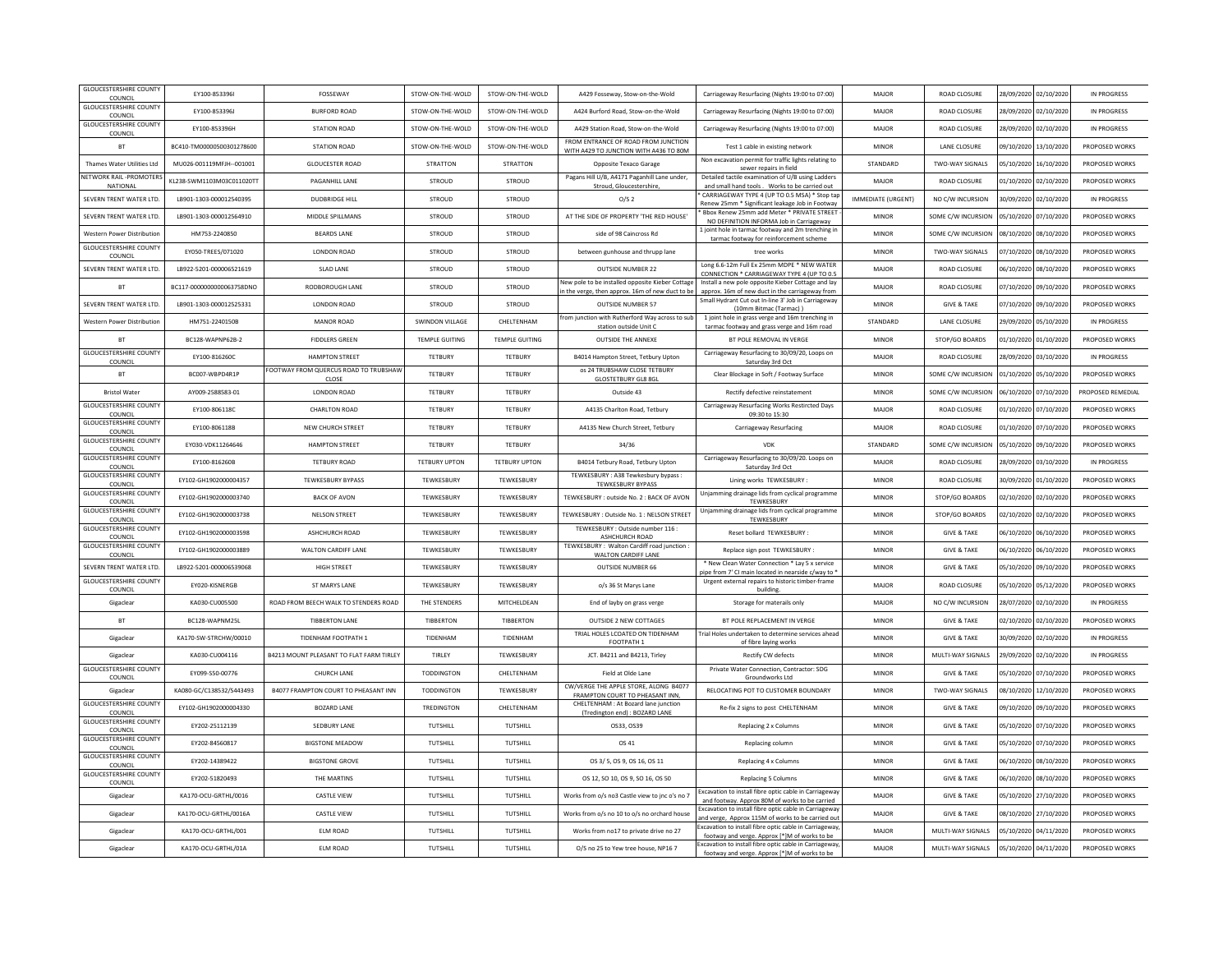| <b>GLOUCESTERSHIRE COUNTY</b><br>COUNCIL | EY100-853396I             | FOSSEWAY                                 | STOW-ON-THE-WOLD       | STOW-ON-THE-WOLD      | A429 Fosseway, Stow-on-the-Wold                                               | Carriageway Resurfacing (Nights 19:00 to 07:00)                                                           | MAJOR              | ROAD CLOSURE           |                       | 28/09/2020 02/10/2020 | IN PROGRESS       |
|------------------------------------------|---------------------------|------------------------------------------|------------------------|-----------------------|-------------------------------------------------------------------------------|-----------------------------------------------------------------------------------------------------------|--------------------|------------------------|-----------------------|-----------------------|-------------------|
| <b>GLOUCESTERSHIRE COUNTY</b><br>COUNCIL | EY100-853396J             | <b>BURFORD ROAD</b>                      | STOW-ON-THE-WOLD       | STOW-ON-THE-WOLD      | A424 Burford Road, Stow-on-the-Wold                                           | Carriageway Resurfacing (Nights 19:00 to 07:00)                                                           | MAJOR              | ROAD CLOSURE           |                       | 28/09/2020 02/10/2020 | IN PROGRESS       |
| <b>GLOUCESTERSHIRE COUNTY</b><br>COUNCIL | EY100-853396H             | <b>STATION ROAD</b>                      | STOW-ON-THE-WOLD       | STOW-ON-THE-WOLD      | A429 Station Road, Stow-on-the-Wold                                           | Carriageway Resurfacing (Nights 19:00 to 07:00)                                                           | MAJOR              | ROAD CLOSURE           | 28/09/2020            | 02/10/2020            | IN PROGRESS       |
| <b>BT</b>                                | BC410-TM00000500301278600 | <b>STATION ROAD</b>                      | STOW-ON-THE-WOLD       | STOW-ON-THE-WOLD      | FROM ENTRANCE OF ROAD FROM JUNCTION<br>WITH A429 TO JUNCTION WITH A436 TO 80M | Test 1 cable in existing network                                                                          | MINOR              | LANE CLOSURE           |                       | 09/10/2020 13/10/2020 | PROPOSED WORKS    |
| Thames Water Utilities Ltd               | MU026-001119MFJH--001001  | <b>GLOUCESTER ROAD</b>                   | <b>STRATTON</b>        | <b>STRATTON</b>       | Opposite Texaco Garage                                                        | Non excavation permit for traffic lights relating to<br>sewer repairs in field                            | STANDARD           | <b>TWO-WAY SIGNALS</b> |                       | 05/10/2020 16/10/2020 | PROPOSED WORKS    |
| NETWORK RAIL -PROMOTERS<br>NATIONA       | KL238-SWM1103M03C011020TT | PAGANHILL LANE                           | STROUD                 | STROUD                | Pagans Hill U/B, A4171 Paganhill Lane under,<br>Stroud, Gloucestershire       | Detailed tactile examination of U/B using Ladders<br>and small hand tools. Works to be carried out        | MAJOR              | ROAD CLOSURE           |                       | 01/10/2020 02/10/2020 | PROPOSED WORKS    |
| SEVERN TRENT WATER LTD.                  | LB901-1303-000012540395   | <b>DUDBRIDGE HILL</b>                    | STROUD                 | STROUD                | 0/S <sub>2</sub>                                                              | CARRIAGEWAY TYPE 4 (UP TO 0.5 MSA) * Stop tap<br>Renew 25mm * Significant leakage Job in Footway          | IMMEDIATE (URGENT) | NO C/W INCURSION       | 30/09/2020            | 02/10/2020            | IN PROGRESS       |
| SEVERN TRENT WATER LTD                   | LB901-1303-000012564910   | MIDDLE SPILLMANS                         | STROUD                 | STROUD                | AT THE SIDE OF PROPERTY 'THE RED HOUSE'                                       | Bbox Renew 25mm add Meter * PRIVATE STREET<br>NO DEFINITION INFORMA Job in Carriageway                    | MINOR              | SOME C/W INCURSION     | 05/10/2020            | 07/10/2020            | PROPOSED WORKS    |
| <b>Western Power Distribution</b>        | HM753-2240850             | <b>BEARDS LANE</b>                       | STROUD                 | STROUD                | side of 98 Caincross Rd                                                       | 1 joint hole in tarmac footway and 2m trenching in<br>tarmac footway for reinforcement scheme             | <b>MINOR</b>       | SOME C/W INCURSION     |                       | 08/10/2020 08/10/2020 | PROPOSED WORKS    |
| <b>GLOUCESTERSHIRE COUNTY</b><br>COUNCIL | EY050-TREES/071020        | LONDON ROAD                              | STROUD                 | STROUD                | between gunhouse and thrupp lane                                              | tree works                                                                                                | MINOR              | <b>TWO-WAY SIGNALS</b> |                       | 07/10/2020 08/10/2020 | PROPOSED WORKS    |
| SEVERN TRENT WATER LTD.                  | LB922-5201-000006521619   | <b>SLAD LANE</b>                         | STROUD                 | STROUD                | <b>OUTSIDE NUMBER 22</b>                                                      | Long 6.6-12m Full Ex 25mm MDPE * NEW WATER                                                                | MAJOR              | <b>ROAD CLOSURE</b>    | 06/10/2020            | 08/10/2020            | PROPOSED WORKS    |
| <b>BT</b>                                | BC117-0000000000063758DNO | RODBOROUGH LANE                          | STROUD                 | <b>STROUD</b>         | New pole to be installed opposite Kieber Cottage                              | CONNECTION * CARRIAGEWAY TYPE 4 (UP TO 0.5<br>Install a new pole opposite Kieber Cottage and lay          | MAJOR              | ROAD CLOSURE           | 07/10/2020            | 09/10/2020            | PROPOSED WORKS    |
| SEVERN TRENT WATER LTD                   | LB901-1303-000012525331   | LONDON ROAD                              | STROUD                 | STROUD                | n the verge, then approx. 16m of new duct to be<br><b>OUTSIDE NUMBER 57</b>   | approx. 16m of new duct in the carriageway from<br>Small Hydrant Cut out In-line 3' Job in Carriageway    | MINOR              | <b>GIVE &amp; TAKE</b> | 07/10/2020            | 09/10/2020            | PROPOSED WORKS    |
| <b>Western Power Distribution</b>        | HM751-2240150B            | <b>MANOR ROAD</b>                        | <b>SWINDON VILLAGE</b> | CHELTENHAM            | rom junction with Rutherford Way across to sub                                | (10mm Bitmac (Tarmac))<br>1 joint hole in grass verge and 16m trenching in                                | STANDARD           | LANE CLOSURE           |                       | 29/09/2020 05/10/2020 | IN PROGRESS       |
| <b>BT</b>                                | BC128-WAPNP62B-2          | <b>FIDDLERS GREEN</b>                    | <b>TEMPLE GUITING</b>  | <b>TEMPLE GUITING</b> | station outside Unit C<br>OUTSIDE THE ANNEXE                                  | tarmac footway and grass verge and 16m road<br>BT POLE REMOVAL IN VERGE                                   | MINOR              | STOP/GO BOARDS         |                       | 01/10/2020 01/10/2020 | PROPOSED WORKS    |
| <b>GLOUCESTERSHIRE COUNTY</b>            | EY100-816260C             | <b>HAMPTON STREET</b>                    | TETBURY                | TETBURY               | B4014 Hampton Street, Tetbury Uptor                                           | Carriageway Resurfacing to 30/09/20, Loops on                                                             | MAJOR              | ROAD CLOSURE           | 28/09/2020            | 03/10/2020            | IN PROGRESS       |
| COUNCI<br>BT                             | BC007-WBPD4R1P            | FOOTWAY FROM QUERCUS ROAD TO TRUBSHAW    | TFTBURY                | TETRURY               | os 24 TRUBSHAW CLOSE TETBURY                                                  | Saturday 3rd Oct<br>Clear Blockage in Soft / Footway Surface                                              | MINOR              | SOME C/W INCURSION     |                       | 01/10/2020 05/10/2020 | PROPOSED WORKS    |
| <b>Bristol Water</b>                     | AY009-2588583-01          | CLOSE<br><b>LONDON ROAD</b>              | TETRURY                | TETRURY               | <b>GLOSTETBURY GL8 8GL</b><br>Outside 43                                      | Rectify defective reinstatement                                                                           | MINOR              | SOME C/W INCURSION     |                       | 06/10/2020 07/10/2020 | PROPOSED REMEDIAL |
| <b>GLOUCESTERSHIRE COUNTY</b>            | EY100-806118C             | <b>CHARLTON ROAD</b>                     | TETBURY                | TETBURY               | A4135 Charlton Road, Tetbury                                                  | Carriageway Resurfacing Works Restircted Days                                                             | MAJOR              | ROAD CLOSURE           |                       | 01/10/2020 07/10/2020 | PROPOSED WORKS    |
| COUNCIL<br><b>GLOUCESTERSHIRE COUNTY</b> | EY100-806118B             | <b>NEW CHURCH STREET</b>                 | <b>TETBURY</b>         | TETBURY               | A4135 New Church Street, Tetbury                                              | 09:30 to 15:30<br>Carriageway Resurfacing                                                                 | MAJOR              | <b>ROAD CLOSURE</b>    |                       | 01/10/2020 07/10/2020 | PROPOSED WORKS    |
| COUNCIL<br><b>GLOUCESTERSHIRE COUNTY</b> |                           |                                          |                        |                       |                                                                               |                                                                                                           |                    |                        |                       |                       |                   |
| COUNCIL<br><b>GLOUCESTERSHIRE COUNTY</b> | EY030-VDK11264646         | <b>HAMPTON STREET</b>                    | TETBURY                | TETBURY               | 34/36                                                                         | VDK<br>Carriageway Resurfacing to 30/09/20. Loops on                                                      | STANDARD           | SOME C/W INCURSION     | 05/10/2020            | 09/10/2020            | PROPOSED WORKS    |
| COUNCIL<br><b>GLOUCESTERSHIRE COUNTY</b> | FY100-816260B             | TETRURY ROAD                             | <b>TETRURY UPTON</b>   | <b>TETRURY UPTON</b>  | B4014 Tetbury Road, Tetbury Upton<br>TEWKESBURY: A38 Tewkesbury bypass:       | Saturday 3rd Oct                                                                                          | MAIOR              | <b>ROAD CLOSURE</b>    | 28/09/2020 03/10/2020 |                       | IN PROGRESS       |
| COUNCIL<br><b>GLOUCESTERSHIRE COUNTY</b> | FY102-GH1902000004357     | <b>TEWKESBURY BYPASS</b>                 | <b>TFWKFSBURY</b>      | <b>TEWKESBURY</b>     | <b>TEWKESBURY BYPASS</b>                                                      | Lining works TEWKESBURY<br>Unjamming drainage lids from cyclical programme                                | MINOR              | <b>ROAD CLOSURE</b>    |                       | 30/09/2020 01/10/2020 | PROPOSED WORKS    |
| COUNCIL<br><b>GLOUCESTERSHIRE COUNTY</b> | EY102-GH1902000003740     | <b>BACK OF AVON</b>                      | TEWKESBURY             | TEWKESBURY            | TEWKESBURY : outside No. 2 : BACK OF AVON                                     | TEWKESBURY                                                                                                | MINOR              | STOP/GO BOARDS         |                       | 02/10/2020 02/10/2020 | PROPOSED WORKS    |
| COUNCIL                                  | EY102-GH1902000003738     | <b>NELSON STREET</b>                     | TEWKESBURY             | TEWKESBURY            | TEWKESBURY: Outside No. 1: NELSON STREET                                      | Unjamming drainage lids from cyclical programme<br>TEWKESBURY                                             | <b>MINOF</b>       | STOP/GO BOARDS         | 02/10/2020            | 02/10/2020            | PROPOSED WORKS    |
| <b>GLOUCESTERSHIRE COUNTY</b><br>COUNCIL | EY102-GH1902000003598     | ASHCHURCH ROAD                           | TEWKESBURY             | <b>TFWKFSBURY</b>     | TEWKESBURY : Outside number 116 :<br>ASHCHURCH ROAD                           | Reset bollard TEWKESBURY:                                                                                 | MINOR              | <b>GIVE &amp; TAKE</b> | 06/10/2020            | 06/10/2020            | PROPOSED WORKS    |
| <b>GLOUCESTERSHIRE COUNTY</b><br>COUNCIL | FY102-GH1902000003889     | WAI TON CARDIFF LANE                     | <b>TFWKFSBURY</b>      | <b>TEWKESBURY</b>     | TEWKESBURY: Walton Cardiff road junction<br><b>WALTON CARDIFF LANE</b>        | Replace sign post TEWKESBURY                                                                              | MINOR              | <b>GIVE &amp; TAKE</b> |                       | 06/10/2020 06/10/2020 | PROPOSED WORKS    |
| SEVERN TRENT WATER LTD.                  | LB922-5201-000006539068   | HIGH STREET                              | TEWKESBURY             | TEWKESBURY            | OUTSIDE NUMBER 66                                                             | * New Clean Water Connection * Lay 5 x service<br>pipe from 7' CI main located in nearside c/way to '     | <b>MINOR</b>       | <b>GIVE &amp; TAKE</b> | 05/10/2020            | 09/10/2020            | PROPOSED WORKS    |
| <b>GLOUCESTERSHIRE COUNTY</b><br>COUNCI  | EY020-KISNERGB            | <b>ST MARYS LANE</b>                     | TEWKESBURY             | TEWKESBURY            | o/s 36 St Marys Lane                                                          | Urgent external repairs to historic timber-frame<br>building                                              | MAJOR              | <b>ROAD CLOSURE</b>    | 05/10/2020            | 05/12/2020            | PROPOSED WORKS    |
| Gigaclear                                | KA030-CU005500            | ROAD FROM BEECH WALK TO STENDERS ROAD    | THE STENDERS           | MITCHELDEAN           | End of layby on grass verge                                                   | Storage for materails only                                                                                | MAJOR              | NO C/W INCURSION       |                       | 28/07/2020 02/10/2020 | IN PROGRESS       |
| <b>BT</b>                                | BC128-WAPNM25L            | TIBBERTON LANE                           | TIBBERTON              | TIBBERTON             | <b>OUTSIDE 2 NEW COTTAGES</b>                                                 | BT POLE REPLACEMENT IN VERGE                                                                              | MINOR              | <b>GIVE &amp; TAKE</b> | 02/10/2020 02/10/2020 |                       | PROPOSED WORKS    |
| Gigaclear                                | KA170-SW-STRCHW/00010     | TIDENHAM FOOTPATH 1                      | TIDENHAM               | TIDENHAM              | TRIAL HOLES LCOATED ON TIDENHAM<br>FOOTPATH 1                                 | Trial Holes undertaken to determine services ahead<br>of fibre laying works                               | <b>MINOR</b>       | <b>GIVE &amp; TAKE</b> |                       | 30/09/2020 02/10/2020 | IN PROGRESS       |
| Gigaclear                                | KA030-CU004116            | B4213 MOUNT PLEASANT TO FLAT FARM TIRLEY | TIRLEY                 | TEWKESBURY            | JCT, B4211 and B4213, Tirley                                                  | <b>Rectify CW defects</b>                                                                                 | <b>MINOR</b>       | MULTI-WAY SIGNALS      |                       | 29/09/2020 02/10/2020 | IN PROGRESS       |
| <b>GLOUCESTERSHIRE COUNTY</b><br>COUNCIL | EY099-S50-00776           | <b>CHURCH LANE</b>                       | <b>TODDINGTON</b>      | CHELTENHAM            | Field at Olde Lane                                                            | Private Water Connection, Contractor: SDG<br>Groundworks Ltd                                              | <b>MINOF</b>       | <b>GIVE &amp; TAKE</b> | 05/10/2020            | 07/10/2020            | PROPOSED WORKS    |
| Gigaclear                                | KA080-GC/C138532/S443493  | B4077 FRAMPTON COURT TO PHEASANT INN     | <b>TODDINGTON</b>      | TEWKESBURY            | CW/VERGE THE APPLE STORE, ALONG B4077<br>FRAMPTON COURT TO PHEASANT INN.      | RELOCATING POT TO CUSTOMER BOUNDARY                                                                       | <b>MINOR</b>       | <b>TWO-WAY SIGNALS</b> |                       | 08/10/2020 12/10/2020 | PROPOSED WORKS    |
| <b>GLOUCESTERSHIRE COUNT</b><br>COUNCIL  | FY102-GH1902000004330     | BOZARD LANE                              | <b>TREDINGTON</b>      | <b>CHEITENHAM</b>     | CHELTENHAM : At Bozard lane junction<br>(Tredington end) : BOZARD LANE        | Re-fix 2 signs to post CHELTENHAM                                                                         | MINOR              | <b>GIVE &amp; TAKE</b> | 09/10/2020            | 09/10/2020            | PROPOSED WORKS    |
| <b>GLOUCESTERSHIRE COUNTY</b><br>COUNCIL | EY202-25112139            | SEDBURY LANE                             | <b>TUTSHILL</b>        | TUTSHILL              | OS33, OS39                                                                    | Replacing 2 x Columns                                                                                     | <b>MINOR</b>       | <b>GIVE &amp; TAKE</b> |                       | 05/10/2020 07/10/2020 | PROPOSED WORKS    |
| <b>GLOUCESTERSHIRE COUNTY</b><br>COUNCIL | EY202-84560817            | <b>BIGSTONE MEADOW</b>                   | TUTSHILL               | <b>TUTSHILL</b>       | OS 41                                                                         | Replacing column                                                                                          | <b>MINOF</b>       | <b>GIVE &amp; TAKE</b> | 05/10/2020            | 07/10/2020            | PROPOSED WORKS    |
| <b>GLOUCESTERSHIRE COUNTY</b><br>COUNCIL | EY202-14389422            | <b>BIGSTONE GROVE</b>                    | TUTSHILL               | <b>TUTSHILL</b>       | OS 3/5, OS 9, OS 16, OS 11                                                    | Replacing 4 x Columns                                                                                     | <b>MINOR</b>       | <b>GIVE &amp; TAKE</b> | 06/10/2020            | 08/10/2020            | PROPOSED WORKS    |
| <b>GLOUCESTERSHIRE COUNT</b><br>COUNCIL  | EY202-51820493            | THE MARTINS                              | TUTSHILL               | TUTSHILL              | OS 12, SO 10, OS 9, SO 16, OS 50                                              | <b>Replacing 5 Columns</b>                                                                                | MINOR              | <b>GIVE &amp; TAKE</b> | 06/10/2020            | 08/10/2020            | PROPOSED WORKS    |
| Gigaclear                                | KA170-OCU-GRTHL/0016      | <b>CASTLE VIEW</b>                       | <b>TUTSHILL</b>        | TUTSHILL              | Works from o/s no3 Castle view to inc o's no 7                                | Excavation to install fibre optic cable in Carriageway<br>and footway. Approx 80M of works to be carried  | MAJOR              | <b>GIVE &amp; TAKE</b> | 05/10/2020 27/10/2020 |                       | PROPOSED WORKS    |
| Gigaclear                                | KA170-OCU-GRTHL/0016A     | <b>CASTLE VIEW</b>                       | <b>TUTSHILL</b>        | <b>TUTSHILL</b>       | Works from o/s no 10 to o/s no orchard house                                  | Excavation to install fibre optic cable in Carriagewa                                                     | MAJOR              | <b>GIVE &amp; TAKE</b> | 08/10/2020            | 27/10/2020            | PROPOSED WORKS    |
| Gigaclear                                | KA170-OCU-GRTHL/001       | <b>ELM ROAD</b>                          | TUTSHILL               | TUTSHILL              | Works from no17 to private drive no 27                                        | nd verge, Approx 115M of works to be carried ou<br>Excavation to install fibre optic cable in Carriageway | MAJOR              | MULTI-WAY SIGNALS      |                       | 05/10/2020 04/11/2020 | PROPOSED WORKS    |
| Gigaclear                                | KA170-OCU-GRTHL/01A       | <b>ELM ROAD</b>                          | <b>TUTSHILL</b>        | <b>TUTSHILL</b>       | O/S no 25 to Yew tree house. NP16 7                                           | footway and verge. Approx [*]M of works to be<br>xcavation to install fibre optic cable in Carriageway    | MAJOR              | MULTI-WAY SIGNALS      | 05/10/2020            | 04/11/2020            | PROPOSED WORKS    |
|                                          |                           |                                          |                        |                       |                                                                               | footway and verge. Approx [*]M of works to be                                                             |                    |                        |                       |                       |                   |